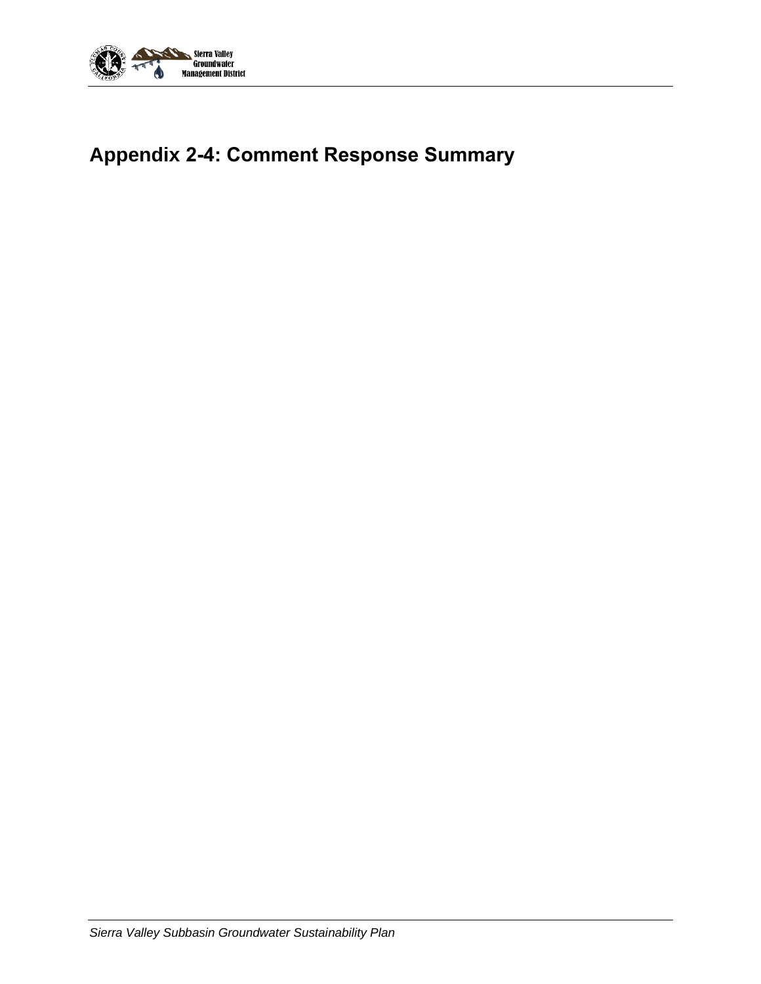

# **Appendix 2-4: Comment Response Summary**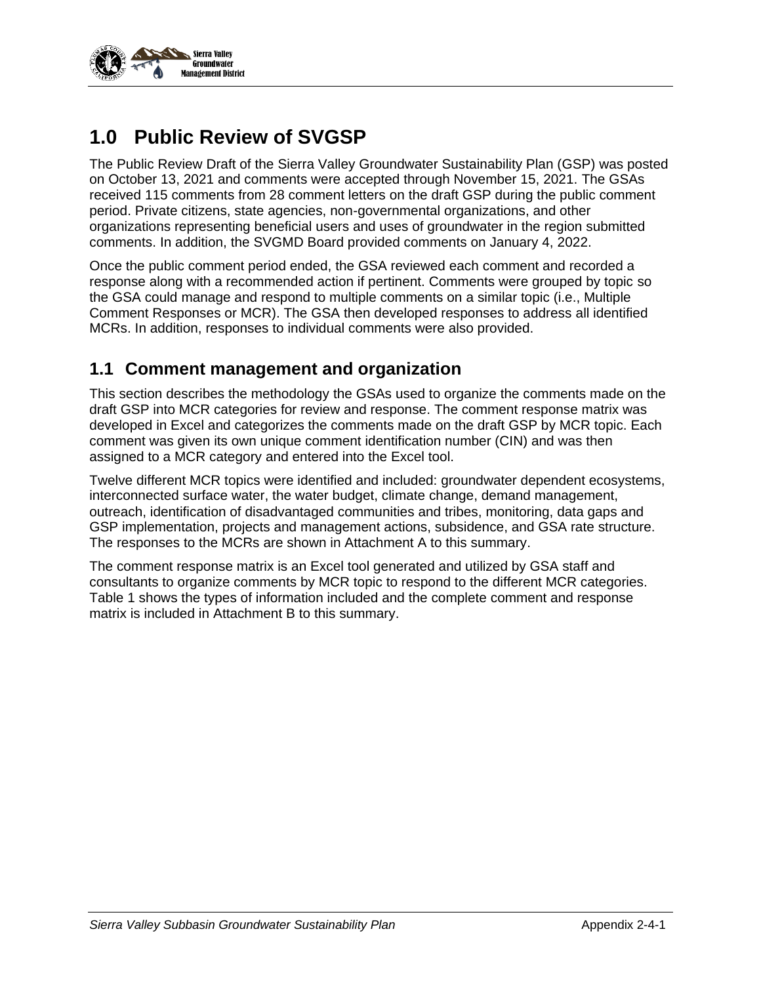

## **1.0 Public Review of SVGSP**

The Public Review Draft of the Sierra Valley Groundwater Sustainability Plan (GSP) was posted on October 13, 2021 and comments were accepted through November 15, 2021. The GSAs received 115 comments from 28 comment letters on the draft GSP during the public comment period. Private citizens, state agencies, non-governmental organizations, and other organizations representing beneficial users and uses of groundwater in the region submitted comments. In addition, the SVGMD Board provided comments on January 4, 2022.

Once the public comment period ended, the GSA reviewed each comment and recorded a response along with a recommended action if pertinent. Comments were grouped by topic so the GSA could manage and respond to multiple comments on a similar topic (i.e., Multiple Comment Responses or MCR). The GSA then developed responses to address all identified MCRs. In addition, responses to individual comments were also provided.

### **1.1 Comment management and organization**

This section describes the methodology the GSAs used to organize the comments made on the draft GSP into MCR categories for review and response. The comment response matrix was developed in Excel and categorizes the comments made on the draft GSP by MCR topic. Each comment was given its own unique comment identification number (CIN) and was then assigned to a MCR category and entered into the Excel tool.

Twelve different MCR topics were identified and included: groundwater dependent ecosystems, interconnected surface water, the water budget, climate change, demand management, outreach, identification of disadvantaged communities and tribes, monitoring, data gaps and GSP implementation, projects and management actions, subsidence, and GSA rate structure. The responses to the MCRs are shown in Attachment A to this summary.

The comment response matrix is an Excel tool generated and utilized by GSA staff and consultants to organize comments by MCR topic to respond to the different MCR categories. Table 1 shows the types of information included and the complete comment and response matrix is included in Attachment B to this summary.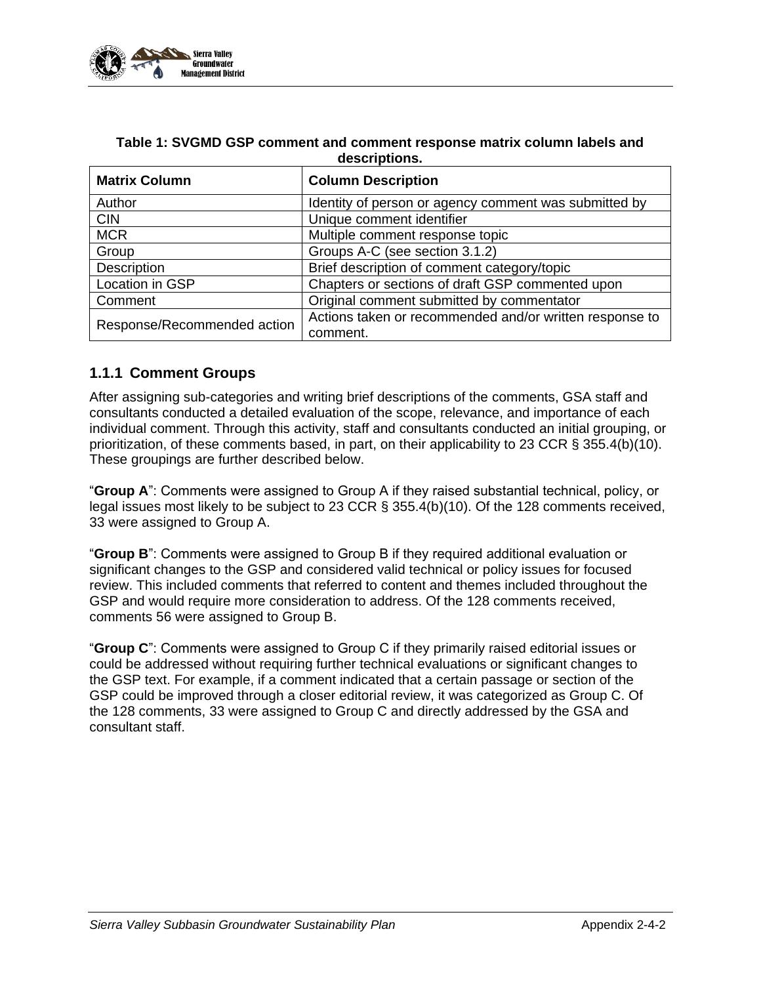

| <b>Matrix Column</b>        | <b>Column Description</b>                                           |
|-----------------------------|---------------------------------------------------------------------|
| Author                      | Identity of person or agency comment was submitted by               |
| <b>CIN</b>                  | Unique comment identifier                                           |
| <b>MCR</b>                  | Multiple comment response topic                                     |
| Group                       | Groups A-C (see section 3.1.2)                                      |
| Description                 | Brief description of comment category/topic                         |
| Location in GSP             | Chapters or sections of draft GSP commented upon                    |
| Comment                     | Original comment submitted by commentator                           |
| Response/Recommended action | Actions taken or recommended and/or written response to<br>comment. |

### **Table 1: SVGMD GSP comment and comment response matrix column labels and descriptions.**

### **1.1.1 Comment Groups**

After assigning sub-categories and writing brief descriptions of the comments, GSA staff and consultants conducted a detailed evaluation of the scope, relevance, and importance of each individual comment. Through this activity, staff and consultants conducted an initial grouping, or prioritization, of these comments based, in part, on their applicability to 23 CCR § 355.4(b)(10). These groupings are further described below.

"**Group A**": Comments were assigned to Group A if they raised substantial technical, policy, or legal issues most likely to be subject to 23 CCR § 355.4(b)(10). Of the 128 comments received, 33 were assigned to Group A.

"**Group B**": Comments were assigned to Group B if they required additional evaluation or significant changes to the GSP and considered valid technical or policy issues for focused review. This included comments that referred to content and themes included throughout the GSP and would require more consideration to address. Of the 128 comments received, comments 56 were assigned to Group B.

"**Group C**": Comments were assigned to Group C if they primarily raised editorial issues or could be addressed without requiring further technical evaluations or significant changes to the GSP text. For example, if a comment indicated that a certain passage or section of the GSP could be improved through a closer editorial review, it was categorized as Group C. Of the 128 comments, 33 were assigned to Group C and directly addressed by the GSA and consultant staff.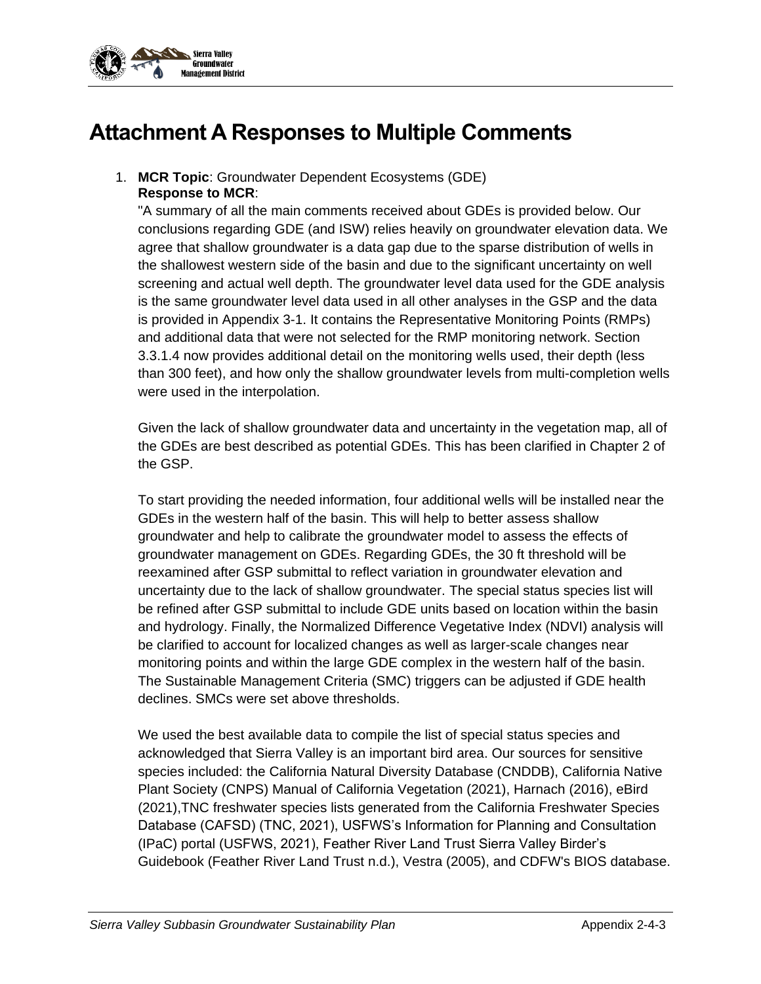

## **Attachment A Responses to Multiple Comments**

1. **MCR Topic**: Groundwater Dependent Ecosystems (GDE) **Response to MCR**:

"A summary of all the main comments received about GDEs is provided below. Our conclusions regarding GDE (and ISW) relies heavily on groundwater elevation data. We agree that shallow groundwater is a data gap due to the sparse distribution of wells in the shallowest western side of the basin and due to the significant uncertainty on well screening and actual well depth. The groundwater level data used for the GDE analysis is the same groundwater level data used in all other analyses in the GSP and the data is provided in Appendix 3-1. It contains the Representative Monitoring Points (RMPs) and additional data that were not selected for the RMP monitoring network. Section 3.3.1.4 now provides additional detail on the monitoring wells used, their depth (less than 300 feet), and how only the shallow groundwater levels from multi-completion wells were used in the interpolation.

Given the lack of shallow groundwater data and uncertainty in the vegetation map, all of the GDEs are best described as potential GDEs. This has been clarified in Chapter 2 of the GSP.

To start providing the needed information, four additional wells will be installed near the GDEs in the western half of the basin. This will help to better assess shallow groundwater and help to calibrate the groundwater model to assess the effects of groundwater management on GDEs. Regarding GDEs, the 30 ft threshold will be reexamined after GSP submittal to reflect variation in groundwater elevation and uncertainty due to the lack of shallow groundwater. The special status species list will be refined after GSP submittal to include GDE units based on location within the basin and hydrology. Finally, the Normalized Difference Vegetative Index (NDVI) analysis will be clarified to account for localized changes as well as larger-scale changes near monitoring points and within the large GDE complex in the western half of the basin. The Sustainable Management Criteria (SMC) triggers can be adjusted if GDE health declines. SMCs were set above thresholds.

We used the best available data to compile the list of special status species and acknowledged that Sierra Valley is an important bird area. Our sources for sensitive species included: the California Natural Diversity Database (CNDDB), California Native Plant Society (CNPS) Manual of California Vegetation (2021), Harnach (2016), eBird (2021),TNC freshwater species lists generated from the California Freshwater Species Database (CAFSD) (TNC, 2021), USFWS's Information for Planning and Consultation (IPaC) portal (USFWS, 2021), Feather River Land Trust Sierra Valley Birder's Guidebook (Feather River Land Trust n.d.), Vestra (2005), and CDFW's BIOS database.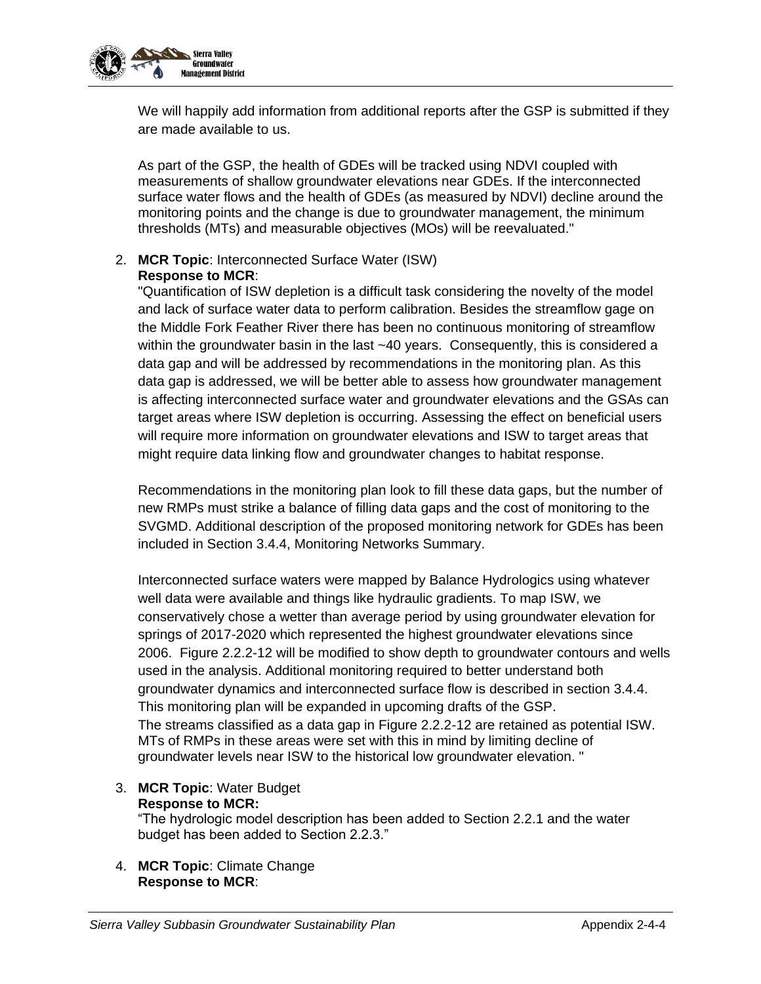

We will happily add information from additional reports after the GSP is submitted if they are made available to us.

As part of the GSP, the health of GDEs will be tracked using NDVI coupled with measurements of shallow groundwater elevations near GDEs. If the interconnected surface water flows and the health of GDEs (as measured by NDVI) decline around the monitoring points and the change is due to groundwater management, the minimum thresholds (MTs) and measurable objectives (MOs) will be reevaluated."

### 2. **MCR Topic**: Interconnected Surface Water (ISW) **Response to MCR**:

"Quantification of ISW depletion is a difficult task considering the novelty of the model and lack of surface water data to perform calibration. Besides the streamflow gage on the Middle Fork Feather River there has been no continuous monitoring of streamflow within the groundwater basin in the last ~40 years. Consequently, this is considered a data gap and will be addressed by recommendations in the monitoring plan. As this data gap is addressed, we will be better able to assess how groundwater management is affecting interconnected surface water and groundwater elevations and the GSAs can target areas where ISW depletion is occurring. Assessing the effect on beneficial users will require more information on groundwater elevations and ISW to target areas that might require data linking flow and groundwater changes to habitat response.

Recommendations in the monitoring plan look to fill these data gaps, but the number of new RMPs must strike a balance of filling data gaps and the cost of monitoring to the SVGMD. Additional description of the proposed monitoring network for GDEs has been included in Section 3.4.4, Monitoring Networks Summary.

Interconnected surface waters were mapped by Balance Hydrologics using whatever well data were available and things like hydraulic gradients. To map ISW, we conservatively chose a wetter than average period by using groundwater elevation for springs of 2017-2020 which represented the highest groundwater elevations since 2006. Figure 2.2.2-12 will be modified to show depth to groundwater contours and wells used in the analysis. Additional monitoring required to better understand both groundwater dynamics and interconnected surface flow is described in section 3.4.4. This monitoring plan will be expanded in upcoming drafts of the GSP. The streams classified as a data gap in Figure 2.2.2-12 are retained as potential ISW. MTs of RMPs in these areas were set with this in mind by limiting decline of groundwater levels near ISW to the historical low groundwater elevation. "

### 3. **MCR Topic**: Water Budget **Response to MCR:**

"The hydrologic model description has been added to Section 2.2.1 and the water budget has been added to Section 2.2.3."

4. **MCR Topic**: Climate Change **Response to MCR**: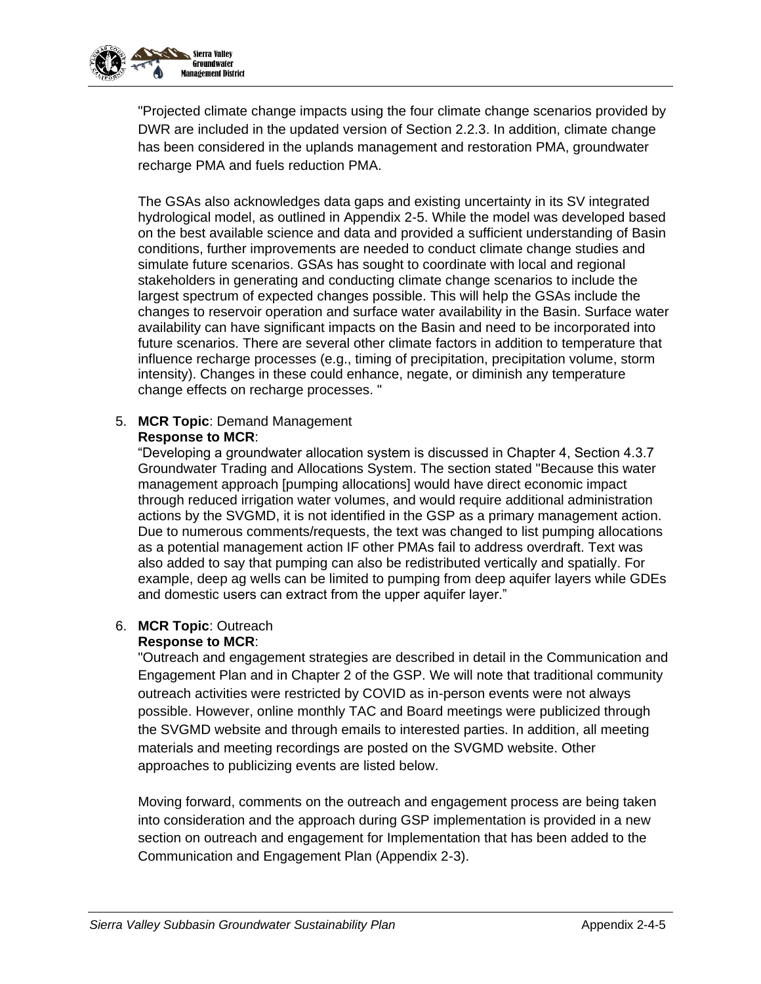

"Projected climate change impacts using the four climate change scenarios provided by DWR are included in the updated version of Section 2.2.3. In addition, climate change has been considered in the uplands management and restoration PMA, groundwater recharge PMA and fuels reduction PMA.

The GSAs also acknowledges data gaps and existing uncertainty in its SV integrated hydrological model, as outlined in Appendix 2-5. While the model was developed based on the best available science and data and provided a sufficient understanding of Basin conditions, further improvements are needed to conduct climate change studies and simulate future scenarios. GSAs has sought to coordinate with local and regional stakeholders in generating and conducting climate change scenarios to include the largest spectrum of expected changes possible. This will help the GSAs include the changes to reservoir operation and surface water availability in the Basin. Surface water availability can have significant impacts on the Basin and need to be incorporated into future scenarios. There are several other climate factors in addition to temperature that influence recharge processes (e.g., timing of precipitation, precipitation volume, storm intensity). Changes in these could enhance, negate, or diminish any temperature change effects on recharge processes. "

### 5. **MCR Topic**: Demand Management **Response to MCR**:

"Developing a groundwater allocation system is discussed in Chapter 4, Section 4.3.7 Groundwater Trading and Allocations System. The section stated "Because this water management approach [pumping allocations] would have direct economic impact through reduced irrigation water volumes, and would require additional administration actions by the SVGMD, it is not identified in the GSP as a primary management action. Due to numerous comments/requests, the text was changed to list pumping allocations as a potential management action IF other PMAs fail to address overdraft. Text was also added to say that pumping can also be redistributed vertically and spatially. For example, deep ag wells can be limited to pumping from deep aquifer layers while GDEs and domestic users can extract from the upper aquifer layer."

### 6. **MCR Topic**: Outreach

### **Response to MCR**:

"Outreach and engagement strategies are described in detail in the Communication and Engagement Plan and in Chapter 2 of the GSP. We will note that traditional community outreach activities were restricted by COVID as in-person events were not always possible. However, online monthly TAC and Board meetings were publicized through the SVGMD website and through emails to interested parties. In addition, all meeting materials and meeting recordings are posted on the SVGMD website. Other approaches to publicizing events are listed below.

Moving forward, comments on the outreach and engagement process are being taken into consideration and the approach during GSP implementation is provided in a new section on outreach and engagement for Implementation that has been added to the Communication and Engagement Plan (Appendix 2-3).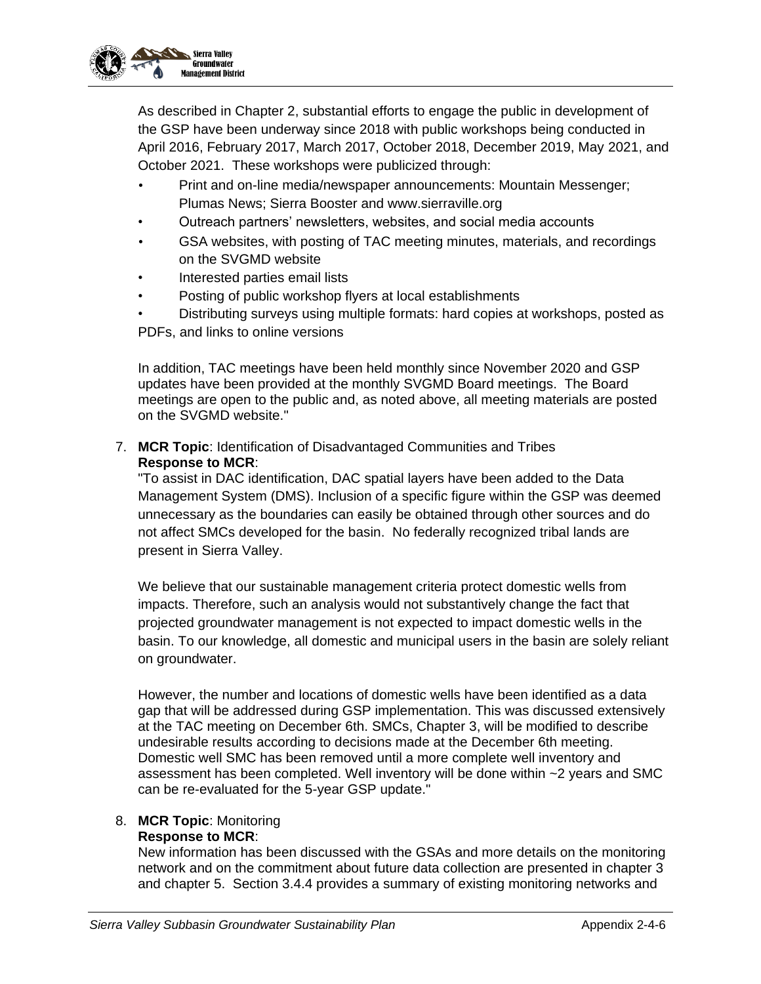

As described in Chapter 2, substantial efforts to engage the public in development of the GSP have been underway since 2018 with public workshops being conducted in April 2016, February 2017, March 2017, October 2018, December 2019, May 2021, and October 2021. These workshops were publicized through:

- Print and on-line media/newspaper announcements: Mountain Messenger; Plumas News; Sierra Booster and www.sierraville.org
- Outreach partners' newsletters, websites, and social media accounts
- GSA websites, with posting of TAC meeting minutes, materials, and recordings on the SVGMD website
- Interested parties email lists
- Posting of public workshop flyers at local establishments
- Distributing surveys using multiple formats: hard copies at workshops, posted as PDFs, and links to online versions

In addition, TAC meetings have been held monthly since November 2020 and GSP updates have been provided at the monthly SVGMD Board meetings. The Board meetings are open to the public and, as noted above, all meeting materials are posted on the SVGMD website."

7. **MCR Topic**: Identification of Disadvantaged Communities and Tribes **Response to MCR**:

"To assist in DAC identification, DAC spatial layers have been added to the Data Management System (DMS). Inclusion of a specific figure within the GSP was deemed unnecessary as the boundaries can easily be obtained through other sources and do not affect SMCs developed for the basin. No federally recognized tribal lands are present in Sierra Valley.

We believe that our sustainable management criteria protect domestic wells from impacts. Therefore, such an analysis would not substantively change the fact that projected groundwater management is not expected to impact domestic wells in the basin. To our knowledge, all domestic and municipal users in the basin are solely reliant on groundwater.

However, the number and locations of domestic wells have been identified as a data gap that will be addressed during GSP implementation. This was discussed extensively at the TAC meeting on December 6th. SMCs, Chapter 3, will be modified to describe undesirable results according to decisions made at the December 6th meeting. Domestic well SMC has been removed until a more complete well inventory and assessment has been completed. Well inventory will be done within ~2 years and SMC can be re-evaluated for the 5-year GSP update."

### 8. **MCR Topic**: Monitoring

### **Response to MCR**:

New information has been discussed with the GSAs and more details on the monitoring network and on the commitment about future data collection are presented in chapter 3 and chapter 5. Section 3.4.4 provides a summary of existing monitoring networks and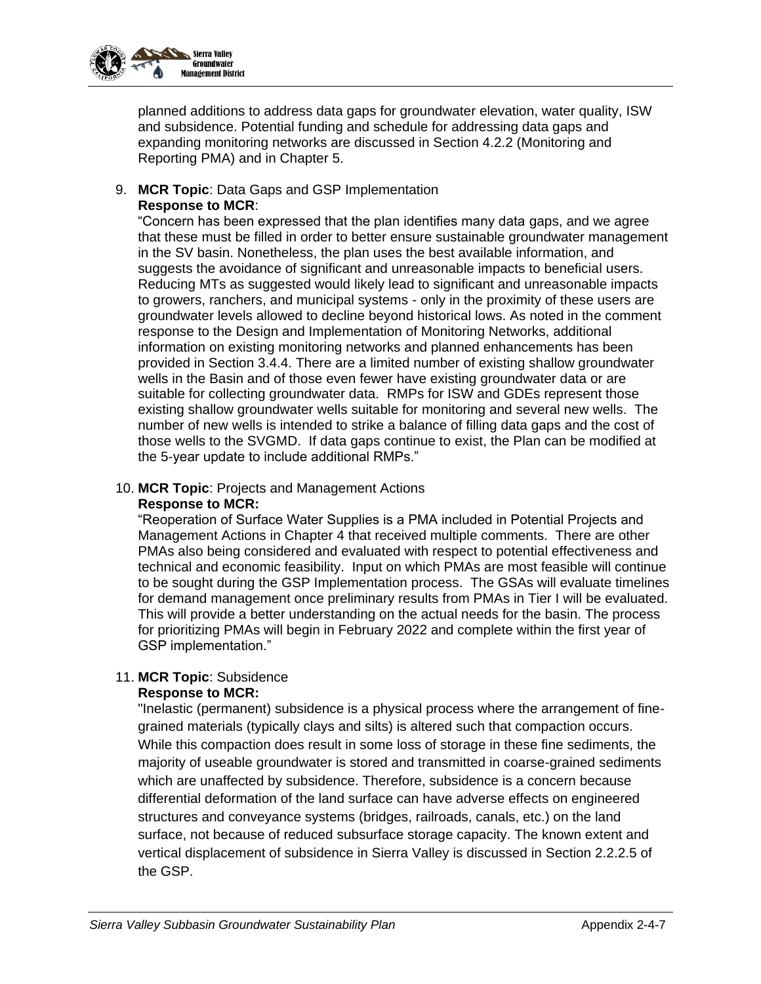

planned additions to address data gaps for groundwater elevation, water quality, ISW and subsidence. Potential funding and schedule for addressing data gaps and expanding monitoring networks are discussed in Section 4.2.2 (Monitoring and Reporting PMA) and in Chapter 5.

9. **MCR Topic**: Data Gaps and GSP Implementation **Response to MCR**:

"Concern has been expressed that the plan identifies many data gaps, and we agree that these must be filled in order to better ensure sustainable groundwater management in the SV basin. Nonetheless, the plan uses the best available information, and suggests the avoidance of significant and unreasonable impacts to beneficial users. Reducing MTs as suggested would likely lead to significant and unreasonable impacts to growers, ranchers, and municipal systems - only in the proximity of these users are groundwater levels allowed to decline beyond historical lows. As noted in the comment response to the Design and Implementation of Monitoring Networks, additional information on existing monitoring networks and planned enhancements has been provided in Section 3.4.4. There are a limited number of existing shallow groundwater wells in the Basin and of those even fewer have existing groundwater data or are suitable for collecting groundwater data. RMPs for ISW and GDEs represent those existing shallow groundwater wells suitable for monitoring and several new wells. The number of new wells is intended to strike a balance of filling data gaps and the cost of those wells to the SVGMD. If data gaps continue to exist, the Plan can be modified at the 5-year update to include additional RMPs."

#### 10. **MCR Topic**: Projects and Management Actions **Response to MCR:**

"Reoperation of Surface Water Supplies is a PMA included in Potential Projects and Management Actions in Chapter 4 that received multiple comments. There are other PMAs also being considered and evaluated with respect to potential effectiveness and technical and economic feasibility. Input on which PMAs are most feasible will continue to be sought during the GSP Implementation process. The GSAs will evaluate timelines for demand management once preliminary results from PMAs in Tier I will be evaluated. This will provide a better understanding on the actual needs for the basin. The process for prioritizing PMAs will begin in February 2022 and complete within the first year of GSP implementation."

### 11. **MCR Topic**: Subsidence

### **Response to MCR:**

"Inelastic (permanent) subsidence is a physical process where the arrangement of finegrained materials (typically clays and silts) is altered such that compaction occurs. While this compaction does result in some loss of storage in these fine sediments, the majority of useable groundwater is stored and transmitted in coarse-grained sediments which are unaffected by subsidence. Therefore, subsidence is a concern because differential deformation of the land surface can have adverse effects on engineered structures and conveyance systems (bridges, railroads, canals, etc.) on the land surface, not because of reduced subsurface storage capacity. The known extent and vertical displacement of subsidence in Sierra Valley is discussed in Section 2.2.2.5 of the GSP.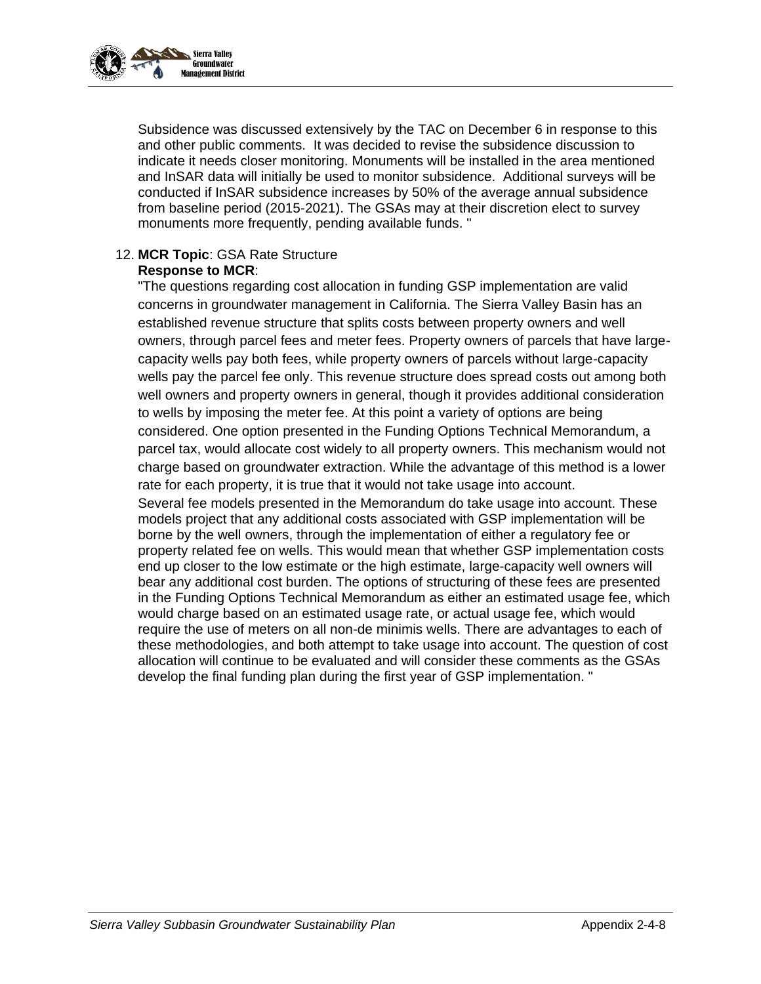

Subsidence was discussed extensively by the TAC on December 6 in response to this and other public comments. It was decided to revise the subsidence discussion to indicate it needs closer monitoring. Monuments will be installed in the area mentioned and InSAR data will initially be used to monitor subsidence. Additional surveys will be conducted if InSAR subsidence increases by 50% of the average annual subsidence from baseline period (2015-2021). The GSAs may at their discretion elect to survey monuments more frequently, pending available funds. "

#### 12. **MCR Topic**: GSA Rate Structure **Response to MCR**:

"The questions regarding cost allocation in funding GSP implementation are valid concerns in groundwater management in California. The Sierra Valley Basin has an established revenue structure that splits costs between property owners and well owners, through parcel fees and meter fees. Property owners of parcels that have largecapacity wells pay both fees, while property owners of parcels without large-capacity wells pay the parcel fee only. This revenue structure does spread costs out among both well owners and property owners in general, though it provides additional consideration to wells by imposing the meter fee. At this point a variety of options are being considered. One option presented in the Funding Options Technical Memorandum, a parcel tax, would allocate cost widely to all property owners. This mechanism would not charge based on groundwater extraction. While the advantage of this method is a lower rate for each property, it is true that it would not take usage into account.

Several fee models presented in the Memorandum do take usage into account. These models project that any additional costs associated with GSP implementation will be borne by the well owners, through the implementation of either a regulatory fee or property related fee on wells. This would mean that whether GSP implementation costs end up closer to the low estimate or the high estimate, large-capacity well owners will bear any additional cost burden. The options of structuring of these fees are presented in the Funding Options Technical Memorandum as either an estimated usage fee, which would charge based on an estimated usage rate, or actual usage fee, which would require the use of meters on all non-de minimis wells. There are advantages to each of these methodologies, and both attempt to take usage into account. The question of cost allocation will continue to be evaluated and will consider these comments as the GSAs develop the final funding plan during the first year of GSP implementation. "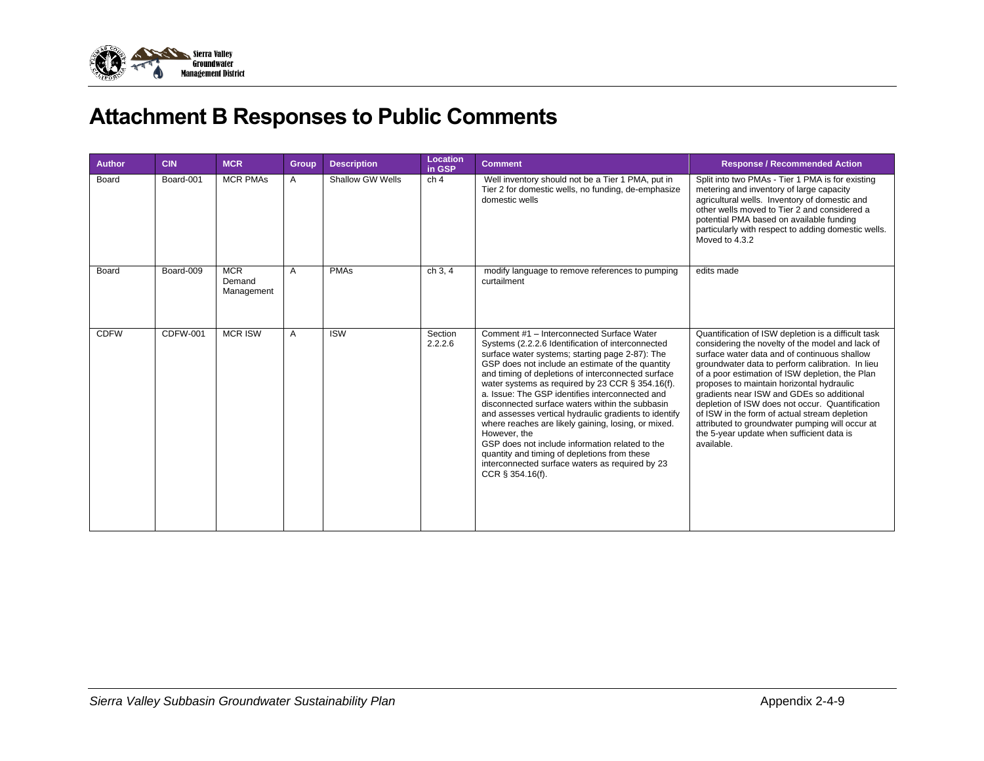

# **Attachment B Responses to Public Comments**

| <b>Author</b> | <b>CIN</b>      | <b>MCR</b>                         | Group | <b>Description</b>      | Location<br>in GSP | <b>Comment</b>                                                                                                                                                                                                                                                                                                                                                                                                                                                                                                                                                                                                                                                                                                                  | <b>Response / Recommended Action</b>                                                                                                                                                                                                                                                                                                                                                                                                                                                                                                                                       |
|---------------|-----------------|------------------------------------|-------|-------------------------|--------------------|---------------------------------------------------------------------------------------------------------------------------------------------------------------------------------------------------------------------------------------------------------------------------------------------------------------------------------------------------------------------------------------------------------------------------------------------------------------------------------------------------------------------------------------------------------------------------------------------------------------------------------------------------------------------------------------------------------------------------------|----------------------------------------------------------------------------------------------------------------------------------------------------------------------------------------------------------------------------------------------------------------------------------------------------------------------------------------------------------------------------------------------------------------------------------------------------------------------------------------------------------------------------------------------------------------------------|
| Board         | Board-001       | <b>MCR PMAs</b>                    | A     | <b>Shallow GW Wells</b> | ch <sub>4</sub>    | Well inventory should not be a Tier 1 PMA, put in<br>Tier 2 for domestic wells, no funding, de-emphasize<br>domestic wells                                                                                                                                                                                                                                                                                                                                                                                                                                                                                                                                                                                                      | Split into two PMAs - Tier 1 PMA is for existing<br>metering and inventory of large capacity<br>agricultural wells. Inventory of domestic and<br>other wells moved to Tier 2 and considered a<br>potential PMA based on available funding<br>particularly with respect to adding domestic wells.<br>Moved to 4.3.2                                                                                                                                                                                                                                                         |
| Board         | Board-009       | <b>MCR</b><br>Demand<br>Management | A     | <b>PMAs</b>             | ch 3, 4            | modify language to remove references to pumping<br>curtailment                                                                                                                                                                                                                                                                                                                                                                                                                                                                                                                                                                                                                                                                  | edits made                                                                                                                                                                                                                                                                                                                                                                                                                                                                                                                                                                 |
| <b>CDFW</b>   | <b>CDFW-001</b> | <b>MCR ISW</b>                     | A     | <b>ISW</b>              | Section<br>2.2.2.6 | Comment #1 - Interconnected Surface Water<br>Systems (2.2.2.6 Identification of interconnected<br>surface water systems; starting page 2-87): The<br>GSP does not include an estimate of the quantity<br>and timing of depletions of interconnected surface<br>water systems as required by 23 CCR § 354.16(f).<br>a. Issue: The GSP identifies interconnected and<br>disconnected surface waters within the subbasin<br>and assesses vertical hydraulic gradients to identify<br>where reaches are likely gaining, losing, or mixed.<br>However, the<br>GSP does not include information related to the<br>quantity and timing of depletions from these<br>interconnected surface waters as required by 23<br>CCR § 354.16(f). | Quantification of ISW depletion is a difficult task<br>considering the novelty of the model and lack of<br>surface water data and of continuous shallow<br>groundwater data to perform calibration. In lieu<br>of a poor estimation of ISW depletion, the Plan<br>proposes to maintain horizontal hydraulic<br>gradients near ISW and GDEs so additional<br>depletion of ISW does not occur. Quantification<br>of ISW in the form of actual stream depletion<br>attributed to groundwater pumping will occur at<br>the 5-year update when sufficient data is<br>available. |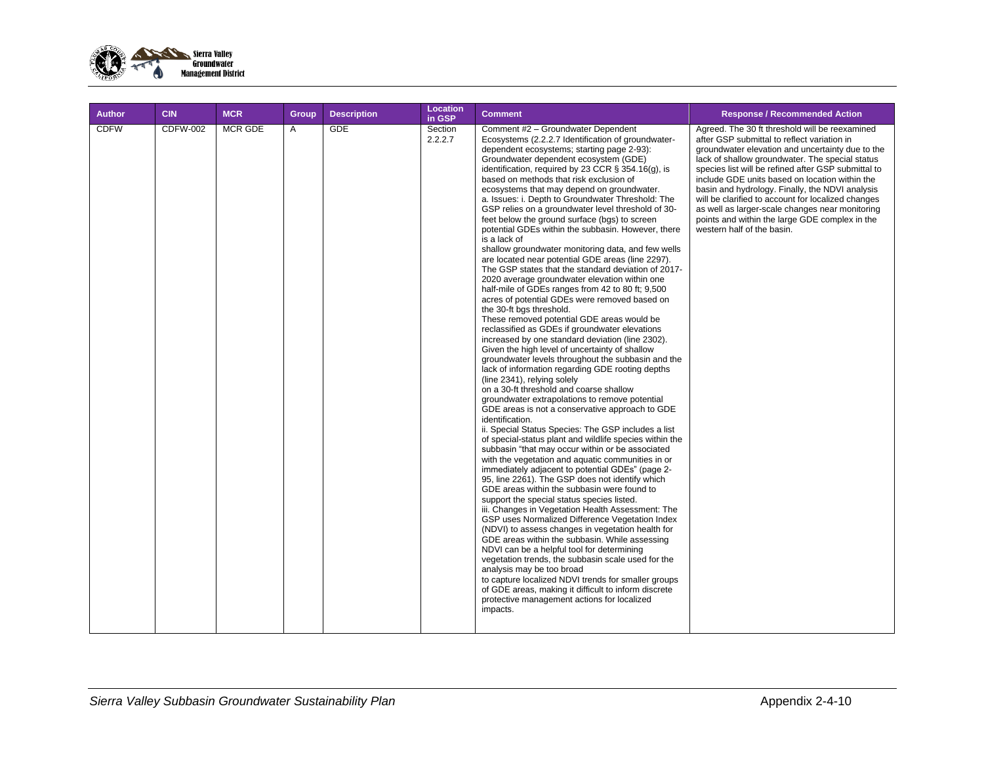

| <b>Author</b> | <b>CIN</b>      | <b>MCR</b>     | Group | <b>Description</b> | <b>Location</b><br>in GSP | <b>Comment</b>                                                                                                                                                                                                                                                                                                                                                                                                                                                                                                                                                                                                                                                                                                                                                                                                                                                                                                                                                                                                                                                                                                                                                                                                                                                                                                                                                                                                                                                                                                                                                                                                                                                                                                                                                                                                                                                                                                                                                                                                                                                                                                                                                                                                                                                                                                                                                                                     | <b>Response / Recommended Action</b>                                                                                                                                                                                                                                                                                                                                                                                                                                                                                                                      |
|---------------|-----------------|----------------|-------|--------------------|---------------------------|----------------------------------------------------------------------------------------------------------------------------------------------------------------------------------------------------------------------------------------------------------------------------------------------------------------------------------------------------------------------------------------------------------------------------------------------------------------------------------------------------------------------------------------------------------------------------------------------------------------------------------------------------------------------------------------------------------------------------------------------------------------------------------------------------------------------------------------------------------------------------------------------------------------------------------------------------------------------------------------------------------------------------------------------------------------------------------------------------------------------------------------------------------------------------------------------------------------------------------------------------------------------------------------------------------------------------------------------------------------------------------------------------------------------------------------------------------------------------------------------------------------------------------------------------------------------------------------------------------------------------------------------------------------------------------------------------------------------------------------------------------------------------------------------------------------------------------------------------------------------------------------------------------------------------------------------------------------------------------------------------------------------------------------------------------------------------------------------------------------------------------------------------------------------------------------------------------------------------------------------------------------------------------------------------------------------------------------------------------------------------------------------------|-----------------------------------------------------------------------------------------------------------------------------------------------------------------------------------------------------------------------------------------------------------------------------------------------------------------------------------------------------------------------------------------------------------------------------------------------------------------------------------------------------------------------------------------------------------|
| <b>CDFW</b>   | <b>CDFW-002</b> | <b>MCR GDE</b> | A     | <b>GDE</b>         | Section<br>2.2.2.7        | Comment #2 - Groundwater Dependent<br>Ecosystems (2.2.2.7 Identification of groundwater-<br>dependent ecosystems; starting page 2-93):<br>Groundwater dependent ecosystem (GDE)<br>identification, required by 23 CCR $\S$ 354.16(g), is<br>based on methods that risk exclusion of<br>ecosystems that may depend on groundwater.<br>a. Issues: i. Depth to Groundwater Threshold: The<br>GSP relies on a groundwater level threshold of 30-<br>feet below the ground surface (bgs) to screen<br>potential GDEs within the subbasin. However, there<br>is a lack of<br>shallow groundwater monitoring data, and few wells<br>are located near potential GDE areas (line 2297).<br>The GSP states that the standard deviation of 2017-<br>2020 average groundwater elevation within one<br>half-mile of GDEs ranges from 42 to 80 ft; 9,500<br>acres of potential GDEs were removed based on<br>the 30-ft bgs threshold.<br>These removed potential GDE areas would be<br>reclassified as GDEs if groundwater elevations<br>increased by one standard deviation (line 2302).<br>Given the high level of uncertainty of shallow<br>groundwater levels throughout the subbasin and the<br>lack of information regarding GDE rooting depths<br>(line 2341), relying solely<br>on a 30-ft threshold and coarse shallow<br>groundwater extrapolations to remove potential<br>GDE areas is not a conservative approach to GDE<br>identification.<br>ii. Special Status Species: The GSP includes a list<br>of special-status plant and wildlife species within the<br>subbasin "that may occur within or be associated<br>with the vegetation and aquatic communities in or<br>immediately adjacent to potential GDEs" (page 2-<br>95, line 2261). The GSP does not identify which<br>GDE areas within the subbasin were found to<br>support the special status species listed.<br>iii. Changes in Vegetation Health Assessment: The<br>GSP uses Normalized Difference Vegetation Index<br>(NDVI) to assess changes in vegetation health for<br>GDE areas within the subbasin. While assessing<br>NDVI can be a helpful tool for determining<br>vegetation trends, the subbasin scale used for the<br>analysis may be too broad<br>to capture localized NDVI trends for smaller groups<br>of GDE areas, making it difficult to inform discrete<br>protective management actions for localized<br>impacts. | Agreed. The 30 ft threshold will be reexamined<br>after GSP submittal to reflect variation in<br>groundwater elevation and uncertainty due to the<br>lack of shallow groundwater. The special status<br>species list will be refined after GSP submittal to<br>include GDE units based on location within the<br>basin and hydrology. Finally, the NDVI analysis<br>will be clarified to account for localized changes<br>as well as larger-scale changes near monitoring<br>points and within the large GDE complex in the<br>western half of the basin. |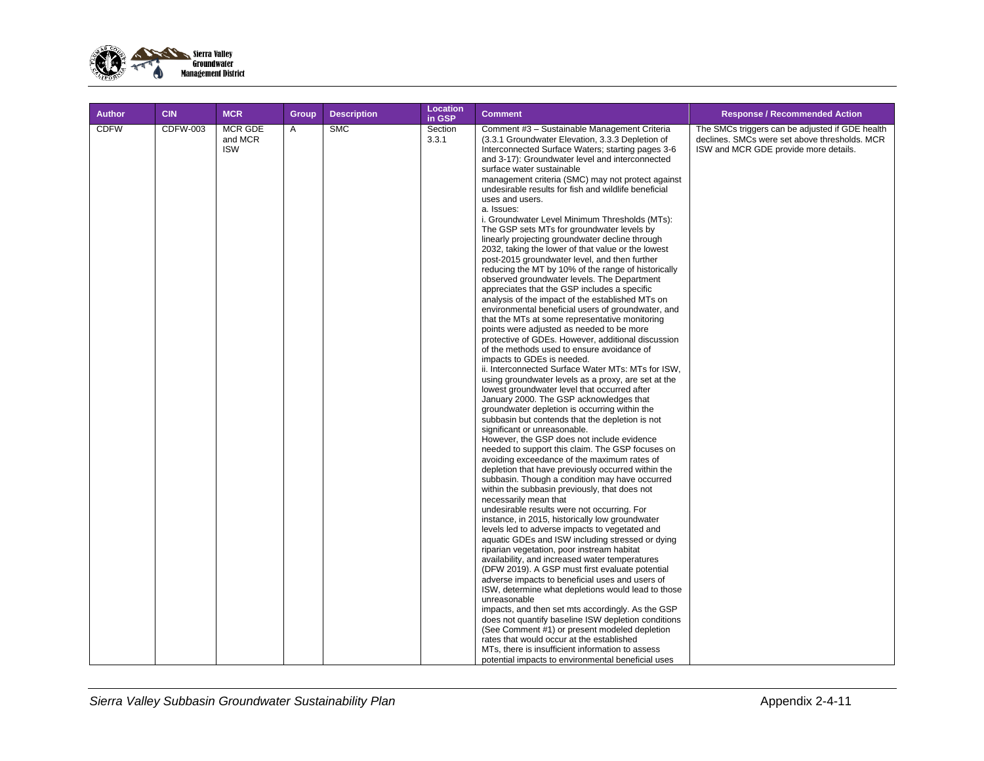

| <b>Author</b> | <b>CIN</b>      | <b>MCR</b>                              | <b>Group</b> | <b>Description</b> | <b>Location</b><br>in GSP | <b>Comment</b>                                                                                                                                                                                                                                                                                                                                                                                                                                                                                                                                                                                                                                                                                                                                                                                                                                                                                                                                                                                                                                                                                                                                                                                                                                                                                                                                                                                                                                                                                                                                                                                                                                                                                                                                                                                                                                                                                                                                                                                                                                                                                                                                                                                                                                                                                                                                                                                                                                                                                                                                                                                                                        | <b>Response / Recommended Action</b>                                                                                                      |
|---------------|-----------------|-----------------------------------------|--------------|--------------------|---------------------------|---------------------------------------------------------------------------------------------------------------------------------------------------------------------------------------------------------------------------------------------------------------------------------------------------------------------------------------------------------------------------------------------------------------------------------------------------------------------------------------------------------------------------------------------------------------------------------------------------------------------------------------------------------------------------------------------------------------------------------------------------------------------------------------------------------------------------------------------------------------------------------------------------------------------------------------------------------------------------------------------------------------------------------------------------------------------------------------------------------------------------------------------------------------------------------------------------------------------------------------------------------------------------------------------------------------------------------------------------------------------------------------------------------------------------------------------------------------------------------------------------------------------------------------------------------------------------------------------------------------------------------------------------------------------------------------------------------------------------------------------------------------------------------------------------------------------------------------------------------------------------------------------------------------------------------------------------------------------------------------------------------------------------------------------------------------------------------------------------------------------------------------------------------------------------------------------------------------------------------------------------------------------------------------------------------------------------------------------------------------------------------------------------------------------------------------------------------------------------------------------------------------------------------------------------------------------------------------------------------------------------------------|-------------------------------------------------------------------------------------------------------------------------------------------|
| <b>CDFW</b>   | <b>CDFW-003</b> | <b>MCR GDE</b><br>and MCR<br><b>ISW</b> | A            | <b>SMC</b>         | Section<br>3.3.1          | Comment #3 - Sustainable Management Criteria<br>(3.3.1 Groundwater Elevation, 3.3.3 Depletion of<br>Interconnected Surface Waters; starting pages 3-6<br>and 3-17): Groundwater level and interconnected<br>surface water sustainable<br>management criteria (SMC) may not protect against<br>undesirable results for fish and wildlife beneficial<br>uses and users.<br>a. Issues:<br>i. Groundwater Level Minimum Thresholds (MTs):<br>The GSP sets MTs for groundwater levels by<br>linearly projecting groundwater decline through<br>2032, taking the lower of that value or the lowest<br>post-2015 groundwater level, and then further<br>reducing the MT by 10% of the range of historically<br>observed groundwater levels. The Department<br>appreciates that the GSP includes a specific<br>analysis of the impact of the established MTs on<br>environmental beneficial users of groundwater, and<br>that the MTs at some representative monitoring<br>points were adjusted as needed to be more<br>protective of GDEs. However, additional discussion<br>of the methods used to ensure avoidance of<br>impacts to GDEs is needed.<br>ii. Interconnected Surface Water MTs: MTs for ISW,<br>using groundwater levels as a proxy, are set at the<br>lowest groundwater level that occurred after<br>January 2000. The GSP acknowledges that<br>groundwater depletion is occurring within the<br>subbasin but contends that the depletion is not<br>significant or unreasonable.<br>However, the GSP does not include evidence<br>needed to support this claim. The GSP focuses on<br>avoiding exceedance of the maximum rates of<br>depletion that have previously occurred within the<br>subbasin. Though a condition may have occurred<br>within the subbasin previously, that does not<br>necessarily mean that<br>undesirable results were not occurring. For<br>instance, in 2015, historically low groundwater<br>levels led to adverse impacts to vegetated and<br>aquatic GDEs and ISW including stressed or dying<br>riparian vegetation, poor instream habitat<br>availability, and increased water temperatures<br>(DFW 2019). A GSP must first evaluate potential<br>adverse impacts to beneficial uses and users of<br>ISW, determine what depletions would lead to those<br>unreasonable<br>impacts, and then set mts accordingly. As the GSP<br>does not quantify baseline ISW depletion conditions<br>(See Comment #1) or present modeled depletion<br>rates that would occur at the established<br>MTs, there is insufficient information to assess<br>potential impacts to environmental beneficial uses | The SMCs triggers can be adjusted if GDE health<br>declines. SMCs were set above thresholds. MCR<br>ISW and MCR GDE provide more details. |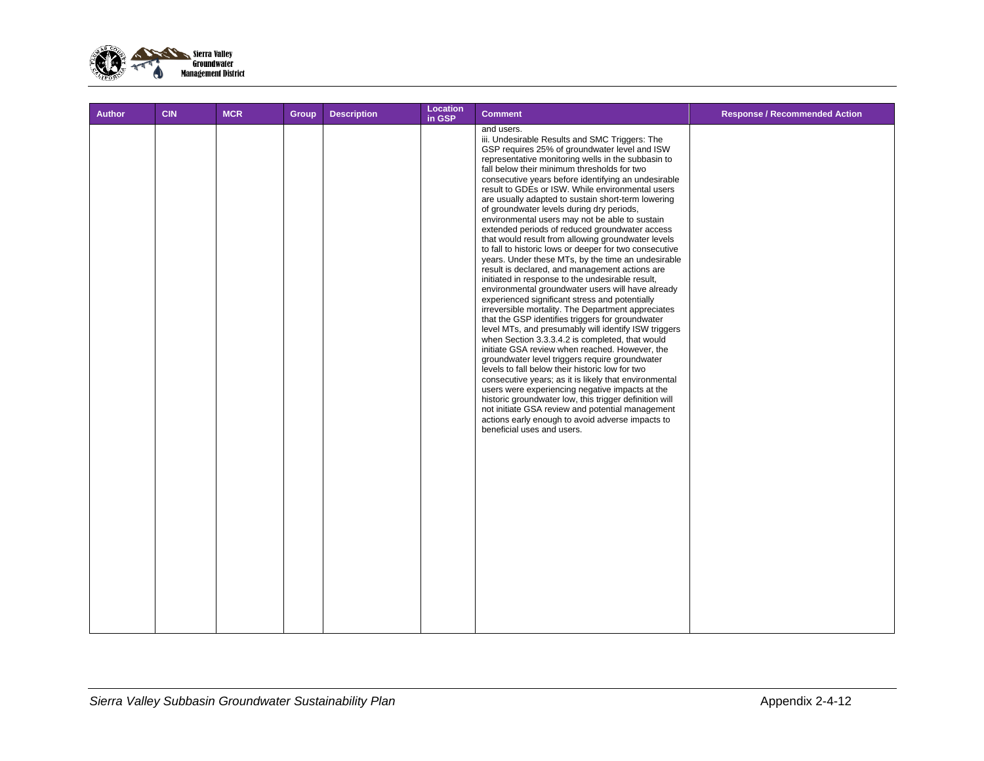

| <b>Author</b> | <b>CIN</b> | <b>MCR</b> | Group | <b>Description</b> | <b>Location</b><br>in GSP | <b>Comment</b>                                                                                                                                                                                                                                                                                                                                                                                                                                                                                                                                                                                                                                                                                                                                                                                                                                                                                                                                                                                                                                                                                                                                                                                                                                                                                                                                                                                                                                                                                                                                                                                                  | <b>Response / Recommended Action</b> |
|---------------|------------|------------|-------|--------------------|---------------------------|-----------------------------------------------------------------------------------------------------------------------------------------------------------------------------------------------------------------------------------------------------------------------------------------------------------------------------------------------------------------------------------------------------------------------------------------------------------------------------------------------------------------------------------------------------------------------------------------------------------------------------------------------------------------------------------------------------------------------------------------------------------------------------------------------------------------------------------------------------------------------------------------------------------------------------------------------------------------------------------------------------------------------------------------------------------------------------------------------------------------------------------------------------------------------------------------------------------------------------------------------------------------------------------------------------------------------------------------------------------------------------------------------------------------------------------------------------------------------------------------------------------------------------------------------------------------------------------------------------------------|--------------------------------------|
|               |            |            |       |                    |                           | and users.<br>iii. Undesirable Results and SMC Triggers: The<br>GSP requires 25% of groundwater level and ISW<br>representative monitoring wells in the subbasin to<br>fall below their minimum thresholds for two<br>consecutive years before identifying an undesirable<br>result to GDEs or ISW. While environmental users<br>are usually adapted to sustain short-term lowering<br>of groundwater levels during dry periods,<br>environmental users may not be able to sustain<br>extended periods of reduced groundwater access<br>that would result from allowing groundwater levels<br>to fall to historic lows or deeper for two consecutive<br>years. Under these MTs, by the time an undesirable<br>result is declared, and management actions are<br>initiated in response to the undesirable result,<br>environmental groundwater users will have already<br>experienced significant stress and potentially<br>irreversible mortality. The Department appreciates<br>that the GSP identifies triggers for groundwater<br>level MTs, and presumably will identify ISW triggers<br>when Section 3.3.3.4.2 is completed, that would<br>initiate GSA review when reached. However, the<br>groundwater level triggers require groundwater<br>levels to fall below their historic low for two<br>consecutive years; as it is likely that environmental<br>users were experiencing negative impacts at the<br>historic groundwater low, this trigger definition will<br>not initiate GSA review and potential management<br>actions early enough to avoid adverse impacts to<br>beneficial uses and users. |                                      |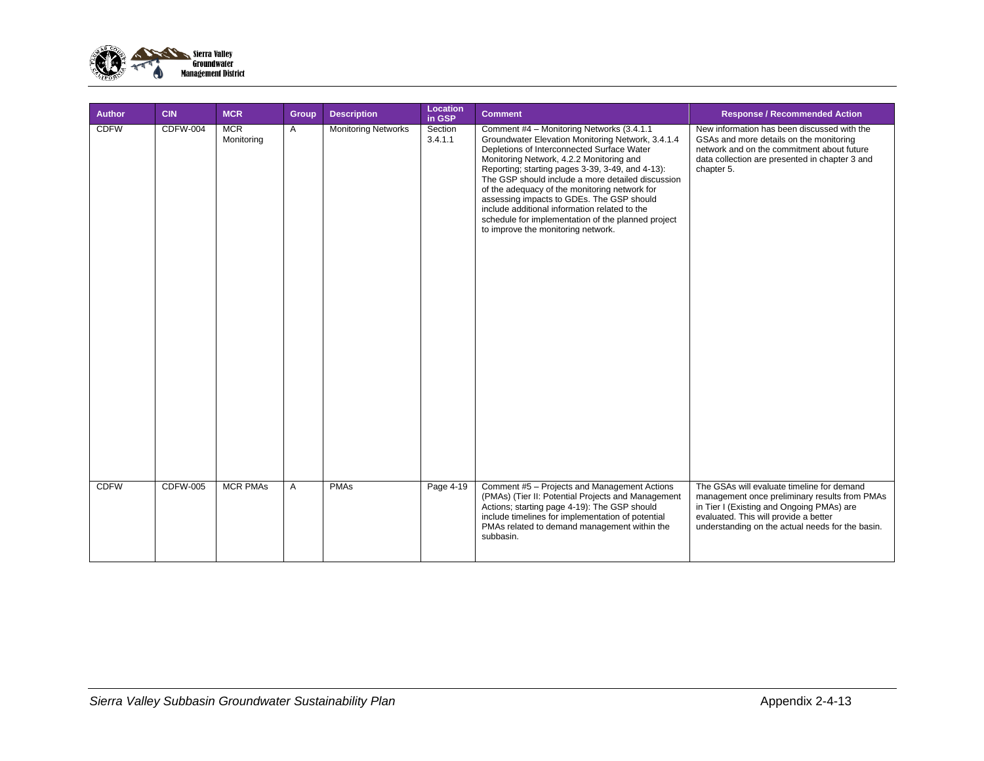

| Author      | <b>CIN</b>      | <b>MCR</b>               | Group | <b>Description</b>         | Location<br>in GSP | <b>Comment</b>                                                                                                                                                                                                                                                                                                                                                                                                                                                                                                                                | <b>Response / Recommended Action</b>                                                                                                                                                                                                  |
|-------------|-----------------|--------------------------|-------|----------------------------|--------------------|-----------------------------------------------------------------------------------------------------------------------------------------------------------------------------------------------------------------------------------------------------------------------------------------------------------------------------------------------------------------------------------------------------------------------------------------------------------------------------------------------------------------------------------------------|---------------------------------------------------------------------------------------------------------------------------------------------------------------------------------------------------------------------------------------|
| <b>CDFW</b> | <b>CDFW-004</b> | <b>MCR</b><br>Monitoring | A     | <b>Monitoring Networks</b> | Section<br>3.4.1.1 | Comment #4 - Monitoring Networks (3.4.1.1)<br>Groundwater Elevation Monitoring Network, 3.4.1.4<br>Depletions of Interconnected Surface Water<br>Monitoring Network, 4.2.2 Monitoring and<br>Reporting; starting pages 3-39, 3-49, and 4-13):<br>The GSP should include a more detailed discussion<br>of the adequacy of the monitoring network for<br>assessing impacts to GDEs. The GSP should<br>include additional information related to the<br>schedule for implementation of the planned project<br>to improve the monitoring network. | New information has been discussed with the<br>GSAs and more details on the monitoring<br>network and on the commitment about future<br>data collection are presented in chapter 3 and<br>chapter 5.                                  |
| <b>CDFW</b> | <b>CDFW-005</b> | <b>MCR PMAs</b>          | A     | <b>PMAs</b>                | Page 4-19          | Comment #5 - Projects and Management Actions<br>(PMAs) (Tier II: Potential Projects and Management<br>Actions; starting page 4-19): The GSP should<br>include timelines for implementation of potential<br>PMAs related to demand management within the<br>subbasin.                                                                                                                                                                                                                                                                          | The GSAs will evaluate timeline for demand<br>management once preliminary results from PMAs<br>in Tier I (Existing and Ongoing PMAs) are<br>evaluated. This will provide a better<br>understanding on the actual needs for the basin. |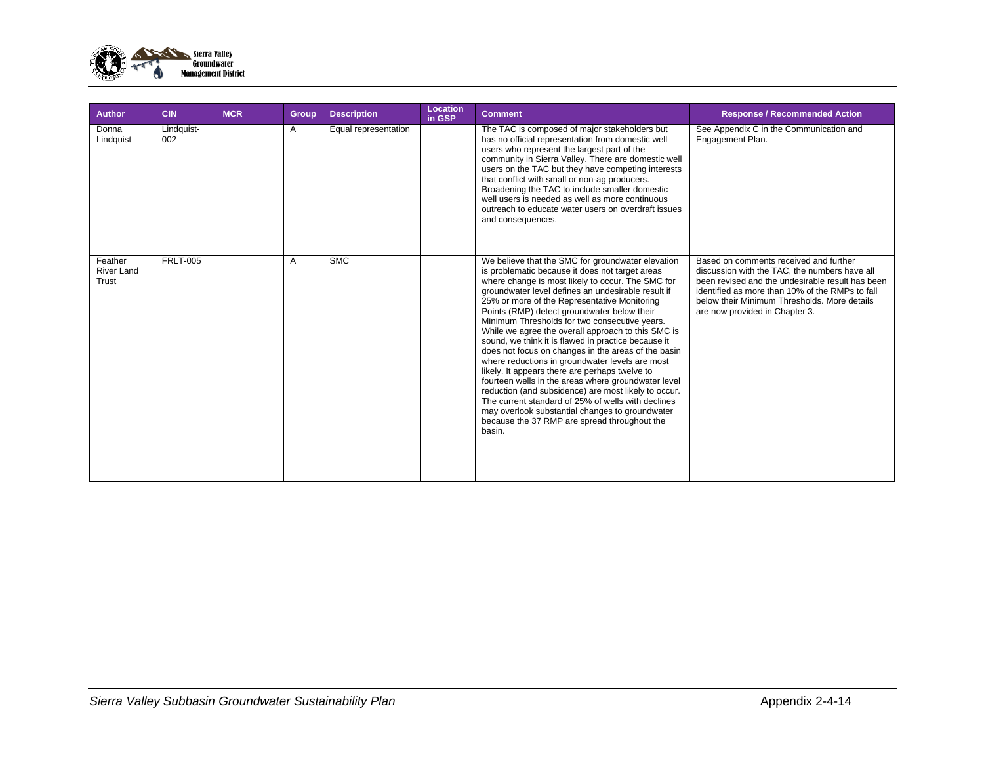

| <b>Author</b>                         | <b>CIN</b>        | <b>MCR</b> | Group | <b>Description</b>   | Location<br>in GSP | <b>Comment</b>                                                                                                                                                                                                                                                                                                                                                                                                                                                                                                                                                                                                                                                                                                                                                                                                                                                                                                             | <b>Response / Recommended Action</b>                                                                                                                                                                                                                                             |
|---------------------------------------|-------------------|------------|-------|----------------------|--------------------|----------------------------------------------------------------------------------------------------------------------------------------------------------------------------------------------------------------------------------------------------------------------------------------------------------------------------------------------------------------------------------------------------------------------------------------------------------------------------------------------------------------------------------------------------------------------------------------------------------------------------------------------------------------------------------------------------------------------------------------------------------------------------------------------------------------------------------------------------------------------------------------------------------------------------|----------------------------------------------------------------------------------------------------------------------------------------------------------------------------------------------------------------------------------------------------------------------------------|
| Donna<br>Lindquist                    | Lindquist-<br>002 |            | A     | Equal representation |                    | The TAC is composed of major stakeholders but<br>has no official representation from domestic well<br>users who represent the largest part of the<br>community in Sierra Valley. There are domestic well<br>users on the TAC but they have competing interests<br>that conflict with small or non-ag producers.<br>Broadening the TAC to include smaller domestic<br>well users is needed as well as more continuous<br>outreach to educate water users on overdraft issues<br>and consequences.                                                                                                                                                                                                                                                                                                                                                                                                                           | See Appendix C in the Communication and<br>Engagement Plan.                                                                                                                                                                                                                      |
| Feather<br><b>River Land</b><br>Trust | <b>FRLT-005</b>   |            | A     | <b>SMC</b>           |                    | We believe that the SMC for groundwater elevation<br>is problematic because it does not target areas<br>where change is most likely to occur. The SMC for<br>groundwater level defines an undesirable result if<br>25% or more of the Representative Monitoring<br>Points (RMP) detect groundwater below their<br>Minimum Thresholds for two consecutive years.<br>While we agree the overall approach to this SMC is<br>sound, we think it is flawed in practice because it<br>does not focus on changes in the areas of the basin<br>where reductions in groundwater levels are most<br>likely. It appears there are perhaps twelve to<br>fourteen wells in the areas where groundwater level<br>reduction (and subsidence) are most likely to occur.<br>The current standard of 25% of wells with declines<br>may overlook substantial changes to groundwater<br>because the 37 RMP are spread throughout the<br>basin. | Based on comments received and further<br>discussion with the TAC, the numbers have all<br>been revised and the undesirable result has been<br>identified as more than 10% of the RMPs to fall<br>below their Minimum Thresholds. More details<br>are now provided in Chapter 3. |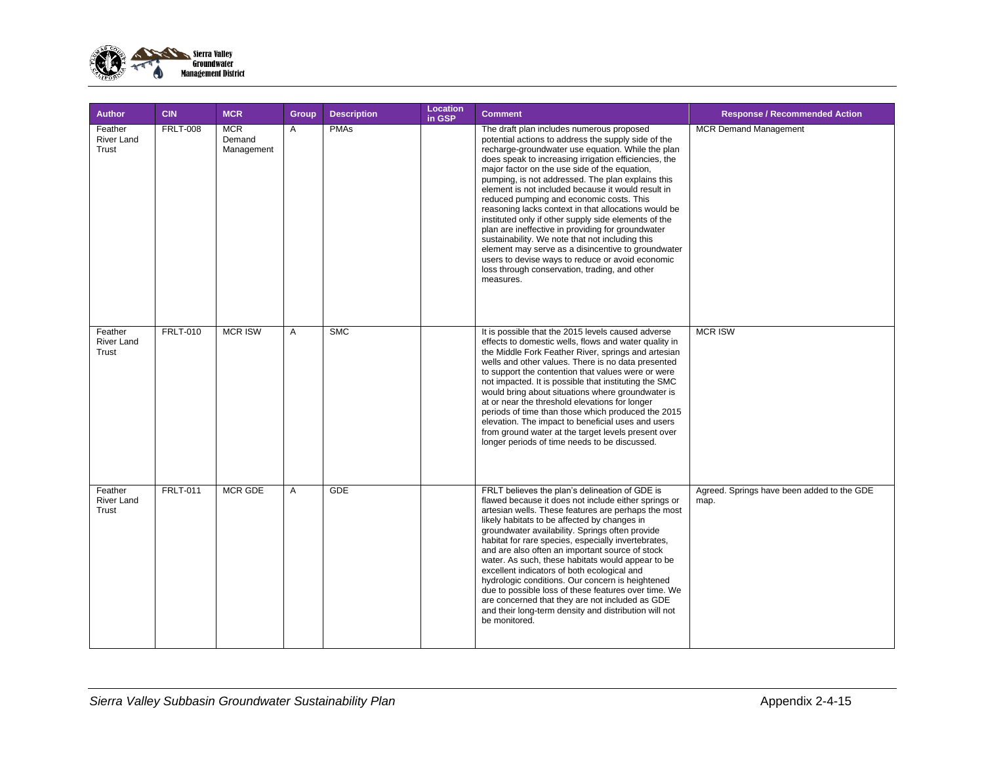

| <b>Author</b>                         | <b>CIN</b>      | <b>MCR</b>                         | <b>Group</b> | <b>Description</b> | Location<br>in GSP | <b>Comment</b>                                                                                                                                                                                                                                                                                                                                                                                                                                                                                                                                                                                                                                                                                                                                                                                                         | <b>Response / Recommended Action</b>               |
|---------------------------------------|-----------------|------------------------------------|--------------|--------------------|--------------------|------------------------------------------------------------------------------------------------------------------------------------------------------------------------------------------------------------------------------------------------------------------------------------------------------------------------------------------------------------------------------------------------------------------------------------------------------------------------------------------------------------------------------------------------------------------------------------------------------------------------------------------------------------------------------------------------------------------------------------------------------------------------------------------------------------------------|----------------------------------------------------|
| Feather<br><b>River Land</b><br>Trust | <b>FRLT-008</b> | <b>MCR</b><br>Demand<br>Management | A            | <b>PMAs</b>        |                    | The draft plan includes numerous proposed<br>potential actions to address the supply side of the<br>recharge-groundwater use equation. While the plan<br>does speak to increasing irrigation efficiencies, the<br>major factor on the use side of the equation,<br>pumping, is not addressed. The plan explains this<br>element is not included because it would result in<br>reduced pumping and economic costs. This<br>reasoning lacks context in that allocations would be<br>instituted only if other supply side elements of the<br>plan are ineffective in providing for groundwater<br>sustainability. We note that not including this<br>element may serve as a disincentive to groundwater<br>users to devise ways to reduce or avoid economic<br>loss through conservation, trading, and other<br>measures. | <b>MCR Demand Management</b>                       |
| Feather<br>River Land<br>Trust        | <b>FRLT-010</b> | <b>MCR ISW</b>                     | A            | SMC                |                    | It is possible that the 2015 levels caused adverse<br>effects to domestic wells, flows and water quality in<br>the Middle Fork Feather River, springs and artesian<br>wells and other values. There is no data presented<br>to support the contention that values were or were<br>not impacted. It is possible that instituting the SMC<br>would bring about situations where groundwater is<br>at or near the threshold elevations for longer<br>periods of time than those which produced the 2015<br>elevation. The impact to beneficial uses and users<br>from ground water at the target levels present over<br>longer periods of time needs to be discussed.                                                                                                                                                     | <b>MCR ISW</b>                                     |
| Feather<br><b>River Land</b><br>Trust | <b>FRLT-011</b> | <b>MCR GDE</b>                     | A            | <b>GDE</b>         |                    | FRLT believes the plan's delineation of GDE is<br>flawed because it does not include either springs or<br>artesian wells. These features are perhaps the most<br>likely habitats to be affected by changes in<br>groundwater availability. Springs often provide<br>habitat for rare species, especially invertebrates,<br>and are also often an important source of stock<br>water. As such, these habitats would appear to be<br>excellent indicators of both ecological and<br>hydrologic conditions. Our concern is heightened<br>due to possible loss of these features over time. We<br>are concerned that they are not included as GDE<br>and their long-term density and distribution will not<br>be monitored.                                                                                                | Agreed. Springs have been added to the GDE<br>map. |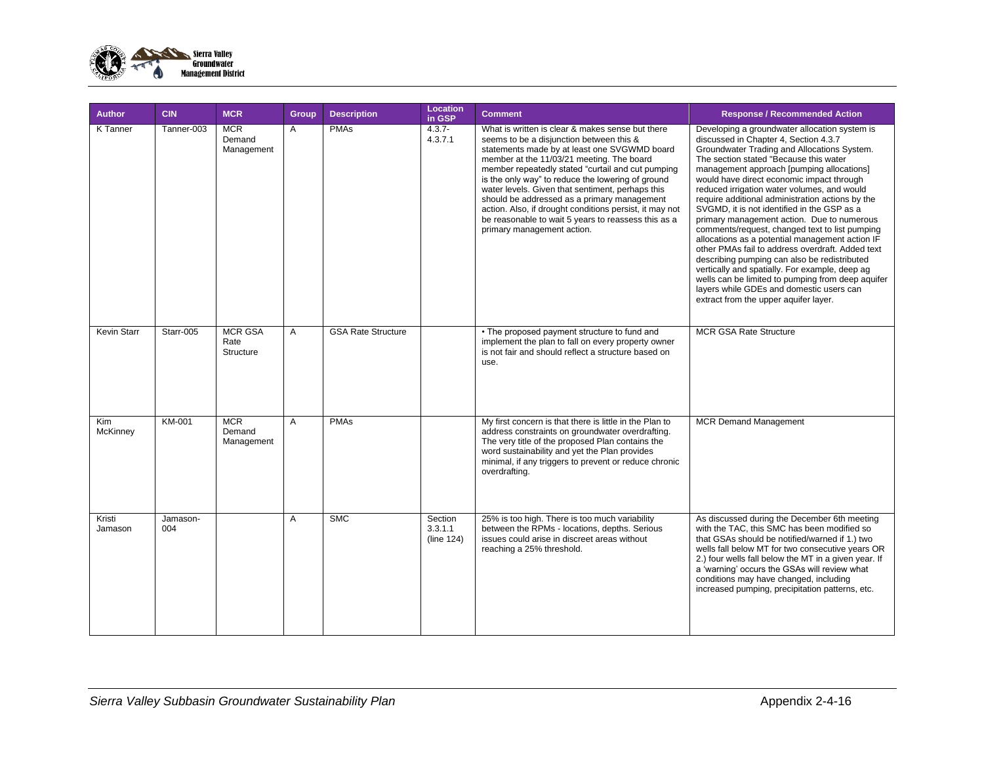

| <b>Author</b>      | <b>CIN</b>      | <b>MCR</b>                          | Group | <b>Description</b>        | Location<br>in GSP               | <b>Comment</b>                                                                                                                                                                                                                                                                                                                                                                                                                                                                                                                                         | <b>Response / Recommended Action</b>                                                                                                                                                                                                                                                                                                                                                                                                                                                                                                                                                                                                                                                                                                                                                                                                                                           |
|--------------------|-----------------|-------------------------------------|-------|---------------------------|----------------------------------|--------------------------------------------------------------------------------------------------------------------------------------------------------------------------------------------------------------------------------------------------------------------------------------------------------------------------------------------------------------------------------------------------------------------------------------------------------------------------------------------------------------------------------------------------------|--------------------------------------------------------------------------------------------------------------------------------------------------------------------------------------------------------------------------------------------------------------------------------------------------------------------------------------------------------------------------------------------------------------------------------------------------------------------------------------------------------------------------------------------------------------------------------------------------------------------------------------------------------------------------------------------------------------------------------------------------------------------------------------------------------------------------------------------------------------------------------|
| <b>K</b> Tanner    | Tanner-003      | <b>MCR</b><br>Demand<br>Management  | A     | <b>PMAs</b>               | $4.3.7 -$<br>4.3.7.1             | What is written is clear & makes sense but there<br>seems to be a disjunction between this &<br>statements made by at least one SVGWMD board<br>member at the 11/03/21 meeting. The board<br>member repeatedly stated "curtail and cut pumping<br>is the only way" to reduce the lowering of ground<br>water levels. Given that sentiment, perhaps this<br>should be addressed as a primary management<br>action. Also, if drought conditions persist, it may not<br>be reasonable to wait 5 years to reassess this as a<br>primary management action. | Developing a groundwater allocation system is<br>discussed in Chapter 4, Section 4.3.7<br>Groundwater Trading and Allocations System.<br>The section stated "Because this water<br>management approach [pumping allocations]<br>would have direct economic impact through<br>reduced irrigation water volumes, and would<br>require additional administration actions by the<br>SVGMD, it is not identified in the GSP as a<br>primary management action. Due to numerous<br>comments/request, changed text to list pumping<br>allocations as a potential management action IF<br>other PMAs fail to address overdraft. Added text<br>describing pumping can also be redistributed<br>vertically and spatially. For example, deep ag<br>wells can be limited to pumping from deep aquifer<br>layers while GDEs and domestic users can<br>extract from the upper aquifer layer. |
| <b>Kevin Starr</b> | Starr-005       | <b>MCR GSA</b><br>Rate<br>Structure | A     | <b>GSA Rate Structure</b> |                                  | • The proposed payment structure to fund and<br>implement the plan to fall on every property owner<br>is not fair and should reflect a structure based on<br>use.                                                                                                                                                                                                                                                                                                                                                                                      | <b>MCR GSA Rate Structure</b>                                                                                                                                                                                                                                                                                                                                                                                                                                                                                                                                                                                                                                                                                                                                                                                                                                                  |
| Kim<br>McKinney    | KM-001          | <b>MCR</b><br>Demand<br>Management  | A     | <b>PMAs</b>               |                                  | My first concern is that there is little in the Plan to<br>address constraints on groundwater overdrafting.<br>The very title of the proposed Plan contains the<br>word sustainability and yet the Plan provides<br>minimal, if any triggers to prevent or reduce chronic<br>overdrafting.                                                                                                                                                                                                                                                             | <b>MCR Demand Management</b>                                                                                                                                                                                                                                                                                                                                                                                                                                                                                                                                                                                                                                                                                                                                                                                                                                                   |
| Kristi<br>Jamason  | Jamason-<br>004 |                                     | A     | <b>SMC</b>                | Section<br>3.3.1.1<br>(line 124) | 25% is too high. There is too much variability<br>between the RPMs - locations, depths. Serious<br>issues could arise in discreet areas without<br>reaching a 25% threshold.                                                                                                                                                                                                                                                                                                                                                                           | As discussed during the December 6th meeting<br>with the TAC, this SMC has been modified so<br>that GSAs should be notified/warned if 1.) two<br>wells fall below MT for two consecutive years OR<br>2.) four wells fall below the MT in a given year. If<br>a 'warning' occurs the GSAs will review what<br>conditions may have changed, including<br>increased pumping, precipitation patterns, etc.                                                                                                                                                                                                                                                                                                                                                                                                                                                                         |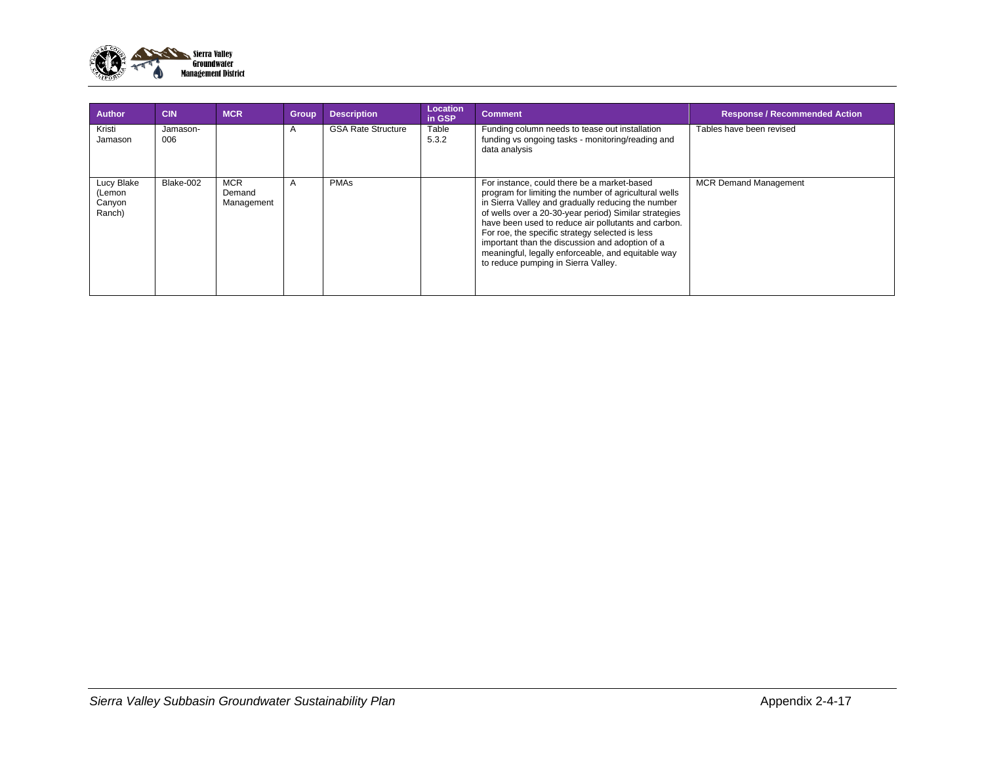

| <b>Author</b>                            | <b>CIN</b>      | <b>MCR</b>                         | <b>Group</b> | <b>Description</b>        | <b>Location</b><br>in GSP | <b>Comment</b>                                                                                                                                                                                                                                                                                                                                                                                                                                                                | <b>Response / Recommended Action</b> |
|------------------------------------------|-----------------|------------------------------------|--------------|---------------------------|---------------------------|-------------------------------------------------------------------------------------------------------------------------------------------------------------------------------------------------------------------------------------------------------------------------------------------------------------------------------------------------------------------------------------------------------------------------------------------------------------------------------|--------------------------------------|
| Kristi<br>Jamason                        | Jamason-<br>006 |                                    | $\mathsf{A}$ | <b>GSA Rate Structure</b> | Table<br>5.3.2            | Funding column needs to tease out installation<br>funding vs ongoing tasks - monitoring/reading and<br>data analysis                                                                                                                                                                                                                                                                                                                                                          | Tables have been revised             |
| Lucy Blake<br>(Lemon<br>Canyon<br>Ranch) | Blake-002       | <b>MCR</b><br>Demand<br>Management | $\mathsf{A}$ | <b>PMAs</b>               |                           | For instance, could there be a market-based<br>program for limiting the number of agricultural wells<br>in Sierra Valley and gradually reducing the number<br>of wells over a 20-30-year period) Similar strategies<br>have been used to reduce air pollutants and carbon.<br>For roe, the specific strategy selected is less<br>important than the discussion and adoption of a<br>meaningful, legally enforceable, and equitable way<br>to reduce pumping in Sierra Valley. | <b>MCR Demand Management</b>         |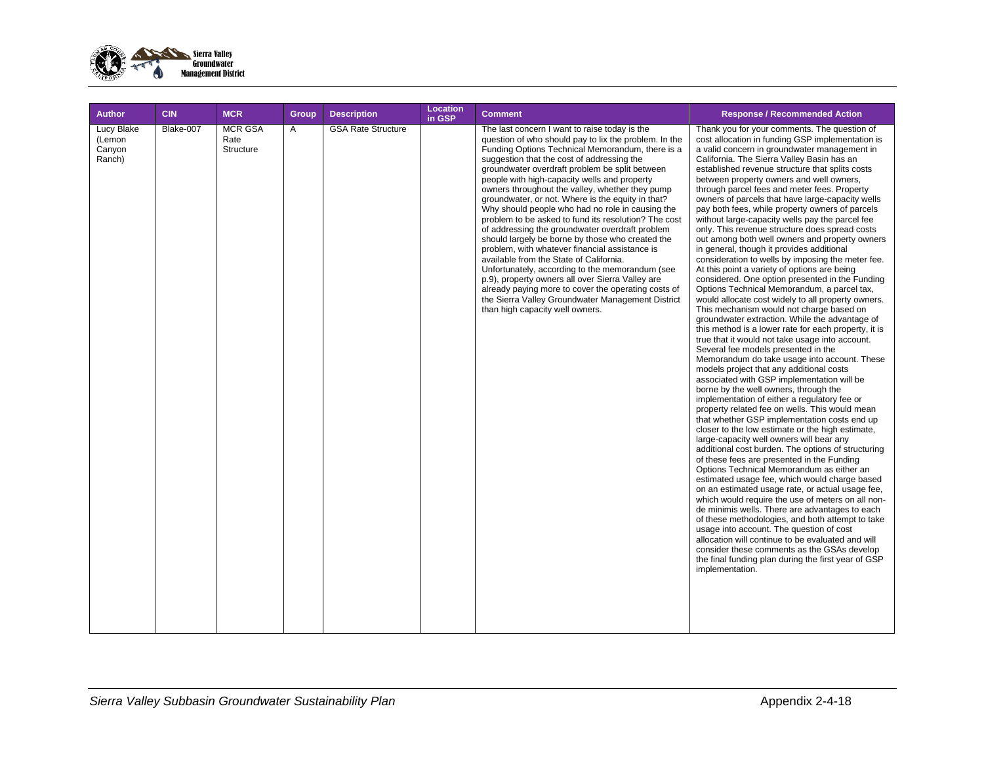

| <b>Author</b>                            | <b>CIN</b> | <b>MCR</b>                          | <b>Group</b> | <b>Description</b>        | Location<br>in GSP | <b>Comment</b>                                                                                                                                                                                                                                                                                                                                                                                                                                                                                                                                                                                                                                                                                                                                                                                                                                                                                                                                                                           | <b>Response / Recommended Action</b>                                                                                                                                                                                                                                                                                                                                                                                                                                                                                                                                                                                                                                                                                                                                                                                                                                                                                                                                                                                                                                                                                                                                                                                                                                                                                                                                                                                                                                                                                                                                                                                                                                                                                                                                                                                                                                                                                                                                                                                                                                                                                                                                                                                                                  |
|------------------------------------------|------------|-------------------------------------|--------------|---------------------------|--------------------|------------------------------------------------------------------------------------------------------------------------------------------------------------------------------------------------------------------------------------------------------------------------------------------------------------------------------------------------------------------------------------------------------------------------------------------------------------------------------------------------------------------------------------------------------------------------------------------------------------------------------------------------------------------------------------------------------------------------------------------------------------------------------------------------------------------------------------------------------------------------------------------------------------------------------------------------------------------------------------------|-------------------------------------------------------------------------------------------------------------------------------------------------------------------------------------------------------------------------------------------------------------------------------------------------------------------------------------------------------------------------------------------------------------------------------------------------------------------------------------------------------------------------------------------------------------------------------------------------------------------------------------------------------------------------------------------------------------------------------------------------------------------------------------------------------------------------------------------------------------------------------------------------------------------------------------------------------------------------------------------------------------------------------------------------------------------------------------------------------------------------------------------------------------------------------------------------------------------------------------------------------------------------------------------------------------------------------------------------------------------------------------------------------------------------------------------------------------------------------------------------------------------------------------------------------------------------------------------------------------------------------------------------------------------------------------------------------------------------------------------------------------------------------------------------------------------------------------------------------------------------------------------------------------------------------------------------------------------------------------------------------------------------------------------------------------------------------------------------------------------------------------------------------------------------------------------------------------------------------------------------------|
| Lucy Blake<br>(Lemon<br>Canyon<br>Ranch) | Blake-007  | <b>MCR GSA</b><br>Rate<br>Structure | A            | <b>GSA Rate Structure</b> |                    | The last concern I want to raise today is the<br>question of who should pay to lix the problem. In the<br>Funding Options Technical Memorandum, there is a<br>suggestion that the cost of addressing the<br>groundwater overdraft problem be split between<br>people with high-capacity wells and property<br>owners throughout the valley, whether they pump<br>groundwater, or not. Where is the equity in that?<br>Why should people who had no role in causing the<br>problem to be asked to fund its resolution? The cost<br>of addressing the groundwater overdraft problem<br>should largely be borne by those who created the<br>problem, with whatever financial assistance is<br>available from the State of California.<br>Unfortunately, according to the memorandum (see<br>p.9), property owners all over Sierra Valley are<br>already paying more to cover the operating costs of<br>the Sierra Valley Groundwater Management District<br>than high capacity well owners. | Thank you for your comments. The question of<br>cost allocation in funding GSP implementation is<br>a valid concern in groundwater management in<br>California. The Sierra Valley Basin has an<br>established revenue structure that splits costs<br>between property owners and well owners,<br>through parcel fees and meter fees. Property<br>owners of parcels that have large-capacity wells<br>pay both fees, while property owners of parcels<br>without large-capacity wells pay the parcel fee<br>only. This revenue structure does spread costs<br>out among both well owners and property owners<br>in general, though it provides additional<br>consideration to wells by imposing the meter fee.<br>At this point a variety of options are being<br>considered. One option presented in the Funding<br>Options Technical Memorandum, a parcel tax,<br>would allocate cost widely to all property owners.<br>This mechanism would not charge based on<br>groundwater extraction. While the advantage of<br>this method is a lower rate for each property, it is<br>true that it would not take usage into account.<br>Several fee models presented in the<br>Memorandum do take usage into account. These<br>models project that any additional costs<br>associated with GSP implementation will be<br>borne by the well owners, through the<br>implementation of either a regulatory fee or<br>property related fee on wells. This would mean<br>that whether GSP implementation costs end up<br>closer to the low estimate or the high estimate,<br>large-capacity well owners will bear any<br>additional cost burden. The options of structuring<br>of these fees are presented in the Funding<br>Options Technical Memorandum as either an<br>estimated usage fee, which would charge based<br>on an estimated usage rate, or actual usage fee,<br>which would require the use of meters on all non-<br>de minimis wells. There are advantages to each<br>of these methodologies, and both attempt to take<br>usage into account. The question of cost<br>allocation will continue to be evaluated and will<br>consider these comments as the GSAs develop<br>the final funding plan during the first year of GSP<br>implementation. |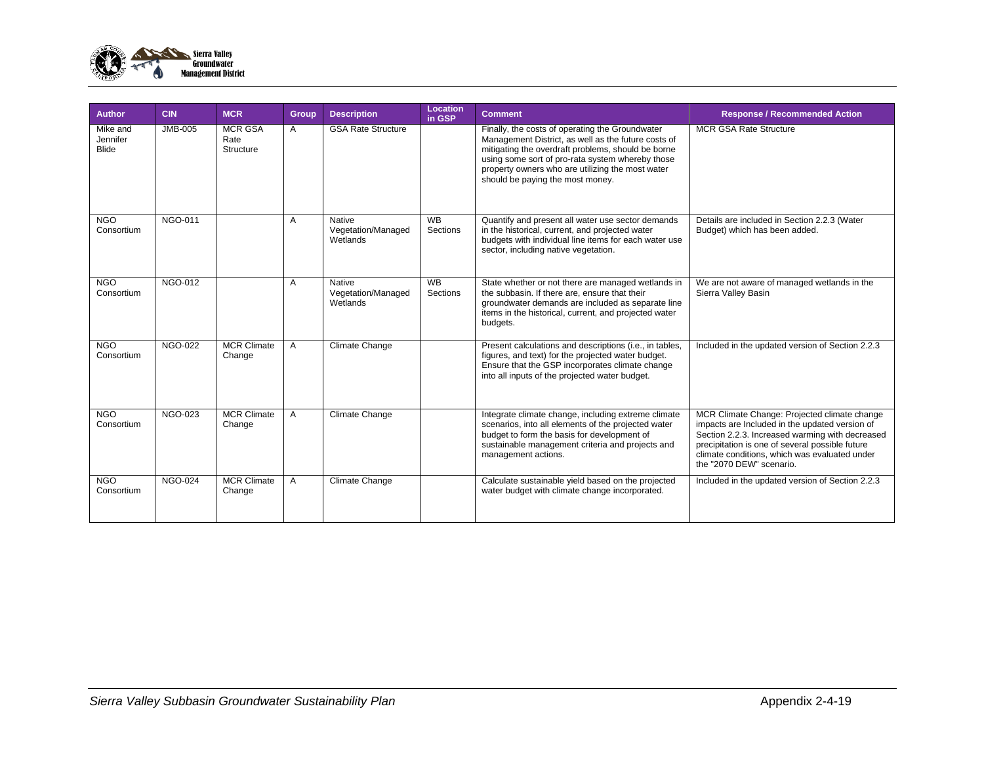

| <b>Author</b>                        | <b>CIN</b>     | <b>MCR</b>                          | <b>Group</b> | <b>Description</b>                       | Location<br>in GSP    | <b>Comment</b>                                                                                                                                                                                                                                                                                           | <b>Response / Recommended Action</b>                                                                                                                                                                                                                                              |
|--------------------------------------|----------------|-------------------------------------|--------------|------------------------------------------|-----------------------|----------------------------------------------------------------------------------------------------------------------------------------------------------------------------------------------------------------------------------------------------------------------------------------------------------|-----------------------------------------------------------------------------------------------------------------------------------------------------------------------------------------------------------------------------------------------------------------------------------|
| Mike and<br>Jennifer<br><b>Blide</b> | <b>JMB-005</b> | <b>MCR GSA</b><br>Rate<br>Structure | A            | <b>GSA Rate Structure</b>                |                       | Finally, the costs of operating the Groundwater<br>Management District, as well as the future costs of<br>mitigating the overdraft problems, should be borne<br>using some sort of pro-rata system whereby those<br>property owners who are utilizing the most water<br>should be paying the most money. | <b>MCR GSA Rate Structure</b>                                                                                                                                                                                                                                                     |
| <b>NGO</b><br>Consortium             | <b>NGO-011</b> |                                     | A            | Native<br>Vegetation/Managed<br>Wetlands | <b>WB</b><br>Sections | Quantify and present all water use sector demands<br>in the historical, current, and projected water<br>budgets with individual line items for each water use<br>sector, including native vegetation.                                                                                                    | Details are included in Section 2.2.3 (Water<br>Budget) which has been added.                                                                                                                                                                                                     |
| <b>NGO</b><br>Consortium             | <b>NGO-012</b> |                                     | A            | Native<br>Vegetation/Managed<br>Wetlands | <b>WB</b><br>Sections | State whether or not there are managed wetlands in<br>the subbasin. If there are, ensure that their<br>groundwater demands are included as separate line<br>items in the historical, current, and projected water<br>budgets.                                                                            | We are not aware of managed wetlands in the<br>Sierra Valley Basin                                                                                                                                                                                                                |
| N <sub>G</sub> O<br>Consortium       | <b>NGO-022</b> | <b>MCR Climate</b><br>Change        | A            | Climate Change                           |                       | Present calculations and descriptions (i.e., in tables,<br>figures, and text) for the projected water budget.<br>Ensure that the GSP incorporates climate change<br>into all inputs of the projected water budget.                                                                                       | Included in the updated version of Section 2.2.3                                                                                                                                                                                                                                  |
| N <sub>G</sub> O<br>Consortium       | <b>NGO-023</b> | <b>MCR Climate</b><br>Change        | A            | Climate Change                           |                       | Integrate climate change, including extreme climate<br>scenarios, into all elements of the projected water<br>budget to form the basis for development of<br>sustainable management criteria and projects and<br>management actions.                                                                     | MCR Climate Change: Projected climate change<br>impacts are Included in the updated version of<br>Section 2.2.3. Increased warming with decreased<br>precipitation is one of several possible future<br>climate conditions, which was evaluated under<br>the "2070 DEW" scenario. |
| <b>NGO</b><br>Consortium             | <b>NGO-024</b> | <b>MCR Climate</b><br>Change        | A            | Climate Change                           |                       | Calculate sustainable yield based on the projected<br>water budget with climate change incorporated.                                                                                                                                                                                                     | Included in the updated version of Section 2.2.3                                                                                                                                                                                                                                  |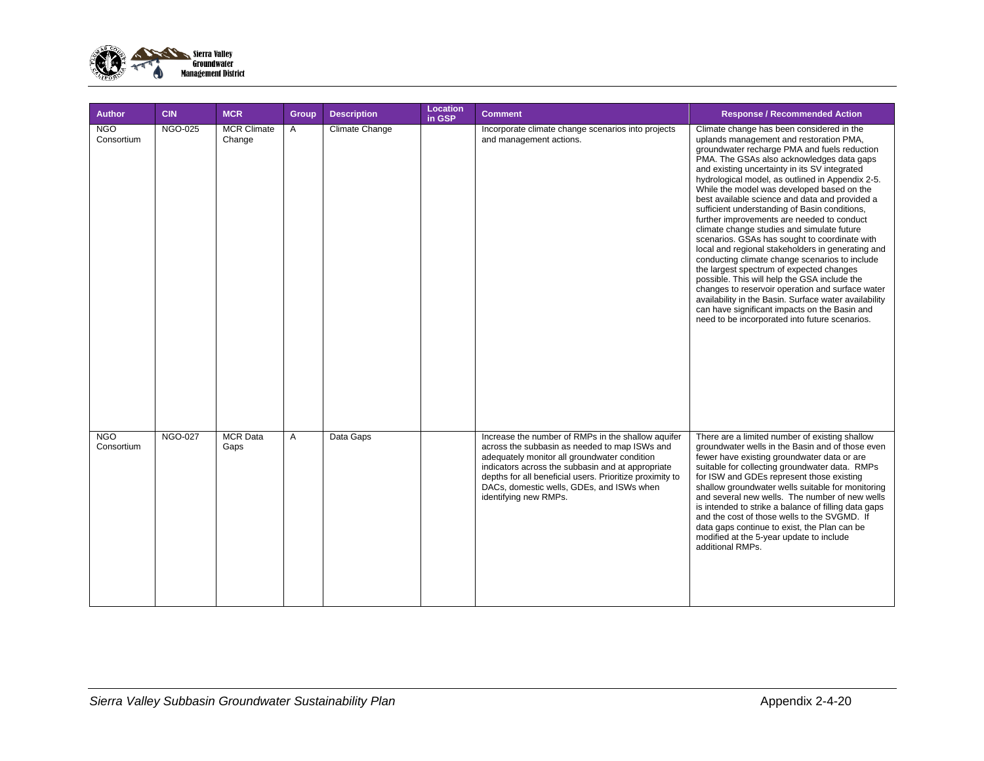

| <b>Author</b>            | <b>CIN</b>     | <b>MCR</b>                   | <b>Group</b> | <b>Description</b> | Location<br>in GSP | <b>Comment</b>                                                                                                                                                                                                                                                                                                                             | <b>Response / Recommended Action</b>                                                                                                                                                                                                                                                                                                                                                                                                                                                                                                                                                                                                                                                                                                                                                                                                                                                                                                                                                                    |
|--------------------------|----------------|------------------------------|--------------|--------------------|--------------------|--------------------------------------------------------------------------------------------------------------------------------------------------------------------------------------------------------------------------------------------------------------------------------------------------------------------------------------------|---------------------------------------------------------------------------------------------------------------------------------------------------------------------------------------------------------------------------------------------------------------------------------------------------------------------------------------------------------------------------------------------------------------------------------------------------------------------------------------------------------------------------------------------------------------------------------------------------------------------------------------------------------------------------------------------------------------------------------------------------------------------------------------------------------------------------------------------------------------------------------------------------------------------------------------------------------------------------------------------------------|
| <b>NGO</b><br>Consortium | <b>NGO-025</b> | <b>MCR Climate</b><br>Change | A            | Climate Change     |                    | Incorporate climate change scenarios into projects<br>and management actions.                                                                                                                                                                                                                                                              | Climate change has been considered in the<br>uplands management and restoration PMA,<br>groundwater recharge PMA and fuels reduction<br>PMA. The GSAs also acknowledges data gaps<br>and existing uncertainty in its SV integrated<br>hydrological model, as outlined in Appendix 2-5.<br>While the model was developed based on the<br>best available science and data and provided a<br>sufficient understanding of Basin conditions,<br>further improvements are needed to conduct<br>climate change studies and simulate future<br>scenarios. GSAs has sought to coordinate with<br>local and regional stakeholders in generating and<br>conducting climate change scenarios to include<br>the largest spectrum of expected changes<br>possible. This will help the GSA include the<br>changes to reservoir operation and surface water<br>availability in the Basin. Surface water availability<br>can have significant impacts on the Basin and<br>need to be incorporated into future scenarios. |
| <b>NGO</b><br>Consortium | <b>NGO-027</b> | <b>MCR</b> Data<br>Gaps      | A            | Data Gaps          |                    | Increase the number of RMPs in the shallow aquifer<br>across the subbasin as needed to map ISWs and<br>adequately monitor all groundwater condition<br>indicators across the subbasin and at appropriate<br>depths for all beneficial users. Prioritize proximity to<br>DACs, domestic wells, GDEs, and ISWs when<br>identifying new RMPs. | There are a limited number of existing shallow<br>groundwater wells in the Basin and of those even<br>fewer have existing groundwater data or are<br>suitable for collecting groundwater data. RMPs<br>for ISW and GDEs represent those existing<br>shallow groundwater wells suitable for monitoring<br>and several new wells. The number of new wells<br>is intended to strike a balance of filling data gaps<br>and the cost of those wells to the SVGMD. If<br>data gaps continue to exist, the Plan can be<br>modified at the 5-year update to include<br>additional RMPs.                                                                                                                                                                                                                                                                                                                                                                                                                         |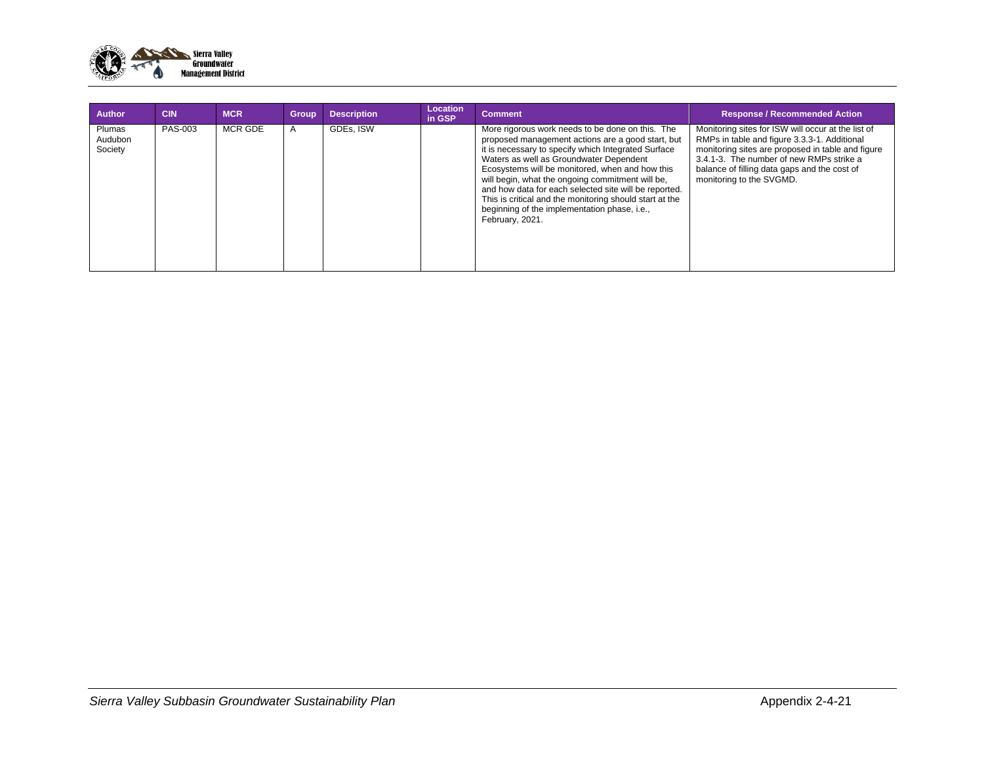

| <b>Author</b>                       | <b>CIN</b> | <b>MCR</b> | <b>Group</b> | <b>Description</b> | Location<br>in GSP | <b>Comment</b>                                                                                                                                                                                                                                                                                                                                                                                                                                                                                        | <b>Response / Recommended Action</b>                                                                                                                                                                                                                                            |
|-------------------------------------|------------|------------|--------------|--------------------|--------------------|-------------------------------------------------------------------------------------------------------------------------------------------------------------------------------------------------------------------------------------------------------------------------------------------------------------------------------------------------------------------------------------------------------------------------------------------------------------------------------------------------------|---------------------------------------------------------------------------------------------------------------------------------------------------------------------------------------------------------------------------------------------------------------------------------|
| <b>Plumas</b><br>Audubon<br>Society | PAS-003    | MCR GDE    |              | GDEs. ISW          |                    | More rigorous work needs to be done on this. The<br>proposed management actions are a good start, but<br>it is necessary to specify which Integrated Surface<br>Waters as well as Groundwater Dependent<br>Ecosystems will be monitored, when and how this<br>will begin, what the ongoing commitment will be,<br>and how data for each selected site will be reported.<br>This is critical and the monitoring should start at the<br>beginning of the implementation phase, i.e.,<br>February, 2021. | Monitoring sites for ISW will occur at the list of<br>RMPs in table and figure 3.3.3-1. Additional<br>monitoring sites are proposed in table and figure<br>3.4.1-3. The number of new RMPs strike a<br>balance of filling data gaps and the cost of<br>monitoring to the SVGMD. |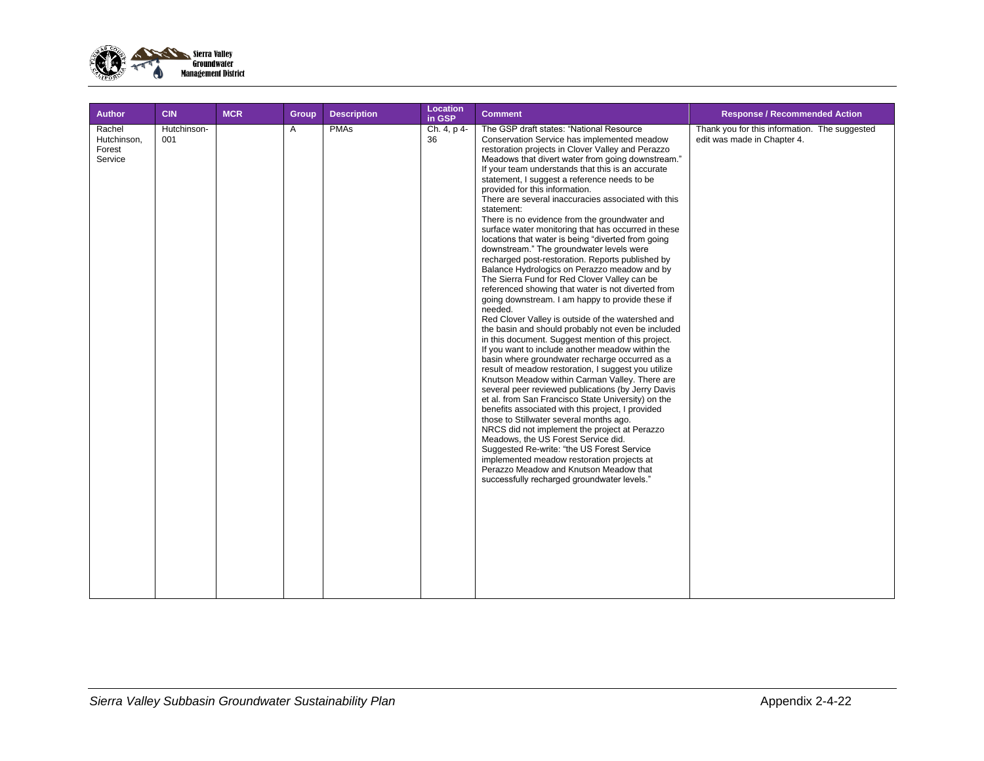

| <b>Author</b>                              | <b>CIN</b>         | <b>MCR</b> | Group | <b>Description</b> | <b>Location</b><br>in GSP | <b>Comment</b>                                                                                                                                                                                                                                                                                                                                                                                                                                                                                                                                                                                                                                                                                                                                                                                                                                                                                                                                                                                                                                                                                                                                                                                                                                                                                                                                                                                                                                                                                                                                                                                                                                                                                                                                                            | <b>Response / Recommended Action</b>                                         |
|--------------------------------------------|--------------------|------------|-------|--------------------|---------------------------|---------------------------------------------------------------------------------------------------------------------------------------------------------------------------------------------------------------------------------------------------------------------------------------------------------------------------------------------------------------------------------------------------------------------------------------------------------------------------------------------------------------------------------------------------------------------------------------------------------------------------------------------------------------------------------------------------------------------------------------------------------------------------------------------------------------------------------------------------------------------------------------------------------------------------------------------------------------------------------------------------------------------------------------------------------------------------------------------------------------------------------------------------------------------------------------------------------------------------------------------------------------------------------------------------------------------------------------------------------------------------------------------------------------------------------------------------------------------------------------------------------------------------------------------------------------------------------------------------------------------------------------------------------------------------------------------------------------------------------------------------------------------------|------------------------------------------------------------------------------|
| Rachel<br>Hutchinson,<br>Forest<br>Service | Hutchinson-<br>001 |            | A     | <b>PMAs</b>        | Ch. 4, p 4-<br>36         | The GSP draft states: "National Resource<br>Conservation Service has implemented meadow<br>restoration projects in Clover Valley and Perazzo<br>Meadows that divert water from going downstream."<br>If your team understands that this is an accurate<br>statement, I suggest a reference needs to be<br>provided for this information.<br>There are several inaccuracies associated with this<br>statement:<br>There is no evidence from the groundwater and<br>surface water monitoring that has occurred in these<br>locations that water is being "diverted from going<br>downstream." The groundwater levels were<br>recharged post-restoration. Reports published by<br>Balance Hydrologics on Perazzo meadow and by<br>The Sierra Fund for Red Clover Valley can be<br>referenced showing that water is not diverted from<br>going downstream. I am happy to provide these if<br>needed.<br>Red Clover Valley is outside of the watershed and<br>the basin and should probably not even be included<br>in this document. Suggest mention of this project.<br>If you want to include another meadow within the<br>basin where groundwater recharge occurred as a<br>result of meadow restoration, I suggest you utilize<br>Knutson Meadow within Carman Valley. There are<br>several peer reviewed publications (by Jerry Davis<br>et al. from San Francisco State University) on the<br>benefits associated with this project, I provided<br>those to Stillwater several months ago.<br>NRCS did not implement the project at Perazzo<br>Meadows, the US Forest Service did.<br>Suggested Re-write: "the US Forest Service<br>implemented meadow restoration projects at<br>Perazzo Meadow and Knutson Meadow that<br>successfully recharged groundwater levels." | Thank you for this information. The suggested<br>edit was made in Chapter 4. |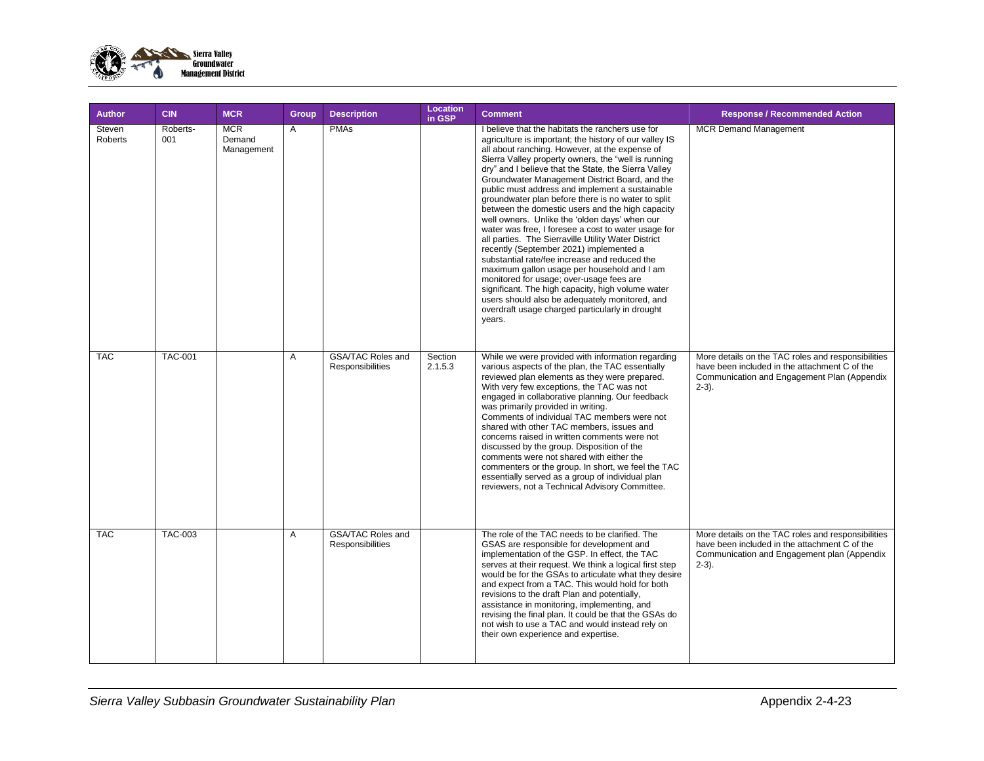

| <b>Author</b>     | <b>CIN</b>      | <b>MCR</b>                         | Group | <b>Description</b>                           | <b>Location</b><br>in GSP | <b>Comment</b>                                                                                                                                                                                                                                                                                                                                                                                                                                                                                                                                                                                                                                                                                                                                                                                                                                                                                                                                                                                                       | <b>Response / Recommended Action</b>                                                                                                                           |
|-------------------|-----------------|------------------------------------|-------|----------------------------------------------|---------------------------|----------------------------------------------------------------------------------------------------------------------------------------------------------------------------------------------------------------------------------------------------------------------------------------------------------------------------------------------------------------------------------------------------------------------------------------------------------------------------------------------------------------------------------------------------------------------------------------------------------------------------------------------------------------------------------------------------------------------------------------------------------------------------------------------------------------------------------------------------------------------------------------------------------------------------------------------------------------------------------------------------------------------|----------------------------------------------------------------------------------------------------------------------------------------------------------------|
| Steven<br>Roberts | Roberts-<br>001 | <b>MCR</b><br>Demand<br>Management | A     | <b>PMAs</b>                                  |                           | I believe that the habitats the ranchers use for<br>agriculture is important; the history of our valley IS<br>all about ranching. However, at the expense of<br>Sierra Valley property owners, the "well is running<br>dry" and I believe that the State, the Sierra Valley<br>Groundwater Management District Board, and the<br>public must address and implement a sustainable<br>groundwater plan before there is no water to split<br>between the domestic users and the high capacity<br>well owners. Unlike the 'olden days' when our<br>water was free, I foresee a cost to water usage for<br>all parties. The Sierraville Utility Water District<br>recently (September 2021) implemented a<br>substantial rate/fee increase and reduced the<br>maximum gallon usage per household and I am<br>monitored for usage; over-usage fees are<br>significant. The high capacity, high volume water<br>users should also be adequately monitored, and<br>overdraft usage charged particularly in drought<br>years. | <b>MCR Demand Management</b>                                                                                                                                   |
| <b>TAC</b>        | <b>TAC-001</b>  |                                    | A     | <b>GSA/TAC Roles and</b><br>Responsibilities | Section<br>2.1.5.3        | While we were provided with information regarding<br>various aspects of the plan, the TAC essentially<br>reviewed plan elements as they were prepared.<br>With very few exceptions, the TAC was not<br>engaged in collaborative planning. Our feedback<br>was primarily provided in writing.<br>Comments of individual TAC members were not<br>shared with other TAC members, issues and<br>concerns raised in written comments were not<br>discussed by the group. Disposition of the<br>comments were not shared with either the<br>commenters or the group. In short, we feel the TAC<br>essentially served as a group of individual plan<br>reviewers, not a Technical Advisory Committee.                                                                                                                                                                                                                                                                                                                       | More details on the TAC roles and responsibilities<br>have been included in the attachment C of the<br>Communication and Engagement Plan (Appendix<br>$2-3$ ). |
| <b>TAC</b>        | <b>TAC-003</b>  |                                    | A     | <b>GSA/TAC Roles and</b><br>Responsibilities |                           | The role of the TAC needs to be clarified. The<br>GSAS are responsible for development and<br>implementation of the GSP. In effect, the TAC<br>serves at their request. We think a logical first step<br>would be for the GSAs to articulate what they desire<br>and expect from a TAC. This would hold for both<br>revisions to the draft Plan and potentially,<br>assistance in monitoring, implementing, and<br>revising the final plan. It could be that the GSAs do<br>not wish to use a TAC and would instead rely on<br>their own experience and expertise.                                                                                                                                                                                                                                                                                                                                                                                                                                                   | More details on the TAC roles and responsibilities<br>have been included in the attachment C of the<br>Communication and Engagement plan (Appendix<br>$2-3$ ). |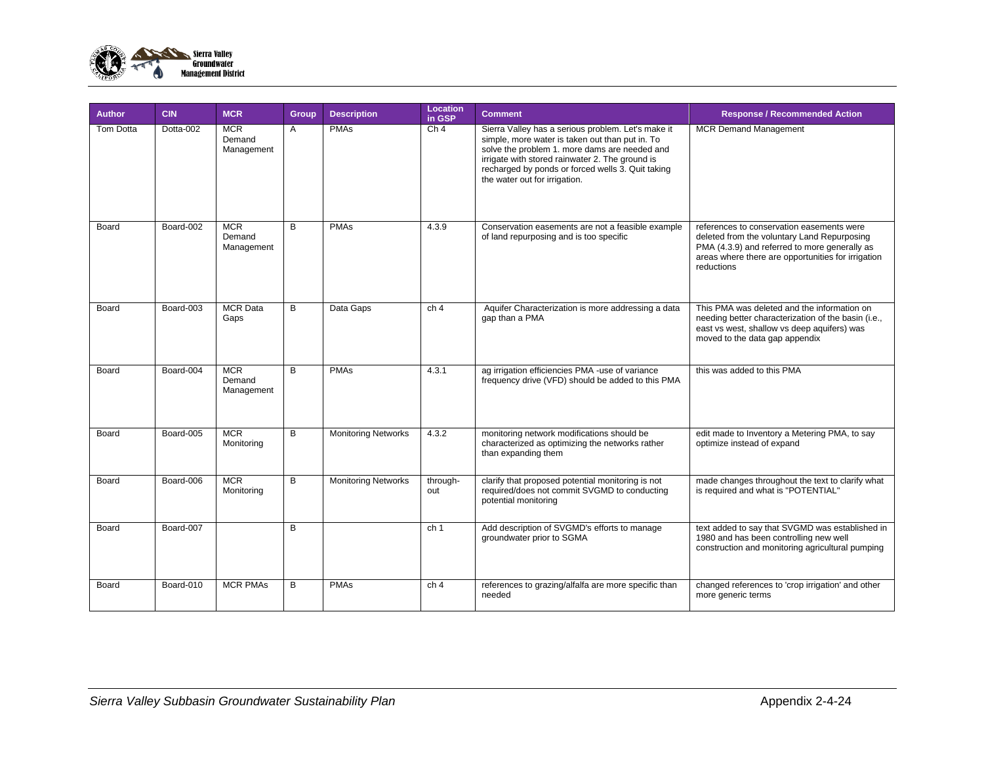

| <b>Author</b>    | <b>CIN</b> | <b>MCR</b>                         | Group | <b>Description</b>         | <b>Location</b><br>in GSP | <b>Comment</b>                                                                                                                                                                                                                                                                                  | <b>Response / Recommended Action</b>                                                                                                                                                                          |
|------------------|------------|------------------------------------|-------|----------------------------|---------------------------|-------------------------------------------------------------------------------------------------------------------------------------------------------------------------------------------------------------------------------------------------------------------------------------------------|---------------------------------------------------------------------------------------------------------------------------------------------------------------------------------------------------------------|
| <b>Tom Dotta</b> | Dotta-002  | <b>MCR</b><br>Demand<br>Management | A     | <b>PMAs</b>                | Ch <sub>4</sub>           | Sierra Valley has a serious problem. Let's make it<br>simple, more water is taken out than put in. To<br>solve the problem 1. more dams are needed and<br>irrigate with stored rainwater 2. The ground is<br>recharged by ponds or forced wells 3. Quit taking<br>the water out for irrigation. | <b>MCR Demand Management</b>                                                                                                                                                                                  |
| Board            | Board-002  | <b>MCR</b><br>Demand<br>Management | B.    | <b>PMAs</b>                | 4.3.9                     | Conservation easements are not a feasible example<br>of land repurposing and is too specific                                                                                                                                                                                                    | references to conservation easements were<br>deleted from the voluntary Land Repurposing<br>PMA (4.3.9) and referred to more generally as<br>areas where there are opportunities for irrigation<br>reductions |
| Board            | Board-003  | <b>MCR Data</b><br>Gaps            | B     | Data Gaps                  | ch <sub>4</sub>           | Aquifer Characterization is more addressing a data<br>gap than a PMA                                                                                                                                                                                                                            | This PMA was deleted and the information on<br>needing better characterization of the basin (i.e.,<br>east vs west, shallow vs deep aquifers) was<br>moved to the data gap appendix                           |
| Board            | Board-004  | <b>MCR</b><br>Demand<br>Management | B     | <b>PMAs</b>                | 4.3.1                     | ag irrigation efficiencies PMA -use of variance<br>frequency drive (VFD) should be added to this PMA                                                                                                                                                                                            | this was added to this PMA                                                                                                                                                                                    |
| Board            | Board-005  | <b>MCR</b><br>Monitoring           | B     | <b>Monitoring Networks</b> | 4.3.2                     | monitoring network modifications should be<br>characterized as optimizing the networks rather<br>than expanding them                                                                                                                                                                            | edit made to Inventory a Metering PMA, to say<br>optimize instead of expand                                                                                                                                   |
| Board            | Board-006  | <b>MCR</b><br>Monitoring           | B     | <b>Monitoring Networks</b> | through-<br>out           | clarify that proposed potential monitoring is not<br>required/does not commit SVGMD to conducting<br>potential monitoring                                                                                                                                                                       | made changes throughout the text to clarify what<br>is required and what is "POTENTIAL"                                                                                                                       |
| Board            | Board-007  |                                    | B     |                            | ch <sub>1</sub>           | Add description of SVGMD's efforts to manage<br>groundwater prior to SGMA                                                                                                                                                                                                                       | text added to say that SVGMD was established in<br>1980 and has been controlling new well<br>construction and monitoring agricultural pumping                                                                 |
| Board            | Board-010  | <b>MCR PMAs</b>                    | B     | <b>PMAs</b>                | ch <sub>4</sub>           | references to grazing/alfalfa are more specific than<br>needed                                                                                                                                                                                                                                  | changed references to 'crop irrigation' and other<br>more generic terms                                                                                                                                       |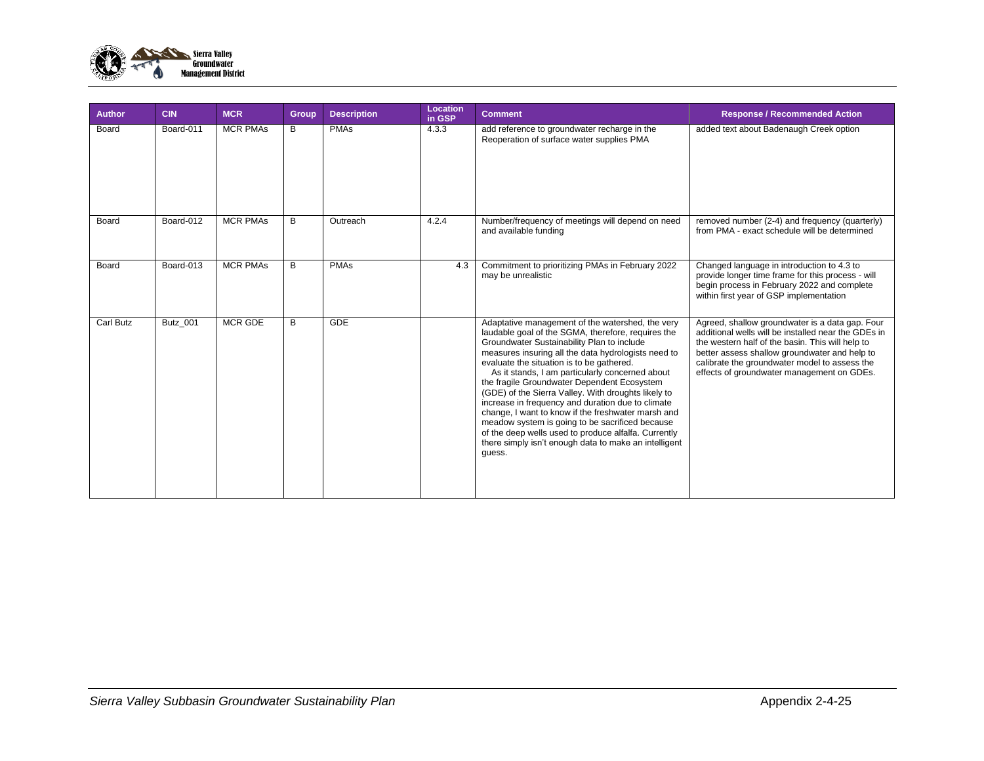

| <b>Author</b>    | <b>CIN</b> | <b>MCR</b>      | Group | <b>Description</b> | Location<br>in GSP | <b>Comment</b>                                                                                                                                                                                                                                                                                                                                                                                                                                                                                                                                                                                                                                                                                             | <b>Response / Recommended Action</b>                                                                                                                                                                                                                                                                       |
|------------------|------------|-----------------|-------|--------------------|--------------------|------------------------------------------------------------------------------------------------------------------------------------------------------------------------------------------------------------------------------------------------------------------------------------------------------------------------------------------------------------------------------------------------------------------------------------------------------------------------------------------------------------------------------------------------------------------------------------------------------------------------------------------------------------------------------------------------------------|------------------------------------------------------------------------------------------------------------------------------------------------------------------------------------------------------------------------------------------------------------------------------------------------------------|
| Board            | Board-011  | <b>MCR PMAs</b> | B     | <b>PMAs</b>        | 4.3.3              | add reference to groundwater recharge in the<br>Reoperation of surface water supplies PMA                                                                                                                                                                                                                                                                                                                                                                                                                                                                                                                                                                                                                  | added text about Badenaugh Creek option                                                                                                                                                                                                                                                                    |
| Board            | Board-012  | <b>MCR PMAs</b> | B     | Outreach           | 4.2.4              | Number/frequency of meetings will depend on need<br>and available funding                                                                                                                                                                                                                                                                                                                                                                                                                                                                                                                                                                                                                                  | removed number (2-4) and frequency (quarterly)<br>from PMA - exact schedule will be determined                                                                                                                                                                                                             |
| Board            | Board-013  | <b>MCR PMAs</b> | B     | <b>PMAs</b>        | 4.3                | Commitment to prioritizing PMAs in February 2022<br>may be unrealistic                                                                                                                                                                                                                                                                                                                                                                                                                                                                                                                                                                                                                                     | Changed language in introduction to 4.3 to<br>provide longer time frame for this process - will<br>begin process in February 2022 and complete<br>within first year of GSP implementation                                                                                                                  |
| <b>Carl Butz</b> | Butz 001   | <b>MCR GDE</b>  | B     | <b>GDE</b>         |                    | Adaptative management of the watershed, the very<br>laudable goal of the SGMA, therefore, requires the<br>Groundwater Sustainability Plan to include<br>measures insuring all the data hydrologists need to<br>evaluate the situation is to be gathered.<br>As it stands, I am particularly concerned about<br>the fraqile Groundwater Dependent Ecosystem<br>(GDE) of the Sierra Valley. With droughts likely to<br>increase in frequency and duration due to climate<br>change, I want to know if the freshwater marsh and<br>meadow system is going to be sacrificed because<br>of the deep wells used to produce alfalfa. Currently<br>there simply isn't enough data to make an intelligent<br>guess. | Agreed, shallow groundwater is a data gap. Four<br>additional wells will be installed near the GDEs in<br>the western half of the basin. This will help to<br>better assess shallow groundwater and help to<br>calibrate the groundwater model to assess the<br>effects of groundwater management on GDEs. |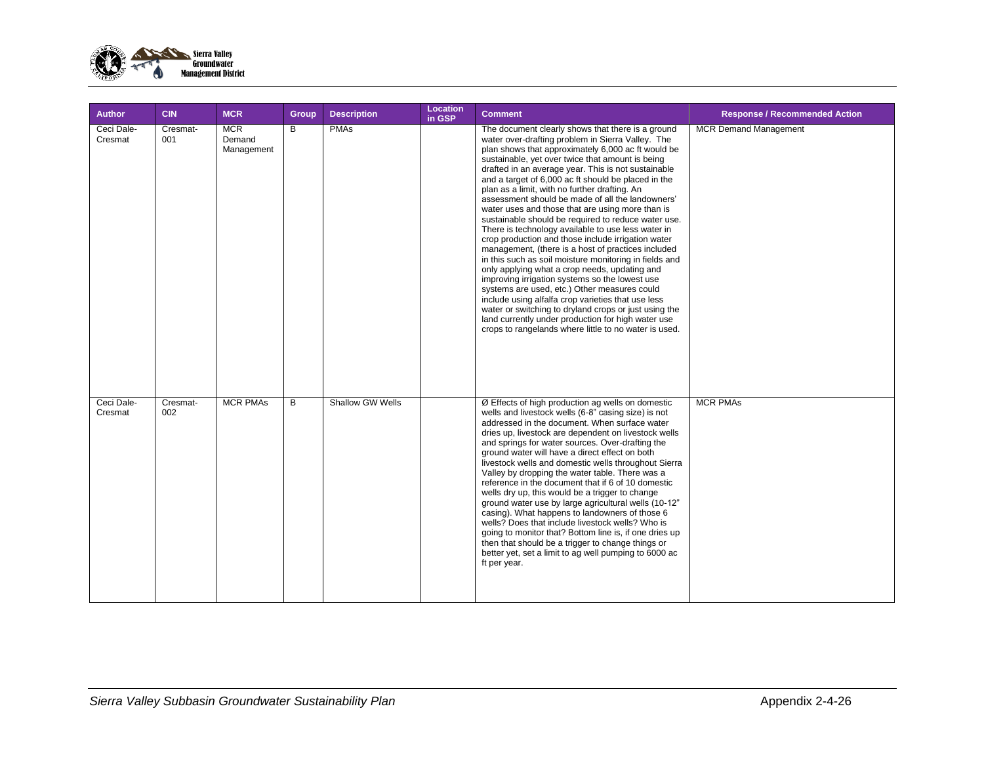

| <b>Author</b>         | <b>CIN</b>      | <b>MCR</b>                         | Group | <b>Description</b> | Location<br>in GSP | <b>Comment</b>                                                                                                                                                                                                                                                                                                                                                                                                                                                                                                                                                                                                                                                                                                                                                                                                                                                                                                                                                                                                                                                                                                                                              | <b>Response / Recommended Action</b> |
|-----------------------|-----------------|------------------------------------|-------|--------------------|--------------------|-------------------------------------------------------------------------------------------------------------------------------------------------------------------------------------------------------------------------------------------------------------------------------------------------------------------------------------------------------------------------------------------------------------------------------------------------------------------------------------------------------------------------------------------------------------------------------------------------------------------------------------------------------------------------------------------------------------------------------------------------------------------------------------------------------------------------------------------------------------------------------------------------------------------------------------------------------------------------------------------------------------------------------------------------------------------------------------------------------------------------------------------------------------|--------------------------------------|
| Ceci Dale-<br>Cresmat | Cresmat-<br>001 | <b>MCR</b><br>Demand<br>Management | B     | <b>PMAs</b>        |                    | The document clearly shows that there is a ground<br>water over-drafting problem in Sierra Valley. The<br>plan shows that approximately 6,000 ac ft would be<br>sustainable, yet over twice that amount is being<br>drafted in an average year. This is not sustainable<br>and a target of 6,000 ac ft should be placed in the<br>plan as a limit, with no further drafting. An<br>assessment should be made of all the landowners'<br>water uses and those that are using more than is<br>sustainable should be required to reduce water use.<br>There is technology available to use less water in<br>crop production and those include irrigation water<br>management, (there is a host of practices included<br>in this such as soil moisture monitoring in fields and<br>only applying what a crop needs, updating and<br>improving irrigation systems so the lowest use<br>systems are used, etc.) Other measures could<br>include using alfalfa crop varieties that use less<br>water or switching to dryland crops or just using the<br>land currently under production for high water use<br>crops to rangelands where little to no water is used. | <b>MCR Demand Management</b>         |
| Ceci Dale-<br>Cresmat | Cresmat-<br>002 | <b>MCR PMAs</b>                    | B     | Shallow GW Wells   |                    | Ø Effects of high production ag wells on domestic<br>wells and livestock wells (6-8" casing size) is not<br>addressed in the document. When surface water<br>dries up, livestock are dependent on livestock wells<br>and springs for water sources. Over-drafting the<br>ground water will have a direct effect on both<br>livestock wells and domestic wells throughout Sierra<br>Valley by dropping the water table. There was a<br>reference in the document that if 6 of 10 domestic<br>wells dry up, this would be a trigger to change<br>ground water use by large agricultural wells (10-12"<br>casing). What happens to landowners of those 6<br>wells? Does that include livestock wells? Who is<br>going to monitor that? Bottom line is, if one dries up<br>then that should be a trigger to change things or<br>better yet, set a limit to ag well pumping to 6000 ac<br>ft per year.                                                                                                                                                                                                                                                           | <b>MCR PMAs</b>                      |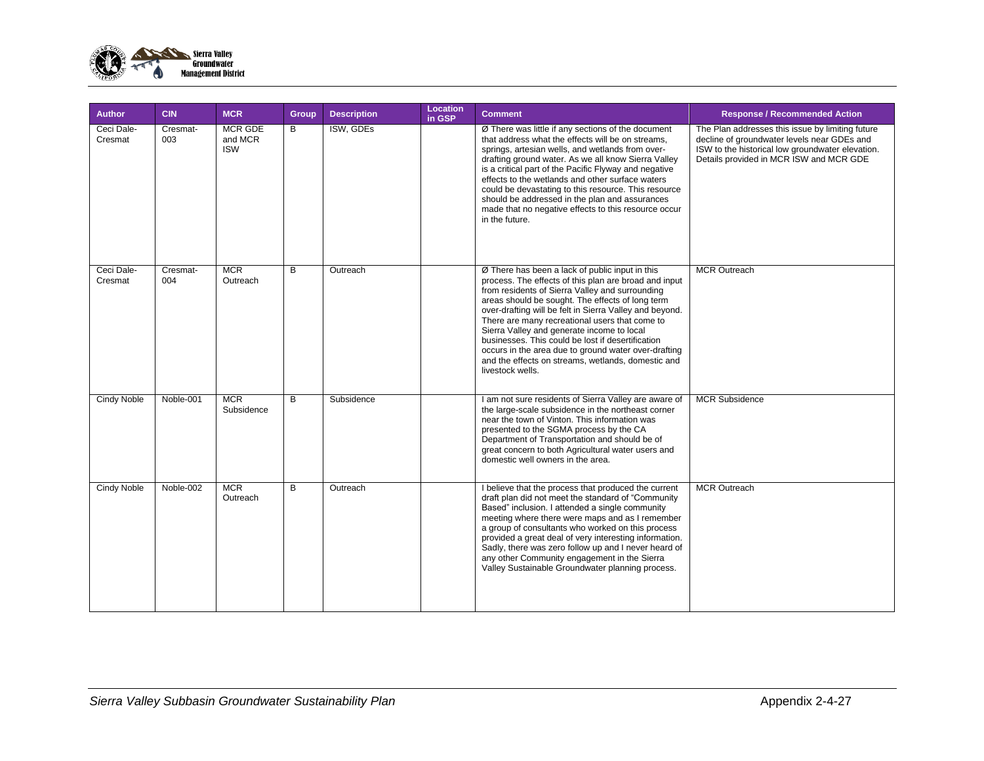

| <b>Author</b>         | <b>CIN</b>      | <b>MCR</b>                              | Group | <b>Description</b> | Location<br>in GSP | <b>Comment</b>                                                                                                                                                                                                                                                                                                                                                                                                                                                                                                                                                    | <b>Response / Recommended Action</b>                                                                                                                                                           |
|-----------------------|-----------------|-----------------------------------------|-------|--------------------|--------------------|-------------------------------------------------------------------------------------------------------------------------------------------------------------------------------------------------------------------------------------------------------------------------------------------------------------------------------------------------------------------------------------------------------------------------------------------------------------------------------------------------------------------------------------------------------------------|------------------------------------------------------------------------------------------------------------------------------------------------------------------------------------------------|
| Ceci Dale-<br>Cresmat | Cresmat-<br>003 | <b>MCR GDE</b><br>and MCR<br><b>ISW</b> | B     | ISW, GDEs          |                    | Ø There was little if any sections of the document<br>that address what the effects will be on streams,<br>springs, artesian wells, and wetlands from over-<br>drafting ground water. As we all know Sierra Valley<br>is a critical part of the Pacific Flyway and negative<br>effects to the wetlands and other surface waters<br>could be devastating to this resource. This resource<br>should be addressed in the plan and assurances<br>made that no negative effects to this resource occur<br>in the future.                                               | The Plan addresses this issue by limiting future<br>decline of groundwater levels near GDEs and<br>ISW to the historical low groundwater elevation.<br>Details provided in MCR ISW and MCR GDE |
| Ceci Dale-<br>Cresmat | Cresmat-<br>004 | <b>MCR</b><br>Outreach                  | B     | Outreach           |                    | Ø There has been a lack of public input in this<br>process. The effects of this plan are broad and input<br>from residents of Sierra Valley and surrounding<br>areas should be sought. The effects of long term<br>over-drafting will be felt in Sierra Valley and beyond.<br>There are many recreational users that come to<br>Sierra Valley and generate income to local<br>businesses. This could be lost if desertification<br>occurs in the area due to ground water over-drafting<br>and the effects on streams, wetlands, domestic and<br>livestock wells. | <b>MCR Outreach</b>                                                                                                                                                                            |
| <b>Cindy Noble</b>    | Noble-001       | <b>MCR</b><br>Subsidence                | B     | Subsidence         |                    | I am not sure residents of Sierra Valley are aware of<br>the large-scale subsidence in the northeast corner<br>near the town of Vinton. This information was<br>presented to the SGMA process by the CA<br>Department of Transportation and should be of<br>great concern to both Agricultural water users and<br>domestic well owners in the area.                                                                                                                                                                                                               | <b>MCR Subsidence</b>                                                                                                                                                                          |
| <b>Cindy Noble</b>    | Noble-002       | <b>MCR</b><br>Outreach                  | B     | Outreach           |                    | I believe that the process that produced the current<br>draft plan did not meet the standard of "Community<br>Based" inclusion. I attended a single community<br>meeting where there were maps and as I remember<br>a group of consultants who worked on this process<br>provided a great deal of very interesting information.<br>Sadly, there was zero follow up and I never heard of<br>any other Community engagement in the Sierra<br>Valley Sustainable Groundwater planning process.                                                                       | <b>MCR Outreach</b>                                                                                                                                                                            |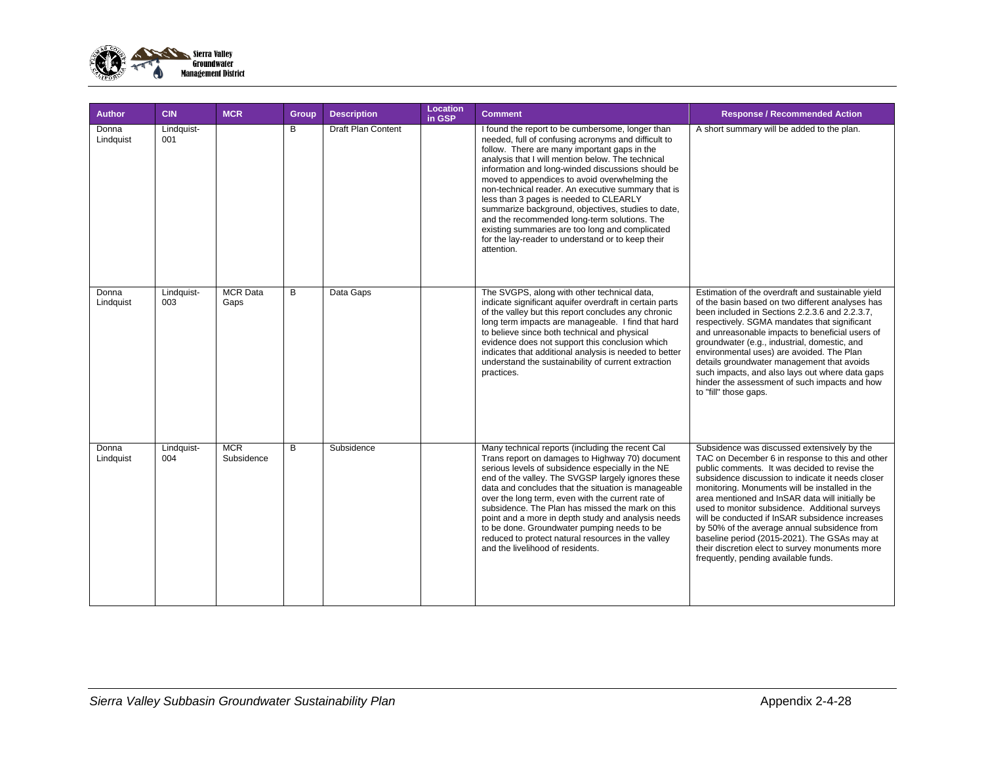

| Author             | <b>CIN</b>        | <b>MCR</b>               | Group | <b>Description</b>        | Location<br>in GSP | <b>Comment</b>                                                                                                                                                                                                                                                                                                                                                                                                                                                                                                                                                                                                                                 | <b>Response / Recommended Action</b>                                                                                                                                                                                                                                                                                                                                                                                                                                                                                                                                                                      |
|--------------------|-------------------|--------------------------|-------|---------------------------|--------------------|------------------------------------------------------------------------------------------------------------------------------------------------------------------------------------------------------------------------------------------------------------------------------------------------------------------------------------------------------------------------------------------------------------------------------------------------------------------------------------------------------------------------------------------------------------------------------------------------------------------------------------------------|-----------------------------------------------------------------------------------------------------------------------------------------------------------------------------------------------------------------------------------------------------------------------------------------------------------------------------------------------------------------------------------------------------------------------------------------------------------------------------------------------------------------------------------------------------------------------------------------------------------|
| Donna<br>Lindquist | Lindquist-<br>001 |                          | B     | <b>Draft Plan Content</b> |                    | I found the report to be cumbersome, longer than<br>needed, full of confusing acronyms and difficult to<br>follow. There are many important gaps in the<br>analysis that I will mention below. The technical<br>information and long-winded discussions should be<br>moved to appendices to avoid overwhelming the<br>non-technical reader. An executive summary that is<br>less than 3 pages is needed to CLEARLY<br>summarize background, objectives, studies to date,<br>and the recommended long-term solutions. The<br>existing summaries are too long and complicated<br>for the lay-reader to understand or to keep their<br>attention. | A short summary will be added to the plan.                                                                                                                                                                                                                                                                                                                                                                                                                                                                                                                                                                |
| Donna<br>Lindquist | Lindquist-<br>003 | <b>MCR</b> Data<br>Gaps  | B     | Data Gaps                 |                    | The SVGPS, along with other technical data,<br>indicate significant aquifer overdraft in certain parts<br>of the valley but this report concludes any chronic<br>long term impacts are manageable. I find that hard<br>to believe since both technical and physical<br>evidence does not support this conclusion which<br>indicates that additional analysis is needed to better<br>understand the sustainability of current extraction<br>practices.                                                                                                                                                                                          | Estimation of the overdraft and sustainable yield<br>of the basin based on two different analyses has<br>been included in Sections 2.2.3.6 and 2.2.3.7,<br>respectively. SGMA mandates that significant<br>and unreasonable impacts to beneficial users of<br>groundwater (e.g., industrial, domestic, and<br>environmental uses) are avoided. The Plan<br>details groundwater management that avoids<br>such impacts, and also lays out where data gaps<br>hinder the assessment of such impacts and how<br>to "fill" those gaps.                                                                        |
| Donna<br>Lindquist | Lindquist-<br>004 | <b>MCR</b><br>Subsidence | B     | Subsidence                |                    | Many technical reports (including the recent Cal<br>Trans report on damages to Highway 70) document<br>serious levels of subsidence especially in the NE<br>end of the valley. The SVGSP largely ignores these<br>data and concludes that the situation is manageable<br>over the long term, even with the current rate of<br>subsidence. The Plan has missed the mark on this<br>point and a more in depth study and analysis needs<br>to be done. Groundwater pumping needs to be<br>reduced to protect natural resources in the valley<br>and the livelihood of residents.                                                                  | Subsidence was discussed extensively by the<br>TAC on December 6 in response to this and other<br>public comments. It was decided to revise the<br>subsidence discussion to indicate it needs closer<br>monitoring. Monuments will be installed in the<br>area mentioned and InSAR data will initially be<br>used to monitor subsidence. Additional surveys<br>will be conducted if InSAR subsidence increases<br>by 50% of the average annual subsidence from<br>baseline period (2015-2021). The GSAs may at<br>their discretion elect to survey monuments more<br>frequently, pending available funds. |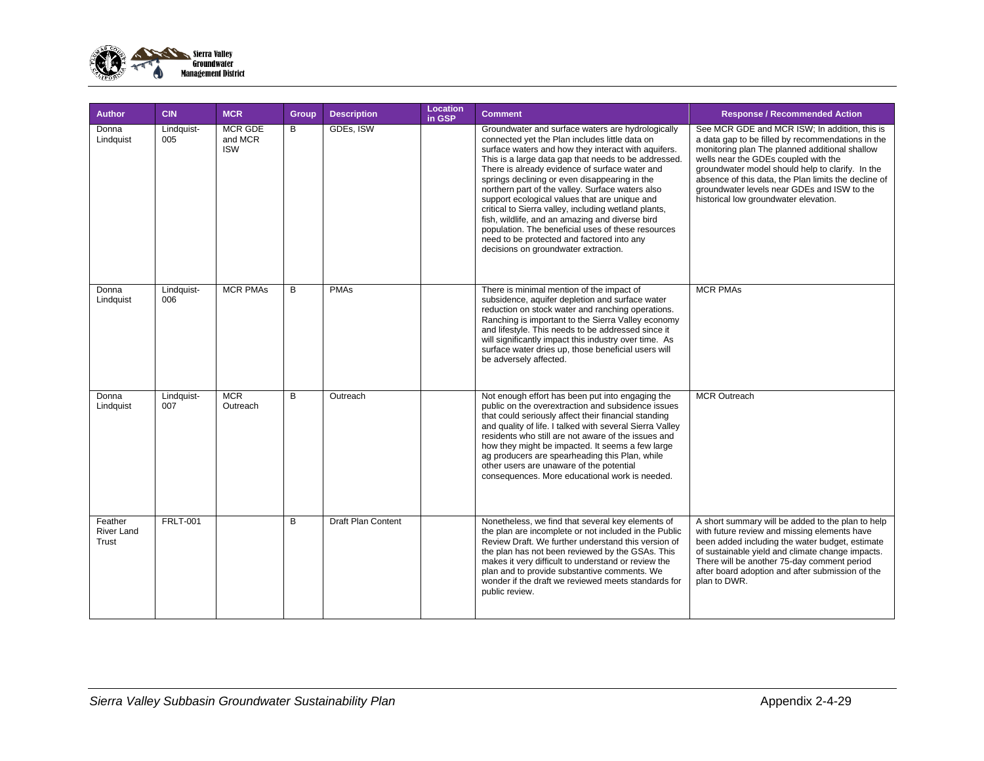

| <b>Author</b>                         | <b>CIN</b>        | <b>MCR</b>                              | <b>Group</b> | <b>Description</b> | <b>Location</b><br>in GSP | <b>Comment</b>                                                                                                                                                                                                                                                                                                                                                                                                                                                                                                                                                                                                                                                                    | <b>Response / Recommended Action</b>                                                                                                                                                                                                                                                                                                                                                             |
|---------------------------------------|-------------------|-----------------------------------------|--------------|--------------------|---------------------------|-----------------------------------------------------------------------------------------------------------------------------------------------------------------------------------------------------------------------------------------------------------------------------------------------------------------------------------------------------------------------------------------------------------------------------------------------------------------------------------------------------------------------------------------------------------------------------------------------------------------------------------------------------------------------------------|--------------------------------------------------------------------------------------------------------------------------------------------------------------------------------------------------------------------------------------------------------------------------------------------------------------------------------------------------------------------------------------------------|
| Donna<br>Lindquist                    | Lindquist-<br>005 | <b>MCR GDE</b><br>and MCR<br><b>ISW</b> | B            | GDEs, ISW          |                           | Groundwater and surface waters are hydrologically<br>connected yet the Plan includes little data on<br>surface waters and how they interact with aquifers.<br>This is a large data gap that needs to be addressed.<br>There is already evidence of surface water and<br>springs declining or even disappearing in the<br>northern part of the valley. Surface waters also<br>support ecological values that are unique and<br>critical to Sierra valley, including wetland plants,<br>fish, wildlife, and an amazing and diverse bird<br>population. The beneficial uses of these resources<br>need to be protected and factored into any<br>decisions on groundwater extraction. | See MCR GDE and MCR ISW; In addition, this is<br>a data gap to be filled by recommendations in the<br>monitoring plan The planned additional shallow<br>wells near the GDEs coupled with the<br>groundwater model should help to clarify. In the<br>absence of this data, the Plan limits the decline of<br>groundwater levels near GDEs and ISW to the<br>historical low groundwater elevation. |
| Donna<br>Lindquist                    | Lindquist-<br>006 | <b>MCR PMAs</b>                         | B            | <b>PMAs</b>        |                           | There is minimal mention of the impact of<br>subsidence, aquifer depletion and surface water<br>reduction on stock water and ranching operations.<br>Ranching is important to the Sierra Valley economy<br>and lifestyle. This needs to be addressed since it<br>will significantly impact this industry over time. As<br>surface water dries up, those beneficial users will<br>be adversely affected.                                                                                                                                                                                                                                                                           | <b>MCR PMAs</b>                                                                                                                                                                                                                                                                                                                                                                                  |
| Donna<br>Lindquist                    | Lindquist-<br>007 | <b>MCR</b><br>Outreach                  | B            | Outreach           |                           | Not enough effort has been put into engaging the<br>public on the overextraction and subsidence issues<br>that could seriously affect their financial standing<br>and quality of life. I talked with several Sierra Valley<br>residents who still are not aware of the issues and<br>how they might be impacted. It seems a few large<br>ag producers are spearheading this Plan, while<br>other users are unaware of the potential<br>consequences. More educational work is needed.                                                                                                                                                                                             | <b>MCR Outreach</b>                                                                                                                                                                                                                                                                                                                                                                              |
| Feather<br><b>River Land</b><br>Trust | <b>FRLT-001</b>   |                                         | B            | Draft Plan Content |                           | Nonetheless, we find that several key elements of<br>the plan are incomplete or not included in the Public<br>Review Draft. We further understand this version of<br>the plan has not been reviewed by the GSAs. This<br>makes it very difficult to understand or review the<br>plan and to provide substantive comments. We<br>wonder if the draft we reviewed meets standards for<br>public review.                                                                                                                                                                                                                                                                             | A short summary will be added to the plan to help<br>with future review and missing elements have<br>been added including the water budget, estimate<br>of sustainable yield and climate change impacts.<br>There will be another 75-day comment period<br>after board adoption and after submission of the<br>plan to DWR.                                                                      |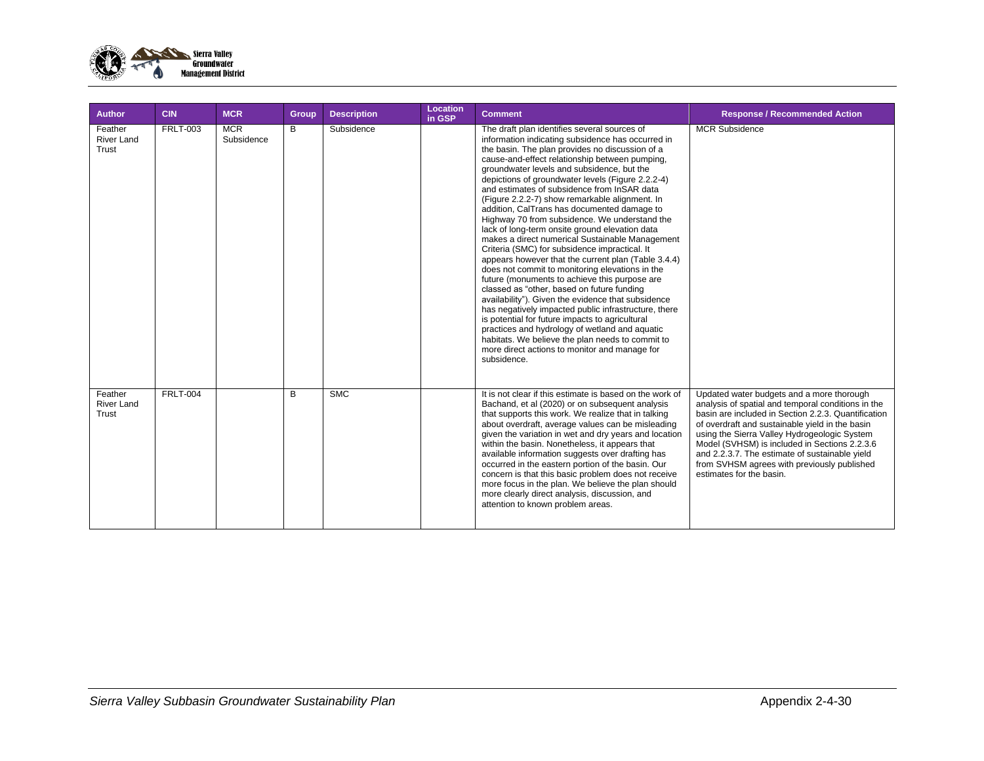

| Author                                | <b>CIN</b>      | <b>MCR</b>               | Group | <b>Description</b> | Location<br>in GSP | <b>Comment</b>                                                                                                                                                                                                                                                                                                                                                                                                                                                                                                                                                                                                                                                                                                                                                                                                                                                                                                                                                                                                                                                                                                                                                                                                   | <b>Response / Recommended Action</b>                                                                                                                                                                                                                                                                                                                                                                                                    |
|---------------------------------------|-----------------|--------------------------|-------|--------------------|--------------------|------------------------------------------------------------------------------------------------------------------------------------------------------------------------------------------------------------------------------------------------------------------------------------------------------------------------------------------------------------------------------------------------------------------------------------------------------------------------------------------------------------------------------------------------------------------------------------------------------------------------------------------------------------------------------------------------------------------------------------------------------------------------------------------------------------------------------------------------------------------------------------------------------------------------------------------------------------------------------------------------------------------------------------------------------------------------------------------------------------------------------------------------------------------------------------------------------------------|-----------------------------------------------------------------------------------------------------------------------------------------------------------------------------------------------------------------------------------------------------------------------------------------------------------------------------------------------------------------------------------------------------------------------------------------|
| Feather<br><b>River Land</b><br>Trust | <b>FRLT-003</b> | <b>MCR</b><br>Subsidence | B     | Subsidence         |                    | The draft plan identifies several sources of<br>information indicating subsidence has occurred in<br>the basin. The plan provides no discussion of a<br>cause-and-effect relationship between pumping,<br>groundwater levels and subsidence, but the<br>depictions of groundwater levels (Figure 2.2.2-4)<br>and estimates of subsidence from InSAR data<br>(Figure 2.2.2-7) show remarkable alignment. In<br>addition, CalTrans has documented damage to<br>Highway 70 from subsidence. We understand the<br>lack of long-term onsite ground elevation data<br>makes a direct numerical Sustainable Management<br>Criteria (SMC) for subsidence impractical. It<br>appears however that the current plan (Table 3.4.4)<br>does not commit to monitoring elevations in the<br>future (monuments to achieve this purpose are<br>classed as "other, based on future funding<br>availability"). Given the evidence that subsidence<br>has negatively impacted public infrastructure, there<br>is potential for future impacts to agricultural<br>practices and hydrology of wetland and aquatic<br>habitats. We believe the plan needs to commit to<br>more direct actions to monitor and manage for<br>subsidence. | <b>MCR Subsidence</b>                                                                                                                                                                                                                                                                                                                                                                                                                   |
| Feather<br><b>River Land</b><br>Trust | <b>FRLT-004</b> |                          | B     | <b>SMC</b>         |                    | It is not clear if this estimate is based on the work of<br>Bachand, et al (2020) or on subsequent analysis<br>that supports this work. We realize that in talking<br>about overdraft, average values can be misleading<br>given the variation in wet and dry years and location<br>within the basin. Nonetheless, it appears that<br>available information suggests over drafting has<br>occurred in the eastern portion of the basin. Our<br>concern is that this basic problem does not receive<br>more focus in the plan. We believe the plan should<br>more clearly direct analysis, discussion, and<br>attention to known problem areas.                                                                                                                                                                                                                                                                                                                                                                                                                                                                                                                                                                   | Updated water budgets and a more thorough<br>analysis of spatial and temporal conditions in the<br>basin are included in Section 2.2.3. Quantification<br>of overdraft and sustainable yield in the basin<br>using the Sierra Valley Hydrogeologic System<br>Model (SVHSM) is included in Sections 2.2.3.6<br>and 2.2.3.7. The estimate of sustainable yield<br>from SVHSM agrees with previously published<br>estimates for the basin. |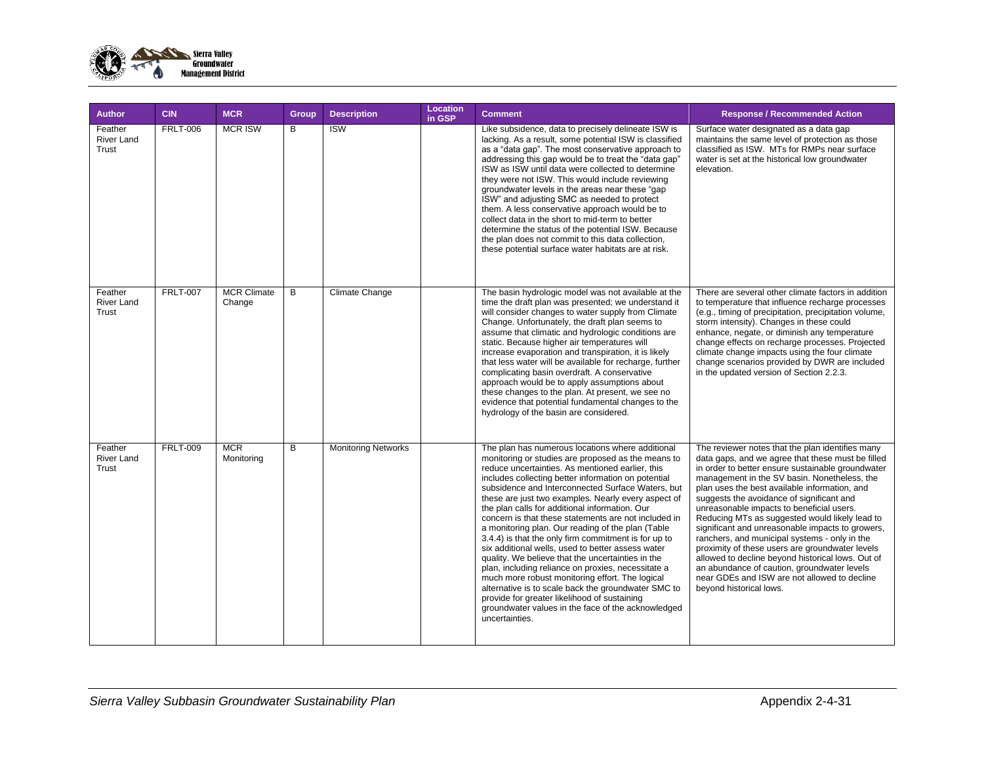

| <b>Author</b>                         | <b>CIN</b>      | <b>MCR</b>                   | Group | <b>Description</b>         | Location<br>in GSP | <b>Comment</b>                                                                                                                                                                                                                                                                                                                                                                                                                                                                                                                                                                                                                                                                                                                                                                                                                                                                                                                                         | <b>Response / Recommended Action</b>                                                                                                                                                                                                                                                                                                                                                                                                                                                                                                                                                                                                                                                                                                           |
|---------------------------------------|-----------------|------------------------------|-------|----------------------------|--------------------|--------------------------------------------------------------------------------------------------------------------------------------------------------------------------------------------------------------------------------------------------------------------------------------------------------------------------------------------------------------------------------------------------------------------------------------------------------------------------------------------------------------------------------------------------------------------------------------------------------------------------------------------------------------------------------------------------------------------------------------------------------------------------------------------------------------------------------------------------------------------------------------------------------------------------------------------------------|------------------------------------------------------------------------------------------------------------------------------------------------------------------------------------------------------------------------------------------------------------------------------------------------------------------------------------------------------------------------------------------------------------------------------------------------------------------------------------------------------------------------------------------------------------------------------------------------------------------------------------------------------------------------------------------------------------------------------------------------|
| Feather<br><b>River Land</b><br>Trust | <b>FRLT-006</b> | <b>MCR ISW</b>               | B     | <b>ISW</b>                 |                    | Like subsidence, data to precisely delineate ISW is<br>lacking. As a result, some potential ISW is classified<br>as a "data gap". The most conservative approach to<br>addressing this gap would be to treat the "data gap"<br>ISW as ISW until data were collected to determine<br>they were not ISW. This would include reviewing<br>groundwater levels in the areas near these "gap<br>ISW" and adjusting SMC as needed to protect<br>them. A less conservative approach would be to<br>collect data in the short to mid-term to better<br>determine the status of the potential ISW. Because<br>the plan does not commit to this data collection,<br>these potential surface water habitats are at risk.                                                                                                                                                                                                                                           | Surface water designated as a data gap<br>maintains the same level of protection as those<br>classified as ISW. MTs for RMPs near surface<br>water is set at the historical low groundwater<br>elevation.                                                                                                                                                                                                                                                                                                                                                                                                                                                                                                                                      |
| Feather<br><b>River Land</b><br>Trust | <b>FRLT-007</b> | <b>MCR Climate</b><br>Change | B     | Climate Change             |                    | The basin hydrologic model was not available at the<br>time the draft plan was presented; we understand it<br>will consider changes to water supply from Climate<br>Change. Unfortunately, the draft plan seems to<br>assume that climatic and hydrologic conditions are<br>static. Because higher air temperatures will<br>increase evaporation and transpiration, it is likely<br>that less water will be available for recharge, further<br>complicating basin overdraft. A conservative<br>approach would be to apply assumptions about<br>these changes to the plan. At present, we see no<br>evidence that potential fundamental changes to the<br>hydrology of the basin are considered.                                                                                                                                                                                                                                                        | There are several other climate factors in addition<br>to temperature that influence recharge processes<br>(e.g., timing of precipitation, precipitation volume,<br>storm intensity). Changes in these could<br>enhance, negate, or diminish any temperature<br>change effects on recharge processes. Projected<br>climate change impacts using the four climate<br>change scenarios provided by DWR are included<br>in the updated version of Section 2.2.3.                                                                                                                                                                                                                                                                                  |
| Feather<br><b>River Land</b><br>Trust | <b>FRLT-009</b> | <b>MCR</b><br>Monitoring     | B     | <b>Monitoring Networks</b> |                    | The plan has numerous locations where additional<br>monitoring or studies are proposed as the means to<br>reduce uncertainties. As mentioned earlier, this<br>includes collecting better information on potential<br>subsidence and Interconnected Surface Waters, but<br>these are just two examples. Nearly every aspect of<br>the plan calls for additional information. Our<br>concern is that these statements are not included in<br>a monitoring plan. Our reading of the plan (Table<br>3.4.4) is that the only firm commitment is for up to<br>six additional wells, used to better assess water<br>quality. We believe that the uncertainties in the<br>plan, including reliance on proxies, necessitate a<br>much more robust monitoring effort. The logical<br>alternative is to scale back the groundwater SMC to<br>provide for greater likelihood of sustaining<br>groundwater values in the face of the acknowledged<br>uncertainties. | The reviewer notes that the plan identifies many<br>data gaps, and we agree that these must be filled<br>in order to better ensure sustainable groundwater<br>management in the SV basin. Nonetheless, the<br>plan uses the best available information, and<br>suggests the avoidance of significant and<br>unreasonable impacts to beneficial users.<br>Reducing MTs as suggested would likely lead to<br>significant and unreasonable impacts to growers,<br>ranchers, and municipal systems - only in the<br>proximity of these users are groundwater levels<br>allowed to decline beyond historical lows. Out of<br>an abundance of caution, groundwater levels<br>near GDEs and ISW are not allowed to decline<br>bevond historical lows. |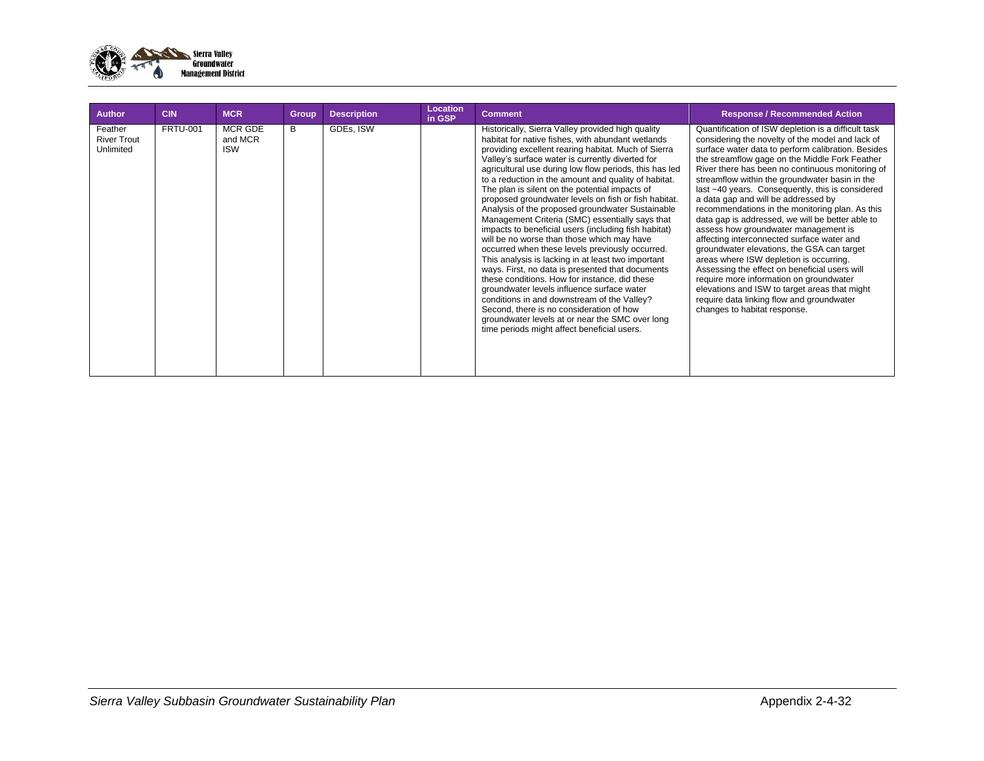

| Author                                     | <b>CIN</b>      | <b>MCR</b>                       | Group | <b>Description</b> | <b>Location</b><br>in GSP | <b>Comment</b>                                                                                                                                                                                                                                                                                                                                                                                                                                                                                                                                                                                                                                                                                                                                                                                                                                                                                                                                                                                                                                                                                                      | <b>Response / Recommended Action</b>                                                                                                                                                                                                                                                                                                                                                                                                                                                                                                                                                                                                                                                                                                                                                                                                                                                                                             |
|--------------------------------------------|-----------------|----------------------------------|-------|--------------------|---------------------------|---------------------------------------------------------------------------------------------------------------------------------------------------------------------------------------------------------------------------------------------------------------------------------------------------------------------------------------------------------------------------------------------------------------------------------------------------------------------------------------------------------------------------------------------------------------------------------------------------------------------------------------------------------------------------------------------------------------------------------------------------------------------------------------------------------------------------------------------------------------------------------------------------------------------------------------------------------------------------------------------------------------------------------------------------------------------------------------------------------------------|----------------------------------------------------------------------------------------------------------------------------------------------------------------------------------------------------------------------------------------------------------------------------------------------------------------------------------------------------------------------------------------------------------------------------------------------------------------------------------------------------------------------------------------------------------------------------------------------------------------------------------------------------------------------------------------------------------------------------------------------------------------------------------------------------------------------------------------------------------------------------------------------------------------------------------|
| Feather<br><b>River Trout</b><br>Unlimited | <b>FRTU-001</b> | MCR GDE<br>and MCR<br><b>ISW</b> | B     | GDEs, ISW          |                           | Historically, Sierra Valley provided high quality<br>habitat for native fishes, with abundant wetlands<br>providing excellent rearing habitat. Much of Sierra<br>Valley's surface water is currently diverted for<br>agricultural use during low flow periods, this has led<br>to a reduction in the amount and quality of habitat.<br>The plan is silent on the potential impacts of<br>proposed groundwater levels on fish or fish habitat.<br>Analysis of the proposed groundwater Sustainable<br>Management Criteria (SMC) essentially says that<br>impacts to beneficial users (including fish habitat)<br>will be no worse than those which may have<br>occurred when these levels previously occurred.<br>This analysis is lacking in at least two important<br>ways. First, no data is presented that documents<br>these conditions. How for instance, did these<br>groundwater levels influence surface water<br>conditions in and downstream of the Valley?<br>Second, there is no consideration of how<br>groundwater levels at or near the SMC over long<br>time periods might affect beneficial users. | Quantification of ISW depletion is a difficult task<br>considering the novelty of the model and lack of<br>surface water data to perform calibration. Besides<br>the streamflow gage on the Middle Fork Feather<br>River there has been no continuous monitoring of<br>streamflow within the groundwater basin in the<br>last ~40 years. Consequently, this is considered<br>a data gap and will be addressed by<br>recommendations in the monitoring plan. As this<br>data gap is addressed, we will be better able to<br>assess how groundwater management is<br>affecting interconnected surface water and<br>groundwater elevations, the GSA can target<br>areas where ISW depletion is occurring.<br>Assessing the effect on beneficial users will<br>require more information on groundwater<br>elevations and ISW to target areas that might<br>require data linking flow and groundwater<br>changes to habitat response. |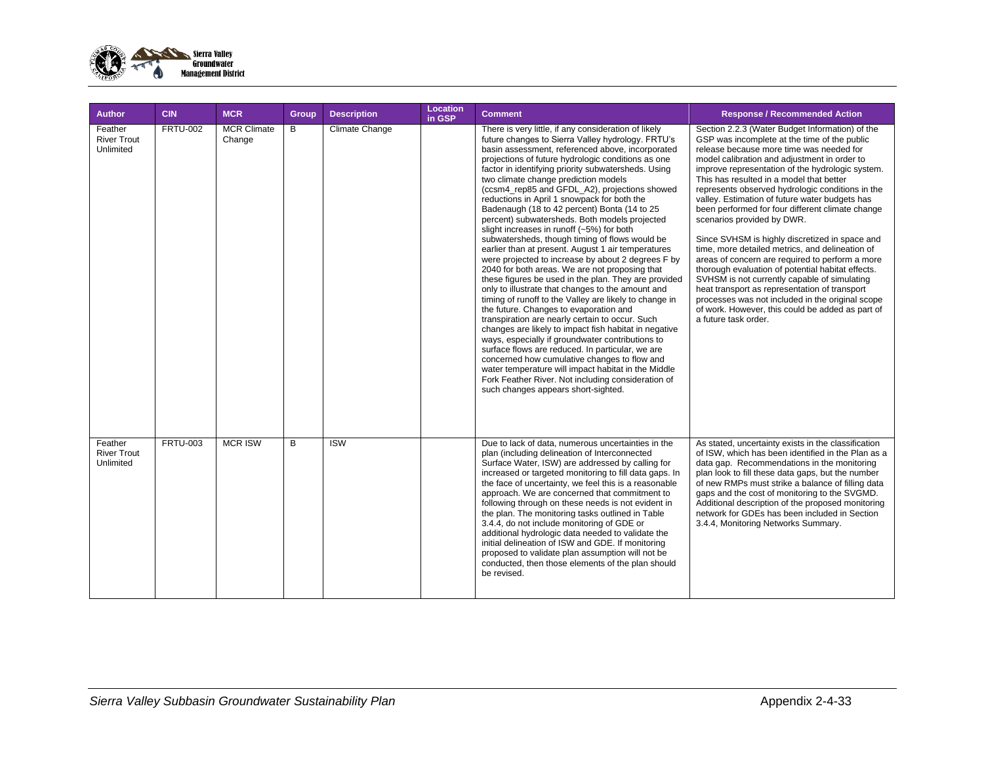

| <b>Author</b>                              | <b>CIN</b>      | <b>MCR</b>                   | Group | <b>Description</b>      | <b>Location</b><br>in GSP | <b>Comment</b>                                                                                                                                                                                                                                                                                                                                                                                                                                                                                                                                                                                                                                                                                                                                                                                                                                                                                                                                                                                                                                                                                                                                                                                                                                                                                                                                                                                                            | <b>Response / Recommended Action</b>                                                                                                                                                                                                                                                                                                                                                                                                                                                                                                                                                                                                                                                                                                                                                                                                                                                                                              |
|--------------------------------------------|-----------------|------------------------------|-------|-------------------------|---------------------------|---------------------------------------------------------------------------------------------------------------------------------------------------------------------------------------------------------------------------------------------------------------------------------------------------------------------------------------------------------------------------------------------------------------------------------------------------------------------------------------------------------------------------------------------------------------------------------------------------------------------------------------------------------------------------------------------------------------------------------------------------------------------------------------------------------------------------------------------------------------------------------------------------------------------------------------------------------------------------------------------------------------------------------------------------------------------------------------------------------------------------------------------------------------------------------------------------------------------------------------------------------------------------------------------------------------------------------------------------------------------------------------------------------------------------|-----------------------------------------------------------------------------------------------------------------------------------------------------------------------------------------------------------------------------------------------------------------------------------------------------------------------------------------------------------------------------------------------------------------------------------------------------------------------------------------------------------------------------------------------------------------------------------------------------------------------------------------------------------------------------------------------------------------------------------------------------------------------------------------------------------------------------------------------------------------------------------------------------------------------------------|
| Feather<br><b>River Trout</b><br>Unlimited | <b>FRTU-002</b> | <b>MCR Climate</b><br>Change | B     | Climate Change          |                           | There is very little, if any consideration of likely<br>future changes to Sierra Valley hydrology. FRTU's<br>basin assessment, referenced above, incorporated<br>projections of future hydrologic conditions as one<br>factor in identifying priority subwatersheds. Using<br>two climate change prediction models<br>(ccsm4 rep85 and GFDL A2), projections showed<br>reductions in April 1 snowpack for both the<br>Badenaugh (18 to 42 percent) Bonta (14 to 25<br>percent) subwatersheds. Both models projected<br>slight increases in runoff (~5%) for both<br>subwatersheds, though timing of flows would be<br>earlier than at present. August 1 air temperatures<br>were projected to increase by about 2 degrees F by<br>2040 for both areas. We are not proposing that<br>these figures be used in the plan. They are provided<br>only to illustrate that changes to the amount and<br>timing of runoff to the Valley are likely to change in<br>the future. Changes to evaporation and<br>transpiration are nearly certain to occur. Such<br>changes are likely to impact fish habitat in negative<br>ways, especially if groundwater contributions to<br>surface flows are reduced. In particular, we are<br>concerned how cumulative changes to flow and<br>water temperature will impact habitat in the Middle<br>Fork Feather River. Not including consideration of<br>such changes appears short-sighted. | Section 2.2.3 (Water Budget Information) of the<br>GSP was incomplete at the time of the public<br>release because more time was needed for<br>model calibration and adiustment in order to<br>improve representation of the hydrologic system.<br>This has resulted in a model that better<br>represents observed hydrologic conditions in the<br>valley. Estimation of future water budgets has<br>been performed for four different climate change<br>scenarios provided by DWR.<br>Since SVHSM is highly discretized in space and<br>time, more detailed metrics, and delineation of<br>areas of concern are required to perform a more<br>thorough evaluation of potential habitat effects.<br>SVHSM is not currently capable of simulating<br>heat transport as representation of transport<br>processes was not included in the original scope<br>of work. However, this could be added as part of<br>a future task order. |
| Feather<br><b>River Trout</b><br>Unlimited | <b>FRTU-003</b> | <b>MCR ISW</b>               | B     | $\overline{\text{ISW}}$ |                           | Due to lack of data, numerous uncertainties in the<br>plan (including delineation of Interconnected<br>Surface Water, ISW) are addressed by calling for<br>increased or targeted monitoring to fill data gaps. In<br>the face of uncertainty, we feel this is a reasonable<br>approach. We are concerned that commitment to<br>following through on these needs is not evident in<br>the plan. The monitoring tasks outlined in Table<br>3.4.4, do not include monitoring of GDE or<br>additional hydrologic data needed to validate the<br>initial delineation of ISW and GDE. If monitoring<br>proposed to validate plan assumption will not be<br>conducted, then those elements of the plan should<br>be revised.                                                                                                                                                                                                                                                                                                                                                                                                                                                                                                                                                                                                                                                                                                     | As stated, uncertainty exists in the classification<br>of ISW, which has been identified in the Plan as a<br>data gap. Recommendations in the monitoring<br>plan look to fill these data gaps, but the number<br>of new RMPs must strike a balance of filling data<br>gaps and the cost of monitoring to the SVGMD.<br>Additional description of the proposed monitoring<br>network for GDEs has been included in Section<br>3.4.4, Monitoring Networks Summary.                                                                                                                                                                                                                                                                                                                                                                                                                                                                  |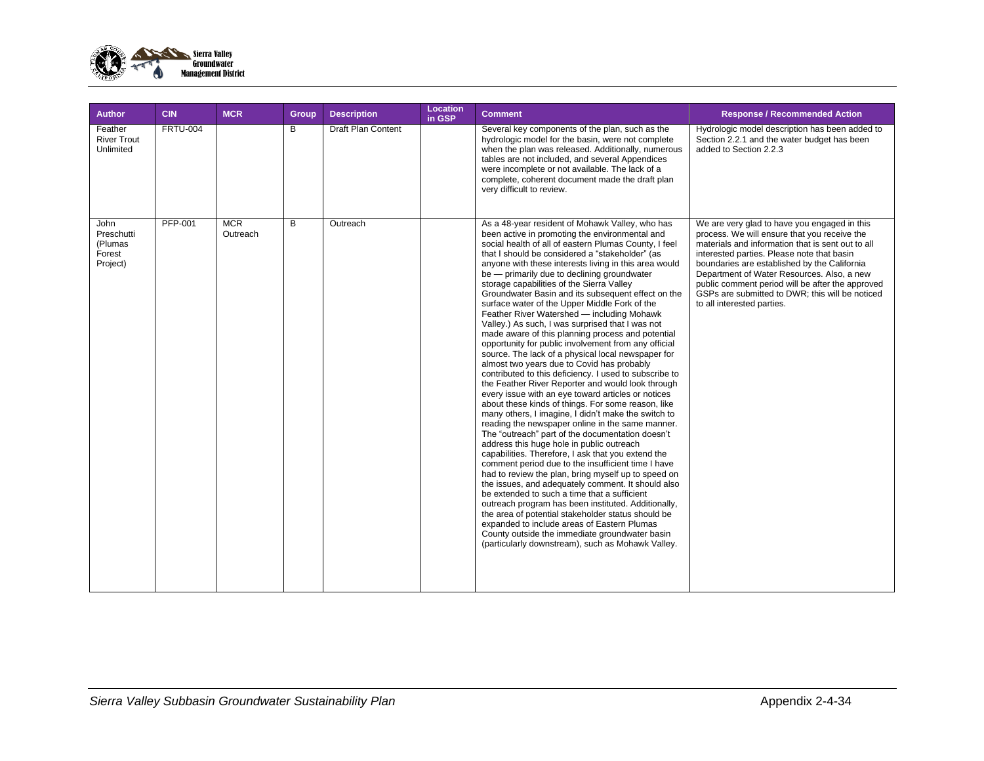

| <b>Author</b>                                       | <b>CIN</b>      | <b>MCR</b>             | Group | <b>Description</b>        | Location<br>in GSP | <b>Comment</b>                                                                                                                                                                                                                                                                                                                                                                                                                                                                                                                                                                                                                                                                                                                                                                                                                                                                                                                                                                                                                                                                                                                                                                                                                                                                                                                                                                                                                                                                                                                                                                                                                                                                                                                                                                  | <b>Response / Recommended Action</b>                                                                                                                                                                                                                                                                                                                                                                                               |
|-----------------------------------------------------|-----------------|------------------------|-------|---------------------------|--------------------|---------------------------------------------------------------------------------------------------------------------------------------------------------------------------------------------------------------------------------------------------------------------------------------------------------------------------------------------------------------------------------------------------------------------------------------------------------------------------------------------------------------------------------------------------------------------------------------------------------------------------------------------------------------------------------------------------------------------------------------------------------------------------------------------------------------------------------------------------------------------------------------------------------------------------------------------------------------------------------------------------------------------------------------------------------------------------------------------------------------------------------------------------------------------------------------------------------------------------------------------------------------------------------------------------------------------------------------------------------------------------------------------------------------------------------------------------------------------------------------------------------------------------------------------------------------------------------------------------------------------------------------------------------------------------------------------------------------------------------------------------------------------------------|------------------------------------------------------------------------------------------------------------------------------------------------------------------------------------------------------------------------------------------------------------------------------------------------------------------------------------------------------------------------------------------------------------------------------------|
| Feather<br><b>River Trout</b><br>Unlimited          | <b>FRTU-004</b> |                        | B     | <b>Draft Plan Content</b> |                    | Several key components of the plan, such as the<br>hydrologic model for the basin, were not complete<br>when the plan was released. Additionally, numerous<br>tables are not included, and several Appendices<br>were incomplete or not available. The lack of a<br>complete, coherent document made the draft plan<br>very difficult to review.                                                                                                                                                                                                                                                                                                                                                                                                                                                                                                                                                                                                                                                                                                                                                                                                                                                                                                                                                                                                                                                                                                                                                                                                                                                                                                                                                                                                                                | Hydrologic model description has been added to<br>Section 2.2.1 and the water budget has been<br>added to Section 2.2.3                                                                                                                                                                                                                                                                                                            |
| John<br>Preschutti<br>(Plumas<br>Forest<br>Project) | <b>PFP-001</b>  | <b>MCR</b><br>Outreach | B     | Outreach                  |                    | As a 48-year resident of Mohawk Valley, who has<br>been active in promoting the environmental and<br>social health of all of eastern Plumas County, I feel<br>that I should be considered a "stakeholder" (as<br>anyone with these interests living in this area would<br>be - primarily due to declining groundwater<br>storage capabilities of the Sierra Valley<br>Groundwater Basin and its subsequent effect on the<br>surface water of the Upper Middle Fork of the<br>Feather River Watershed - including Mohawk<br>Valley.) As such, I was surprised that I was not<br>made aware of this planning process and potential<br>opportunity for public involvement from any official<br>source. The lack of a physical local newspaper for<br>almost two years due to Covid has probably<br>contributed to this deficiency. I used to subscribe to<br>the Feather River Reporter and would look through<br>every issue with an eye toward articles or notices<br>about these kinds of things. For some reason, like<br>many others, I imagine, I didn't make the switch to<br>reading the newspaper online in the same manner.<br>The "outreach" part of the documentation doesn't<br>address this huge hole in public outreach<br>capabilities. Therefore, I ask that you extend the<br>comment period due to the insufficient time I have<br>had to review the plan, bring myself up to speed on<br>the issues, and adequately comment. It should also<br>be extended to such a time that a sufficient<br>outreach program has been instituted. Additionally,<br>the area of potential stakeholder status should be<br>expanded to include areas of Eastern Plumas<br>County outside the immediate groundwater basin<br>(particularly downstream), such as Mohawk Valley. | We are very glad to have you engaged in this<br>process. We will ensure that you receive the<br>materials and information that is sent out to all<br>interested parties. Please note that basin<br>boundaries are established by the California<br>Department of Water Resources. Also, a new<br>public comment period will be after the approved<br>GSPs are submitted to DWR; this will be noticed<br>to all interested parties. |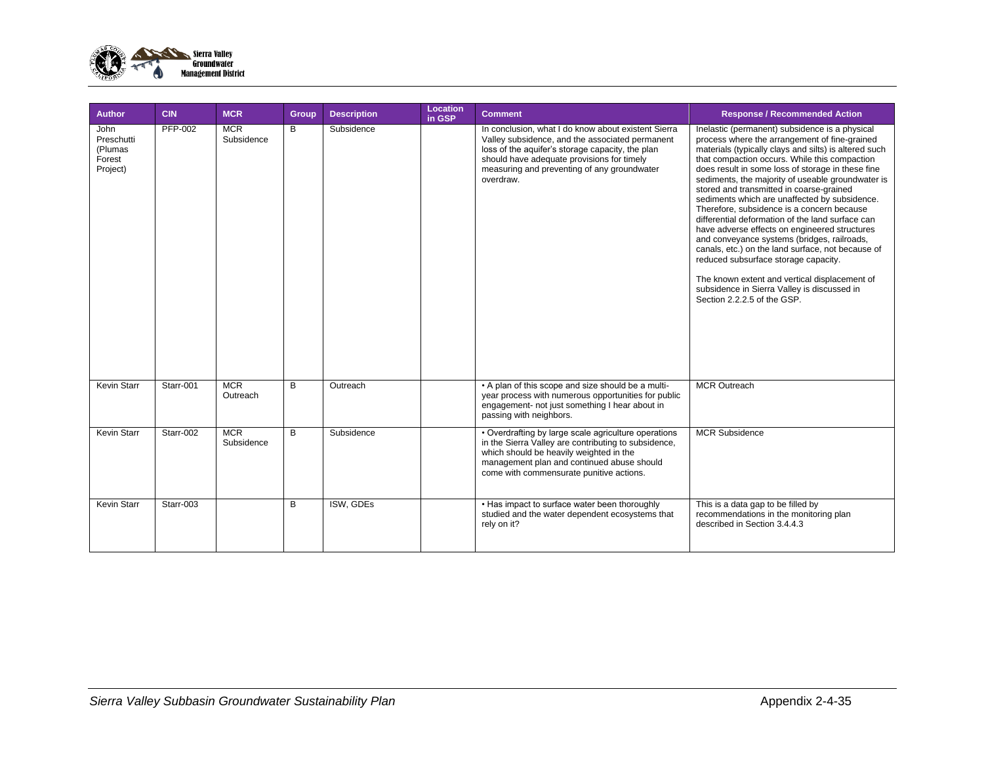

| Author                                              | <b>CIN</b> | <b>MCR</b>               | Group | <b>Description</b> | Location<br>in GSP | <b>Comment</b>                                                                                                                                                                                                                                                       | <b>Response / Recommended Action</b>                                                                                                                                                                                                                                                                                                                                                                                                                                                                                                                                                                                                                                                                                                                                                                                                           |
|-----------------------------------------------------|------------|--------------------------|-------|--------------------|--------------------|----------------------------------------------------------------------------------------------------------------------------------------------------------------------------------------------------------------------------------------------------------------------|------------------------------------------------------------------------------------------------------------------------------------------------------------------------------------------------------------------------------------------------------------------------------------------------------------------------------------------------------------------------------------------------------------------------------------------------------------------------------------------------------------------------------------------------------------------------------------------------------------------------------------------------------------------------------------------------------------------------------------------------------------------------------------------------------------------------------------------------|
| John<br>Preschutti<br>(Plumas<br>Forest<br>Project) | PFP-002    | <b>MCR</b><br>Subsidence | B     | Subsidence         |                    | In conclusion, what I do know about existent Sierra<br>Valley subsidence, and the associated permanent<br>loss of the aquifer's storage capacity, the plan<br>should have adequate provisions for timely<br>measuring and preventing of any groundwater<br>overdraw. | Inelastic (permanent) subsidence is a physical<br>process where the arrangement of fine-grained<br>materials (typically clays and silts) is altered such<br>that compaction occurs. While this compaction<br>does result in some loss of storage in these fine<br>sediments, the majority of useable groundwater is<br>stored and transmitted in coarse-grained<br>sediments which are unaffected by subsidence.<br>Therefore, subsidence is a concern because<br>differential deformation of the land surface can<br>have adverse effects on engineered structures<br>and conveyance systems (bridges, railroads,<br>canals, etc.) on the land surface, not because of<br>reduced subsurface storage capacity.<br>The known extent and vertical displacement of<br>subsidence in Sierra Valley is discussed in<br>Section 2.2.2.5 of the GSP. |
| <b>Kevin Starr</b>                                  | Starr-001  | <b>MCR</b><br>Outreach   | B     | Outreach           |                    | • A plan of this scope and size should be a multi-<br>year process with numerous opportunities for public<br>engagement- not just something I hear about in<br>passing with neighbors.                                                                               | <b>MCR Outreach</b>                                                                                                                                                                                                                                                                                                                                                                                                                                                                                                                                                                                                                                                                                                                                                                                                                            |
| <b>Kevin Starr</b>                                  | Starr-002  | <b>MCR</b><br>Subsidence | B     | Subsidence         |                    | • Overdrafting by large scale agriculture operations<br>in the Sierra Valley are contributing to subsidence,<br>which should be heavily weighted in the<br>management plan and continued abuse should<br>come with commensurate punitive actions.                    | <b>MCR Subsidence</b>                                                                                                                                                                                                                                                                                                                                                                                                                                                                                                                                                                                                                                                                                                                                                                                                                          |
| <b>Kevin Starr</b>                                  | Starr-003  |                          | B     | ISW, GDEs          |                    | • Has impact to surface water been thoroughly<br>studied and the water dependent ecosystems that<br>rely on it?                                                                                                                                                      | This is a data gap to be filled by<br>recommendations in the monitoring plan<br>described in Section 3.4.4.3                                                                                                                                                                                                                                                                                                                                                                                                                                                                                                                                                                                                                                                                                                                                   |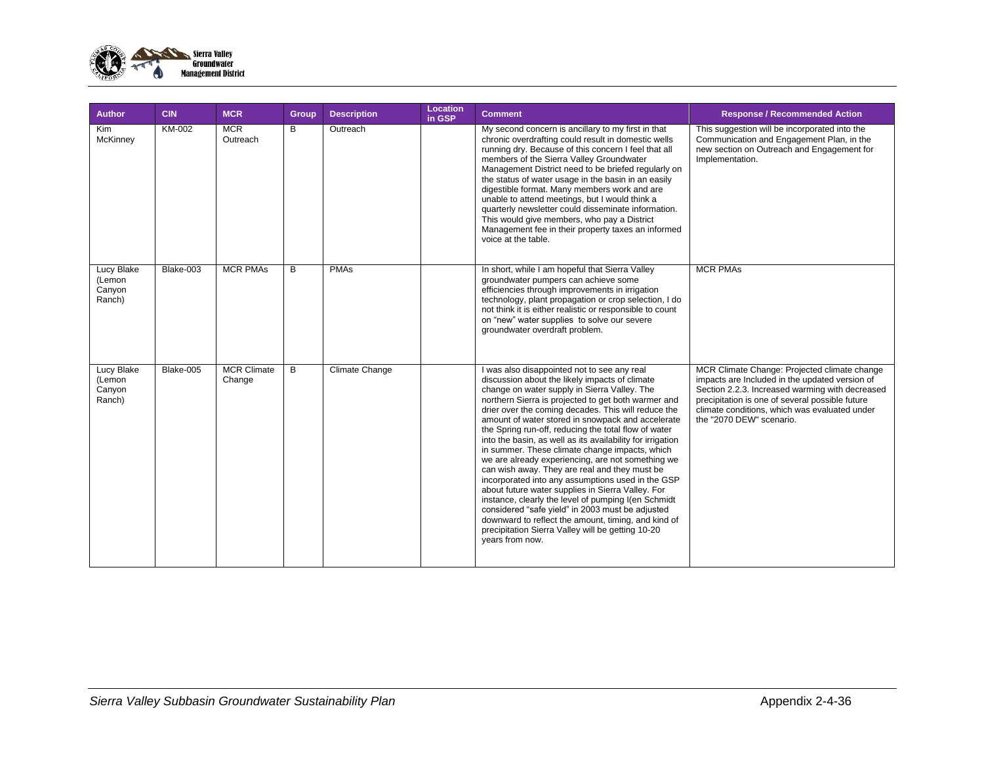

| <b>Author</b>                                   | <b>CIN</b> | <b>MCR</b>                   | <b>Group</b> | <b>Description</b>    | Location<br>in GSP | <b>Comment</b>                                                                                                                                                                                                                                                                                                                                                                                                                                                                                                                                                                                                                                                                                                                                                                                                                                                                                                                                     | <b>Response / Recommended Action</b>                                                                                                                                                                                                                                              |
|-------------------------------------------------|------------|------------------------------|--------------|-----------------------|--------------------|----------------------------------------------------------------------------------------------------------------------------------------------------------------------------------------------------------------------------------------------------------------------------------------------------------------------------------------------------------------------------------------------------------------------------------------------------------------------------------------------------------------------------------------------------------------------------------------------------------------------------------------------------------------------------------------------------------------------------------------------------------------------------------------------------------------------------------------------------------------------------------------------------------------------------------------------------|-----------------------------------------------------------------------------------------------------------------------------------------------------------------------------------------------------------------------------------------------------------------------------------|
| Kim<br>McKinney                                 | KM-002     | <b>MCR</b><br>Outreach       | B            | Outreach              |                    | My second concern is ancillary to my first in that<br>chronic overdrafting could result in domestic wells<br>running dry. Because of this concern I feel that all<br>members of the Sierra Valley Groundwater<br>Management District need to be briefed regularly on<br>the status of water usage in the basin in an easily<br>digestible format. Many members work and are<br>unable to attend meetings, but I would think a<br>quarterly newsletter could disseminate information.<br>This would give members, who pay a District<br>Management fee in their property taxes an informed<br>voice at the table.                                                                                                                                                                                                                                                                                                                                   | This suggestion will be incorporated into the<br>Communication and Engagement Plan, in the<br>new section on Outreach and Engagement for<br>Implementation.                                                                                                                       |
| Lucy Blake<br>(Lemon<br>Canyon<br>Ranch)        | Blake-003  | <b>MCR PMAs</b>              | B            | <b>PMAs</b>           |                    | In short, while I am hopeful that Sierra Valley<br>groundwater pumpers can achieve some<br>efficiencies through improvements in irrigation<br>technology, plant propagation or crop selection, I do<br>not think it is either realistic or responsible to count<br>on "new" water supplies to solve our severe<br>groundwater overdraft problem.                                                                                                                                                                                                                                                                                                                                                                                                                                                                                                                                                                                                   | <b>MCR PMAs</b>                                                                                                                                                                                                                                                                   |
| <b>Lucy Blake</b><br>(Lemon<br>Canyon<br>Ranch) | Blake-005  | <b>MCR Climate</b><br>Change | B            | <b>Climate Change</b> |                    | I was also disappointed not to see any real<br>discussion about the likely impacts of climate<br>change on water supply in Sierra Valley. The<br>northern Sierra is projected to get both warmer and<br>drier over the coming decades. This will reduce the<br>amount of water stored in snowpack and accelerate<br>the Spring run-off, reducing the total flow of water<br>into the basin, as well as its availability for irrigation<br>in summer. These climate change impacts, which<br>we are already experiencing, are not something we<br>can wish away. They are real and they must be<br>incorporated into any assumptions used in the GSP<br>about future water supplies in Sierra Valley. For<br>instance, clearly the level of pumping I(en Schmidt<br>considered "safe yield" in 2003 must be adjusted<br>downward to reflect the amount, timing, and kind of<br>precipitation Sierra Valley will be getting 10-20<br>vears from now. | MCR Climate Change: Projected climate change<br>impacts are Included in the updated version of<br>Section 2.2.3. Increased warming with decreased<br>precipitation is one of several possible future<br>climate conditions, which was evaluated under<br>the "2070 DEW" scenario. |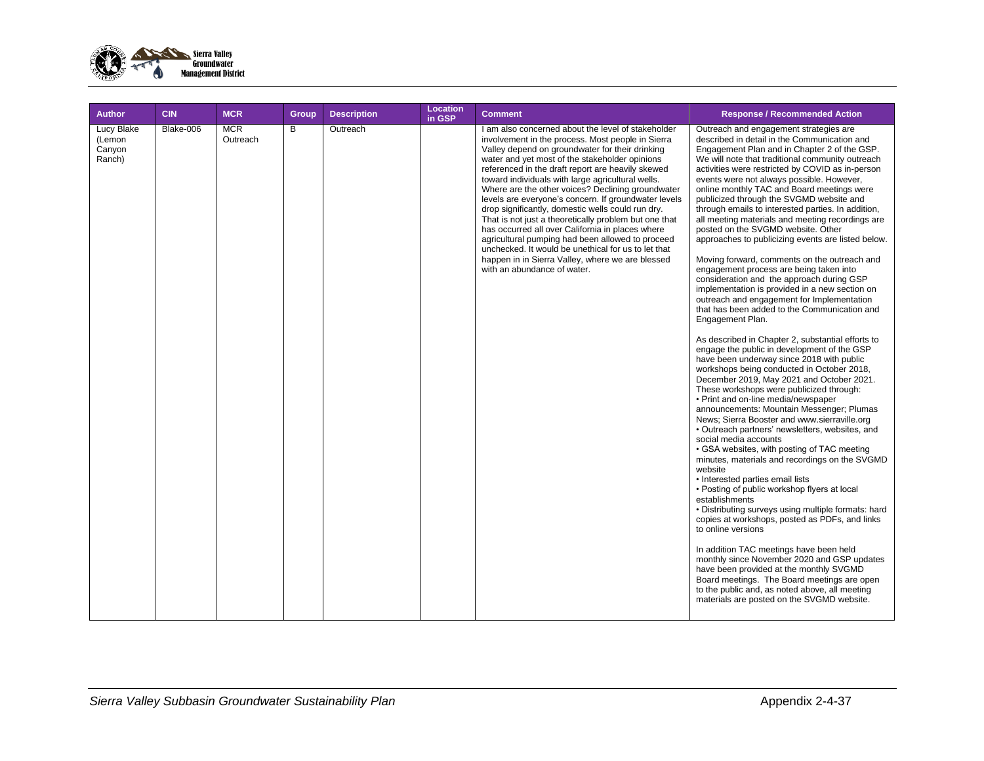

| <b>Author</b>                            | <b>CIN</b> | <b>MCR</b>             | Group | <b>Description</b> | <b>Location</b><br>in GSP | <b>Comment</b>                                                                                                                                                                                                                                                                                                                                                                                                                                                                                                                                                                                                                                                                                                                                                                                      | <b>Response / Recommended Action</b>                                                                                                                                                                                                                                                                                                                                                                                                                                                                                                                                                                                                                                                                                                                                                                                                                                                                                                                                                                                                                                                                                                                                                                                                                                                                                                                                                                                                                                                                                                                                                                                                                                                                                                                                                                                                                                                                                                                                                                                                                 |
|------------------------------------------|------------|------------------------|-------|--------------------|---------------------------|-----------------------------------------------------------------------------------------------------------------------------------------------------------------------------------------------------------------------------------------------------------------------------------------------------------------------------------------------------------------------------------------------------------------------------------------------------------------------------------------------------------------------------------------------------------------------------------------------------------------------------------------------------------------------------------------------------------------------------------------------------------------------------------------------------|------------------------------------------------------------------------------------------------------------------------------------------------------------------------------------------------------------------------------------------------------------------------------------------------------------------------------------------------------------------------------------------------------------------------------------------------------------------------------------------------------------------------------------------------------------------------------------------------------------------------------------------------------------------------------------------------------------------------------------------------------------------------------------------------------------------------------------------------------------------------------------------------------------------------------------------------------------------------------------------------------------------------------------------------------------------------------------------------------------------------------------------------------------------------------------------------------------------------------------------------------------------------------------------------------------------------------------------------------------------------------------------------------------------------------------------------------------------------------------------------------------------------------------------------------------------------------------------------------------------------------------------------------------------------------------------------------------------------------------------------------------------------------------------------------------------------------------------------------------------------------------------------------------------------------------------------------------------------------------------------------------------------------------------------------|
| Lucy Blake<br>(Lemon<br>Canyon<br>Ranch) | Blake-006  | <b>MCR</b><br>Outreach | B     | Outreach           |                           | I am also concerned about the level of stakeholder<br>involvement in the process. Most people in Sierra<br>Valley depend on groundwater for their drinking<br>water and yet most of the stakeholder opinions<br>referenced in the draft report are heavily skewed<br>toward individuals with large agricultural wells.<br>Where are the other voices? Declining groundwater<br>levels are everyone's concern. If groundwater levels<br>drop significantly, domestic wells could run dry.<br>That is not just a theoretically problem but one that<br>has occurred all over California in places where<br>agricultural pumping had been allowed to proceed<br>unchecked. It would be unethical for us to let that<br>happen in in Sierra Valley, where we are blessed<br>with an abundance of water. | Outreach and engagement strategies are<br>described in detail in the Communication and<br>Engagement Plan and in Chapter 2 of the GSP.<br>We will note that traditional community outreach<br>activities were restricted by COVID as in-person<br>events were not always possible. However,<br>online monthly TAC and Board meetings were<br>publicized through the SVGMD website and<br>through emails to interested parties. In addition,<br>all meeting materials and meeting recordings are<br>posted on the SVGMD website. Other<br>approaches to publicizing events are listed below.<br>Moving forward, comments on the outreach and<br>engagement process are being taken into<br>consideration and the approach during GSP<br>implementation is provided in a new section on<br>outreach and engagement for Implementation<br>that has been added to the Communication and<br>Engagement Plan.<br>As described in Chapter 2, substantial efforts to<br>engage the public in development of the GSP<br>have been underway since 2018 with public<br>workshops being conducted in October 2018,<br>December 2019, May 2021 and October 2021.<br>These workshops were publicized through:<br>• Print and on-line media/newspaper<br>announcements: Mountain Messenger: Plumas<br>News; Sierra Booster and www.sierraville.org<br>• Outreach partners' newsletters, websites, and<br>social media accounts<br>• GSA websites, with posting of TAC meeting<br>minutes, materials and recordings on the SVGMD<br>website<br>• Interested parties email lists<br>• Posting of public workshop flyers at local<br>establishments<br>• Distributing surveys using multiple formats: hard<br>copies at workshops, posted as PDFs, and links<br>to online versions<br>In addition TAC meetings have been held<br>monthly since November 2020 and GSP updates<br>have been provided at the monthly SVGMD<br>Board meetings. The Board meetings are open<br>to the public and, as noted above, all meeting<br>materials are posted on the SVGMD website. |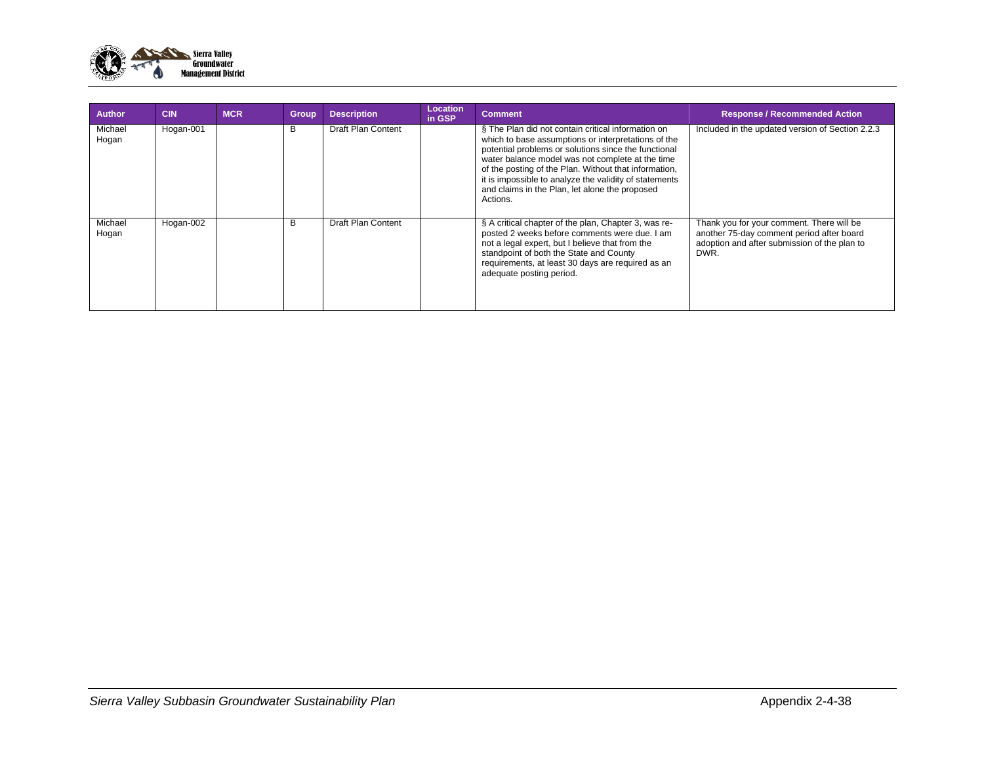

| <b>Author</b>    | <b>CIN</b> | <b>MCR</b> | <b>Group</b> | <b>Description</b>        | Location<br>in GSP | <b>Comment</b>                                                                                                                                                                                                                                                                                                                                                                                         | <b>Response / Recommended Action</b>                                                                                                           |
|------------------|------------|------------|--------------|---------------------------|--------------------|--------------------------------------------------------------------------------------------------------------------------------------------------------------------------------------------------------------------------------------------------------------------------------------------------------------------------------------------------------------------------------------------------------|------------------------------------------------------------------------------------------------------------------------------------------------|
| Michael<br>Hogan | Hogan-001  |            | в            | Draft Plan Content        |                    | § The Plan did not contain critical information on<br>which to base assumptions or interpretations of the<br>potential problems or solutions since the functional<br>water balance model was not complete at the time<br>of the posting of the Plan. Without that information,<br>it is impossible to analyze the validity of statements<br>and claims in the Plan, let alone the proposed<br>Actions. | Included in the updated version of Section 2.2.3                                                                                               |
| Michael<br>Hogan | Hogan-002  |            | B            | <b>Draft Plan Content</b> |                    | § A critical chapter of the plan, Chapter 3, was re-<br>posted 2 weeks before comments were due. I am<br>not a legal expert, but I believe that from the<br>standpoint of both the State and County<br>requirements, at least 30 days are required as an<br>adequate posting period.                                                                                                                   | Thank you for your comment. There will be<br>another 75-day comment period after board<br>adoption and after submission of the plan to<br>DWR. |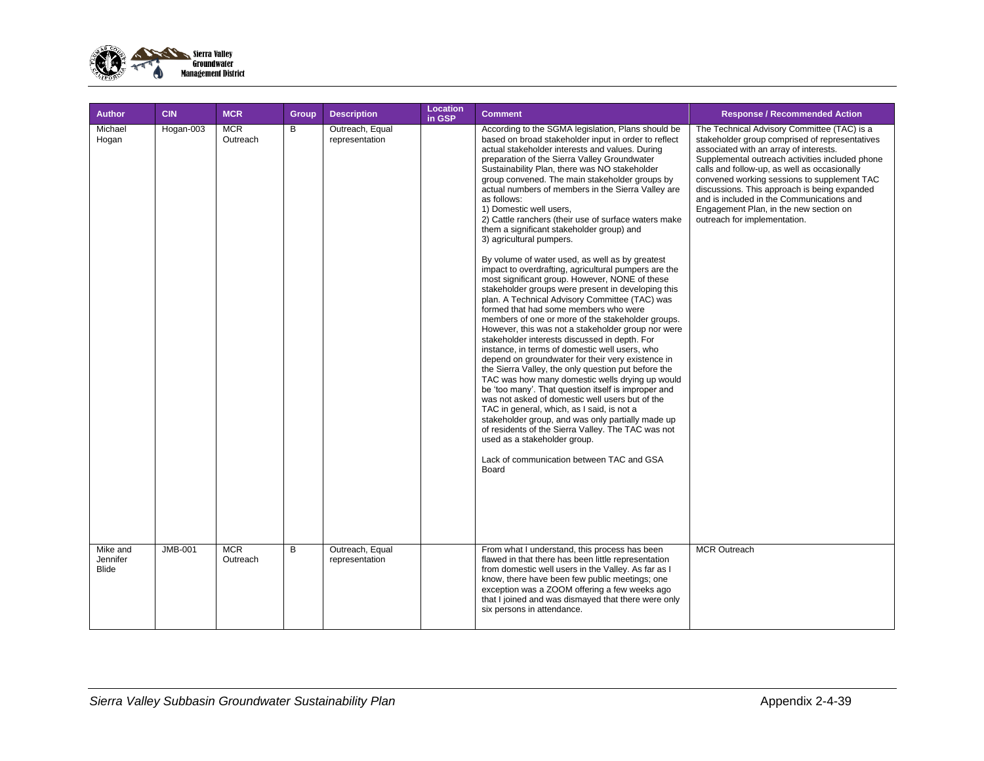

| <b>Author</b>                | <b>CIN</b>           | <b>MCR</b>                           | Group  | <b>Description</b>                                   | <b>Location</b><br>in GSP | <b>Comment</b>                                                                                                                                                                                                                                                                                                                                                                                                                                                                                                                                                                                                                                                                                                                                                                                                                                                                                                                                                                                                                                                                                                                                                                                                                                                                                                                                                                                                                                                                                                                                                                                                                                         | <b>Response / Recommended Action</b>                                                                                                                                                                                                                                                                                                                                                                                                                                                    |
|------------------------------|----------------------|--------------------------------------|--------|------------------------------------------------------|---------------------------|--------------------------------------------------------------------------------------------------------------------------------------------------------------------------------------------------------------------------------------------------------------------------------------------------------------------------------------------------------------------------------------------------------------------------------------------------------------------------------------------------------------------------------------------------------------------------------------------------------------------------------------------------------------------------------------------------------------------------------------------------------------------------------------------------------------------------------------------------------------------------------------------------------------------------------------------------------------------------------------------------------------------------------------------------------------------------------------------------------------------------------------------------------------------------------------------------------------------------------------------------------------------------------------------------------------------------------------------------------------------------------------------------------------------------------------------------------------------------------------------------------------------------------------------------------------------------------------------------------------------------------------------------------|-----------------------------------------------------------------------------------------------------------------------------------------------------------------------------------------------------------------------------------------------------------------------------------------------------------------------------------------------------------------------------------------------------------------------------------------------------------------------------------------|
| Michael<br>Hogan<br>Mike and | Hogan-003<br>JMB-001 | <b>MCR</b><br>Outreach<br><b>MCR</b> | В<br>B | Outreach, Equal<br>representation<br>Outreach, Equal |                           | According to the SGMA legislation, Plans should be<br>based on broad stakeholder input in order to reflect<br>actual stakeholder interests and values. During<br>preparation of the Sierra Valley Groundwater<br>Sustainability Plan, there was NO stakeholder<br>group convened. The main stakeholder groups by<br>actual numbers of members in the Sierra Valley are<br>as follows:<br>1) Domestic well users,<br>2) Cattle ranchers (their use of surface waters make<br>them a significant stakeholder group) and<br>3) agricultural pumpers.<br>By volume of water used, as well as by greatest<br>impact to overdrafting, agricultural pumpers are the<br>most significant group. However, NONE of these<br>stakeholder groups were present in developing this<br>plan. A Technical Advisory Committee (TAC) was<br>formed that had some members who were<br>members of one or more of the stakeholder groups.<br>However, this was not a stakeholder group nor were<br>stakeholder interests discussed in depth. For<br>instance, in terms of domestic well users, who<br>depend on groundwater for their very existence in<br>the Sierra Valley, the only question put before the<br>TAC was how many domestic wells drying up would<br>be 'too many'. That question itself is improper and<br>was not asked of domestic well users but of the<br>TAC in general, which, as I said, is not a<br>stakeholder group, and was only partially made up<br>of residents of the Sierra Valley. The TAC was not<br>used as a stakeholder group.<br>Lack of communication between TAC and GSA<br>Board<br>From what I understand, this process has been | The Technical Advisory Committee (TAC) is a<br>stakeholder group comprised of representatives<br>associated with an array of interests.<br>Supplemental outreach activities included phone<br>calls and follow-up, as well as occasionally<br>convened working sessions to supplement TAC<br>discussions. This approach is being expanded<br>and is included in the Communications and<br>Engagement Plan, in the new section on<br>outreach for implementation.<br><b>MCR Outreach</b> |
| Jennifer<br><b>Blide</b>     |                      | Outreach                             |        | representation                                       |                           | flawed in that there has been little representation<br>from domestic well users in the Valley. As far as I<br>know, there have been few public meetings; one<br>exception was a ZOOM offering a few weeks ago<br>that I joined and was dismayed that there were only<br>six persons in attendance.                                                                                                                                                                                                                                                                                                                                                                                                                                                                                                                                                                                                                                                                                                                                                                                                                                                                                                                                                                                                                                                                                                                                                                                                                                                                                                                                                     |                                                                                                                                                                                                                                                                                                                                                                                                                                                                                         |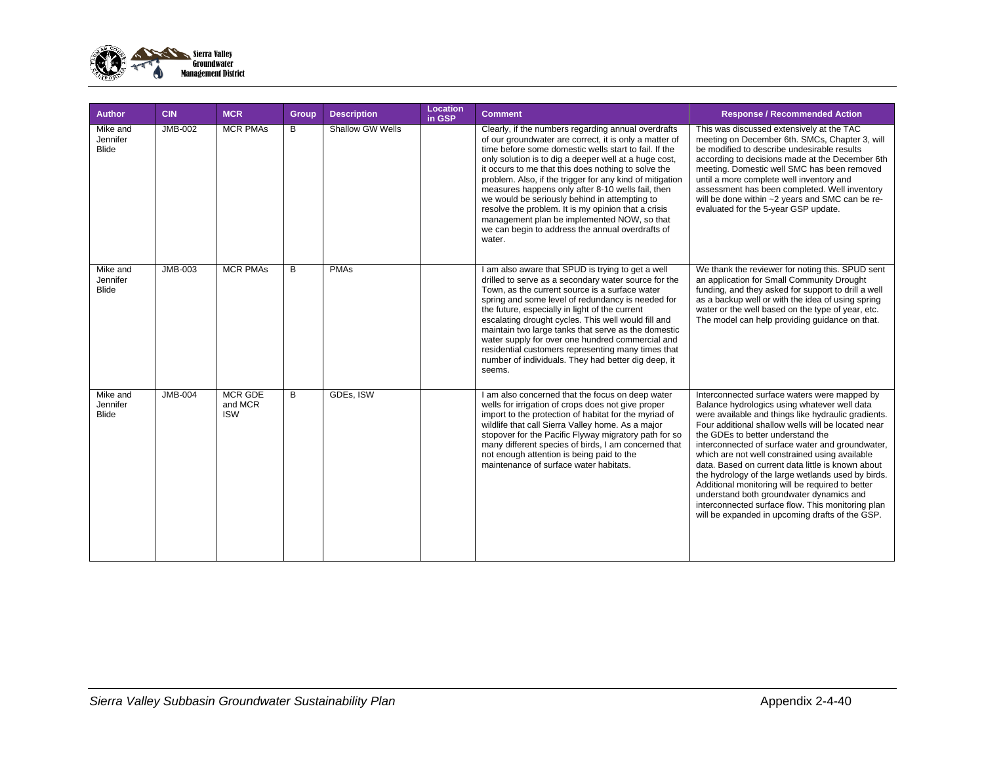

| Author                               | <b>CIN</b>     | <b>MCR</b>                              | <b>Group</b> | <b>Description</b>      | Location<br>in GSP | <b>Comment</b>                                                                                                                                                                                                                                                                                                                                                                                                                                                                                                                                                                                                               | <b>Response / Recommended Action</b>                                                                                                                                                                                                                                                                                                                                                                                                                                                                                                                                                                                                                                    |
|--------------------------------------|----------------|-----------------------------------------|--------------|-------------------------|--------------------|------------------------------------------------------------------------------------------------------------------------------------------------------------------------------------------------------------------------------------------------------------------------------------------------------------------------------------------------------------------------------------------------------------------------------------------------------------------------------------------------------------------------------------------------------------------------------------------------------------------------------|-------------------------------------------------------------------------------------------------------------------------------------------------------------------------------------------------------------------------------------------------------------------------------------------------------------------------------------------------------------------------------------------------------------------------------------------------------------------------------------------------------------------------------------------------------------------------------------------------------------------------------------------------------------------------|
| Mike and<br>Jennifer<br><b>Blide</b> | <b>JMB-002</b> | <b>MCR PMAs</b>                         | B            | <b>Shallow GW Wells</b> |                    | Clearly, if the numbers regarding annual overdrafts<br>of our groundwater are correct, it is only a matter of<br>time before some domestic wells start to fail. If the<br>only solution is to dig a deeper well at a huge cost,<br>it occurs to me that this does nothing to solve the<br>problem. Also, if the trigger for any kind of mitigation<br>measures happens only after 8-10 wells fail, then<br>we would be seriously behind in attempting to<br>resolve the problem. It is my opinion that a crisis<br>management plan be implemented NOW, so that<br>we can begin to address the annual overdrafts of<br>water. | This was discussed extensively at the TAC<br>meeting on December 6th. SMCs, Chapter 3, will<br>be modified to describe undesirable results<br>according to decisions made at the December 6th<br>meeting. Domestic well SMC has been removed<br>until a more complete well inventory and<br>assessment has been completed. Well inventory<br>will be done within ~2 years and SMC can be re-<br>evaluated for the 5-year GSP update.                                                                                                                                                                                                                                    |
| Mike and<br>Jennifer<br><b>Blide</b> | JMB-003        | <b>MCR PMAs</b>                         | B            | <b>PMAs</b>             |                    | I am also aware that SPUD is trying to get a well<br>drilled to serve as a secondary water source for the<br>Town, as the current source is a surface water<br>spring and some level of redundancy is needed for<br>the future, especially in light of the current<br>escalating drought cycles. This well would fill and<br>maintain two large tanks that serve as the domestic<br>water supply for over one hundred commercial and<br>residential customers representing many times that<br>number of individuals. They had better dig deep, it<br>seems.                                                                  | We thank the reviewer for noting this. SPUD sent<br>an application for Small Community Drought<br>funding, and they asked for support to drill a well<br>as a backup well or with the idea of using spring<br>water or the well based on the type of year, etc.<br>The model can help providing quidance on that.                                                                                                                                                                                                                                                                                                                                                       |
| Mike and<br>Jennifer<br><b>Blide</b> | <b>JMB-004</b> | <b>MCR GDE</b><br>and MCR<br><b>ISW</b> | B            | GDEs, ISW               |                    | I am also concerned that the focus on deep water<br>wells for irrigation of crops does not give proper<br>import to the protection of habitat for the myriad of<br>wildlife that call Sierra Valley home. As a major<br>stopover for the Pacific Flyway migratory path for so<br>many different species of birds, I am concerned that<br>not enough attention is being paid to the<br>maintenance of surface water habitats.                                                                                                                                                                                                 | Interconnected surface waters were mapped by<br>Balance hydrologics using whatever well data<br>were available and things like hydraulic gradients.<br>Four additional shallow wells will be located near<br>the GDEs to better understand the<br>interconnected of surface water and groundwater,<br>which are not well constrained using available<br>data. Based on current data little is known about<br>the hydrology of the large wetlands used by birds.<br>Additional monitoring will be required to better<br>understand both groundwater dynamics and<br>interconnected surface flow. This monitoring plan<br>will be expanded in upcoming drafts of the GSP. |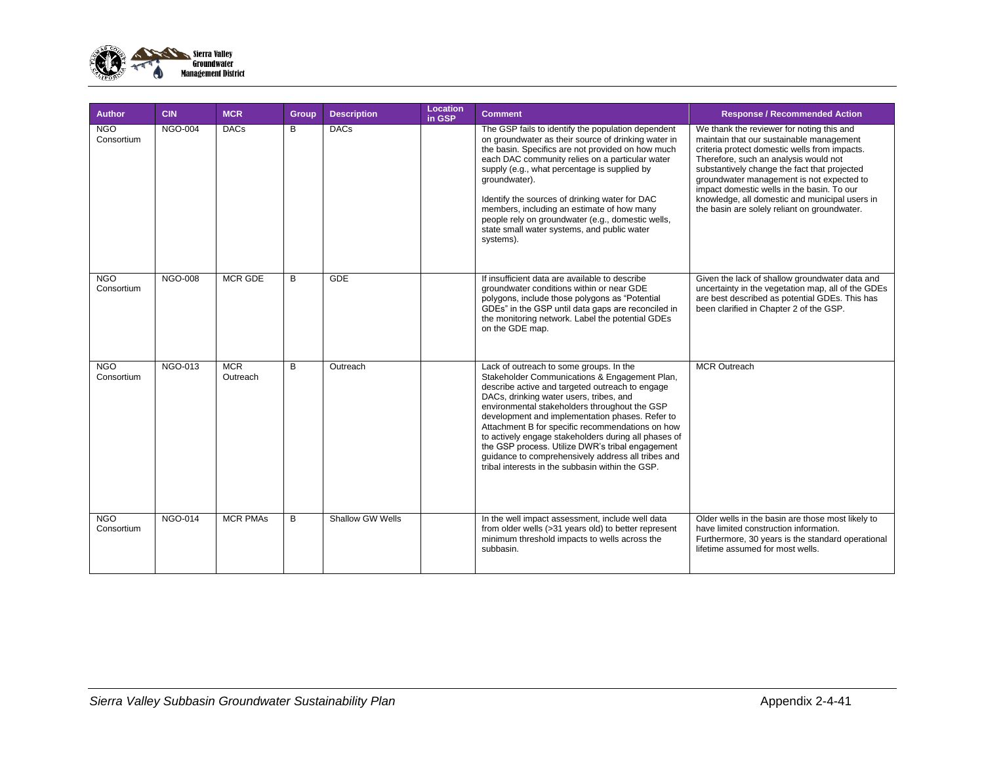

| <b>Author</b>            | <b>CIN</b>     | <b>MCR</b>             | Group | <b>Description</b> | Location<br>in GSP | <b>Comment</b>                                                                                                                                                                                                                                                                                                                                                                                                                                                                                                                                                       | <b>Response / Recommended Action</b>                                                                                                                                                                                                                                                                                                                                                                                         |
|--------------------------|----------------|------------------------|-------|--------------------|--------------------|----------------------------------------------------------------------------------------------------------------------------------------------------------------------------------------------------------------------------------------------------------------------------------------------------------------------------------------------------------------------------------------------------------------------------------------------------------------------------------------------------------------------------------------------------------------------|------------------------------------------------------------------------------------------------------------------------------------------------------------------------------------------------------------------------------------------------------------------------------------------------------------------------------------------------------------------------------------------------------------------------------|
| <b>NGO</b><br>Consortium | <b>NGO-004</b> | <b>DACs</b>            | B     | <b>DACs</b>        |                    | The GSP fails to identify the population dependent<br>on groundwater as their source of drinking water in<br>the basin. Specifics are not provided on how much<br>each DAC community relies on a particular water<br>supply (e.g., what percentage is supplied by<br>groundwater).<br>Identify the sources of drinking water for DAC<br>members, including an estimate of how many<br>people rely on groundwater (e.g., domestic wells,<br>state small water systems, and public water<br>systems).                                                                  | We thank the reviewer for noting this and<br>maintain that our sustainable management<br>criteria protect domestic wells from impacts.<br>Therefore, such an analysis would not<br>substantively change the fact that projected<br>groundwater management is not expected to<br>impact domestic wells in the basin. To our<br>knowledge, all domestic and municipal users in<br>the basin are solely reliant on groundwater. |
| <b>NGO</b><br>Consortium | <b>NGO-008</b> | <b>MCR GDE</b>         | B     | <b>GDE</b>         |                    | If insufficient data are available to describe<br>groundwater conditions within or near GDE<br>polygons, include those polygons as "Potential<br>GDEs" in the GSP until data gaps are reconciled in<br>the monitoring network. Label the potential GDEs<br>on the GDE map.                                                                                                                                                                                                                                                                                           | Given the lack of shallow groundwater data and<br>uncertainty in the vegetation map, all of the GDEs<br>are best described as potential GDEs. This has<br>been clarified in Chapter 2 of the GSP.                                                                                                                                                                                                                            |
| <b>NGO</b><br>Consortium | NGO-013        | <b>MCR</b><br>Outreach | B     | Outreach           |                    | Lack of outreach to some groups. In the<br>Stakeholder Communications & Engagement Plan,<br>describe active and targeted outreach to engage<br>DACs, drinking water users, tribes, and<br>environmental stakeholders throughout the GSP<br>development and implementation phases. Refer to<br>Attachment B for specific recommendations on how<br>to actively engage stakeholders during all phases of<br>the GSP process. Utilize DWR's tribal engagement<br>guidance to comprehensively address all tribes and<br>tribal interests in the subbasin within the GSP. | <b>MCR Outreach</b>                                                                                                                                                                                                                                                                                                                                                                                                          |
| <b>NGO</b><br>Consortium | <b>NGO-014</b> | <b>MCR PMAs</b>        | B     | Shallow GW Wells   |                    | In the well impact assessment, include well data<br>from older wells (>31 years old) to better represent<br>minimum threshold impacts to wells across the<br>subbasin.                                                                                                                                                                                                                                                                                                                                                                                               | Older wells in the basin are those most likely to<br>have limited construction information.<br>Furthermore, 30 years is the standard operational<br>lifetime assumed for most wells.                                                                                                                                                                                                                                         |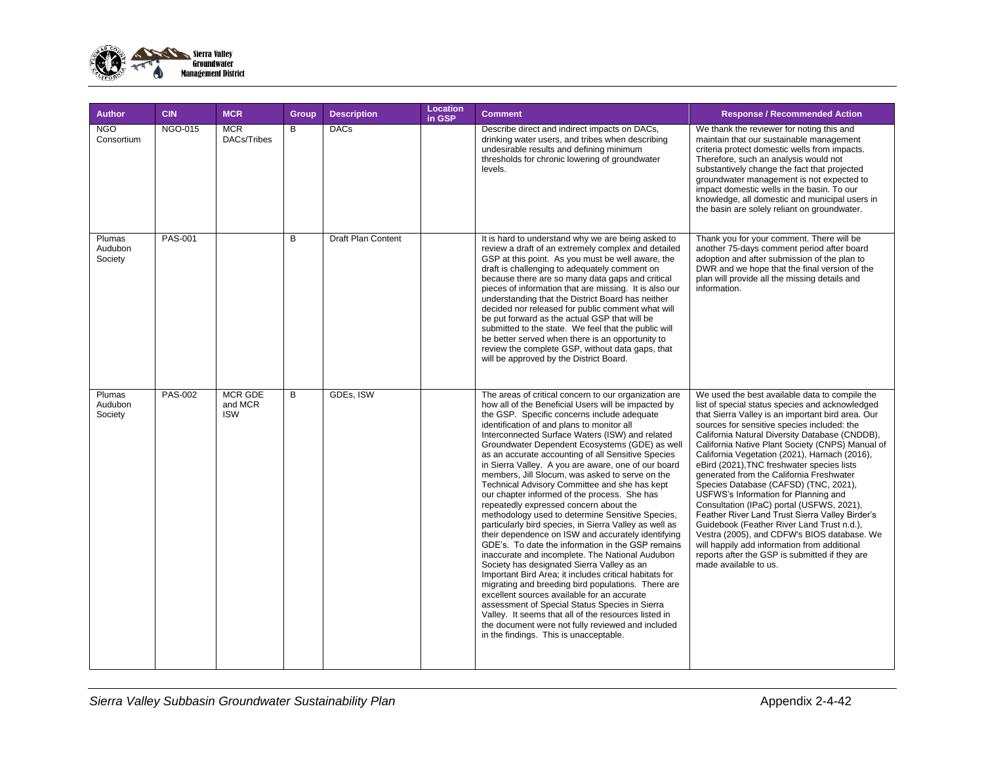

| <b>Author</b>                | <b>CIN</b>     | <b>MCR</b>                              | Group | <b>Description</b>        | Location<br>in GSP | <b>Comment</b>                                                                                                                                                                                                                                                                                                                                                                                                                                                                                                                                                                                                                                                                                                                                                                                                                                                                                                                                                                                                                                                                                                                                                                                                                                                                                                              | <b>Response / Recommended Action</b>                                                                                                                                                                                                                                                                                                                                                                                                                                                                                                                                                                                                                                                                                                                                                                                                                            |
|------------------------------|----------------|-----------------------------------------|-------|---------------------------|--------------------|-----------------------------------------------------------------------------------------------------------------------------------------------------------------------------------------------------------------------------------------------------------------------------------------------------------------------------------------------------------------------------------------------------------------------------------------------------------------------------------------------------------------------------------------------------------------------------------------------------------------------------------------------------------------------------------------------------------------------------------------------------------------------------------------------------------------------------------------------------------------------------------------------------------------------------------------------------------------------------------------------------------------------------------------------------------------------------------------------------------------------------------------------------------------------------------------------------------------------------------------------------------------------------------------------------------------------------|-----------------------------------------------------------------------------------------------------------------------------------------------------------------------------------------------------------------------------------------------------------------------------------------------------------------------------------------------------------------------------------------------------------------------------------------------------------------------------------------------------------------------------------------------------------------------------------------------------------------------------------------------------------------------------------------------------------------------------------------------------------------------------------------------------------------------------------------------------------------|
| <b>NGO</b><br>Consortium     | <b>NGO-015</b> | <b>MCR</b><br>DACs/Tribes               | B     | <b>DACs</b>               |                    | Describe direct and indirect impacts on DACs,<br>drinking water users, and tribes when describing<br>undesirable results and defining minimum<br>thresholds for chronic lowering of groundwater<br>levels.                                                                                                                                                                                                                                                                                                                                                                                                                                                                                                                                                                                                                                                                                                                                                                                                                                                                                                                                                                                                                                                                                                                  | We thank the reviewer for noting this and<br>maintain that our sustainable management<br>criteria protect domestic wells from impacts.<br>Therefore, such an analysis would not<br>substantively change the fact that projected<br>groundwater management is not expected to<br>impact domestic wells in the basin. To our<br>knowledge, all domestic and municipal users in<br>the basin are solely reliant on groundwater.                                                                                                                                                                                                                                                                                                                                                                                                                                    |
| Plumas<br>Audubon<br>Society | <b>PAS-001</b> |                                         | B     | <b>Draft Plan Content</b> |                    | It is hard to understand why we are being asked to<br>review a draft of an extremely complex and detailed<br>GSP at this point. As you must be well aware, the<br>draft is challenging to adequately comment on<br>because there are so many data gaps and critical<br>pieces of information that are missing. It is also our<br>understanding that the District Board has neither<br>decided nor released for public comment what will<br>be put forward as the actual GSP that will be<br>submitted to the state. We feel that the public will<br>be better served when there is an opportunity to<br>review the complete GSP, without data gaps, that<br>will be approved by the District Board.                                                                                                                                                                                                                                                                                                                                                                                                                                                                                                                                                                                                                         | Thank you for your comment. There will be<br>another 75-days comment period after board<br>adoption and after submission of the plan to<br>DWR and we hope that the final version of the<br>plan will provide all the missing details and<br>information.                                                                                                                                                                                                                                                                                                                                                                                                                                                                                                                                                                                                       |
| Plumas<br>Audubon<br>Society | PAS-002        | <b>MCR GDE</b><br>and MCR<br><b>ISW</b> | B     | GDEs, ISW                 |                    | The areas of critical concern to our organization are<br>how all of the Beneficial Users will be impacted by<br>the GSP. Specific concerns include adequate<br>identification of and plans to monitor all<br>Interconnected Surface Waters (ISW) and related<br>Groundwater Dependent Ecosystems (GDE) as well<br>as an accurate accounting of all Sensitive Species<br>in Sierra Valley. A you are aware, one of our board<br>members, Jill Slocum, was asked to serve on the<br>Technical Advisory Committee and she has kept<br>our chapter informed of the process. She has<br>repeatedly expressed concern about the<br>methodology used to determine Sensitive Species,<br>particularly bird species, in Sierra Valley as well as<br>their dependence on ISW and accurately identifying<br>GDE's. To date the information in the GSP remains<br>inaccurate and incomplete. The National Audubon<br>Society has designated Sierra Valley as an<br>Important Bird Area; it includes critical habitats for<br>migrating and breeding bird populations. There are<br>excellent sources available for an accurate<br>assessment of Special Status Species in Sierra<br>Valley. It seems that all of the resources listed in<br>the document were not fully reviewed and included<br>in the findings. This is unacceptable. | We used the best available data to compile the<br>list of special status species and acknowledged<br>that Sierra Valley is an important bird area. Our<br>sources for sensitive species included: the<br>California Natural Diversity Database (CNDDB),<br>California Native Plant Society (CNPS) Manual of<br>California Vegetation (2021), Harnach (2016),<br>eBird (2021), TNC freshwater species lists<br>generated from the California Freshwater<br>Species Database (CAFSD) (TNC, 2021),<br>USFWS's Information for Planning and<br>Consultation (IPaC) portal (USFWS, 2021),<br>Feather River Land Trust Sierra Valley Birder's<br>Guidebook (Feather River Land Trust n.d.),<br>Vestra (2005), and CDFW's BIOS database. We<br>will happily add information from additional<br>reports after the GSP is submitted if they are<br>made available to us. |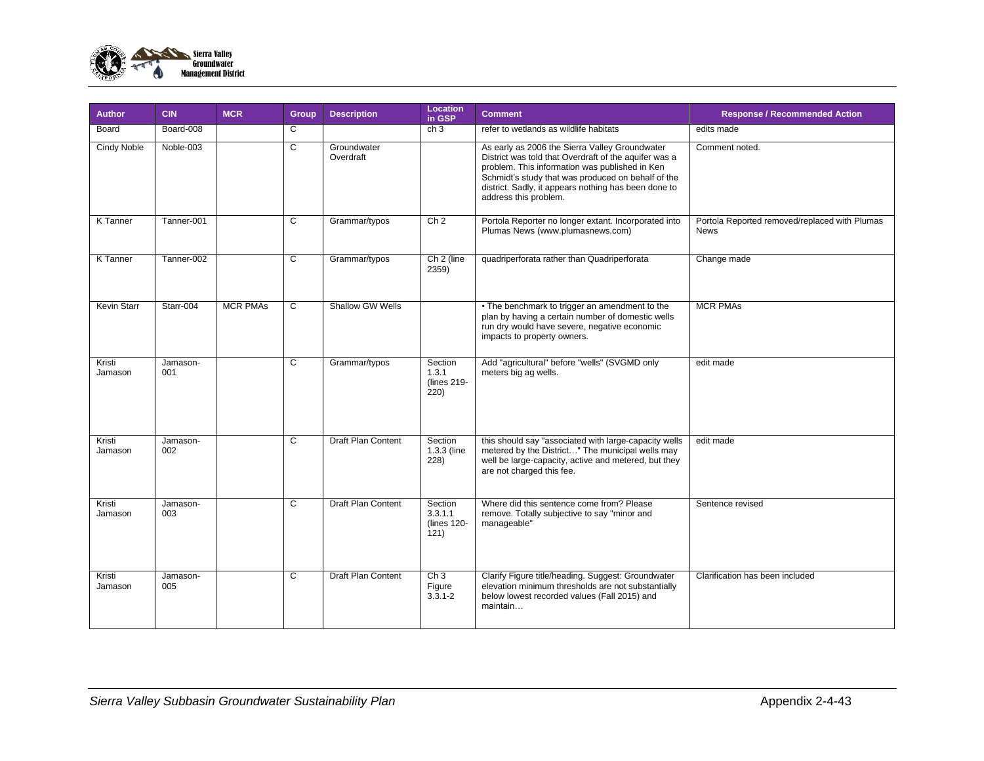

| <b>Author</b>      | <b>CIN</b>      | <b>MCR</b>      | Group | <b>Description</b>        | Location<br>in GSP                        | <b>Comment</b>                                                                                                                                                                                                                                                                                   | <b>Response / Recommended Action</b>                         |
|--------------------|-----------------|-----------------|-------|---------------------------|-------------------------------------------|--------------------------------------------------------------------------------------------------------------------------------------------------------------------------------------------------------------------------------------------------------------------------------------------------|--------------------------------------------------------------|
| Board              | Board-008       |                 | C     |                           | ch <sub>3</sub>                           | refer to wetlands as wildlife habitats                                                                                                                                                                                                                                                           | edits made                                                   |
| <b>Cindy Noble</b> | Noble-003       |                 | C     | Groundwater<br>Overdraft  |                                           | As early as 2006 the Sierra Valley Groundwater<br>District was told that Overdraft of the aquifer was a<br>problem. This information was published in Ken<br>Schmidt's study that was produced on behalf of the<br>district. Sadly, it appears nothing has been done to<br>address this problem. | Comment noted.                                               |
| K Tanner           | Tanner-001      |                 | C     | Grammar/typos             | Ch <sub>2</sub>                           | Portola Reporter no longer extant. Incorporated into<br>Plumas News (www.plumasnews.com)                                                                                                                                                                                                         | Portola Reported removed/replaced with Plumas<br><b>News</b> |
| <b>K</b> Tanner    | Tanner-002      |                 | C     | Grammar/typos             | Ch 2 (line<br>2359)                       | quadriperforata rather than Quadriperforata                                                                                                                                                                                                                                                      | Change made                                                  |
| <b>Kevin Starr</b> | Starr-004       | <b>MCR PMAs</b> | C     | Shallow GW Wells          |                                           | • The benchmark to trigger an amendment to the<br>plan by having a certain number of domestic wells<br>run dry would have severe, negative economic<br>impacts to property owners.                                                                                                               | <b>MCR PMAs</b>                                              |
| Kristi<br>Jamason  | Jamason-<br>001 |                 | C     | Grammar/typos             | Section<br>1.3.1<br>(lines 219-<br>220)   | Add "agricultural" before "wells" (SVGMD only<br>meters big ag wells.                                                                                                                                                                                                                            | edit made                                                    |
| Kristi<br>Jamason  | Jamason-<br>002 |                 | C     | <b>Draft Plan Content</b> | Section<br>1.3.3 (line<br>228)            | this should say "associated with large-capacity wells<br>metered by the District" The municipal wells may<br>well be large-capacity, active and metered, but they<br>are not charged this fee.                                                                                                   | edit made                                                    |
| Kristi<br>Jamason  | Jamason-<br>003 |                 | C     | Draft Plan Content        | Section<br>3.3.1.1<br>(lines 120-<br>121) | Where did this sentence come from? Please<br>remove. Totally subjective to say "minor and<br>manageable"                                                                                                                                                                                         | Sentence revised                                             |
| Kristi<br>Jamason  | Jamason-<br>005 |                 | C     | Draft Plan Content        | Ch3<br>Figure<br>$3.\overline{3}.1-2$     | Clarify Figure title/heading. Suggest: Groundwater<br>elevation minimum thresholds are not substantially<br>below lowest recorded values (Fall 2015) and<br>maintain                                                                                                                             | Clarification has been included                              |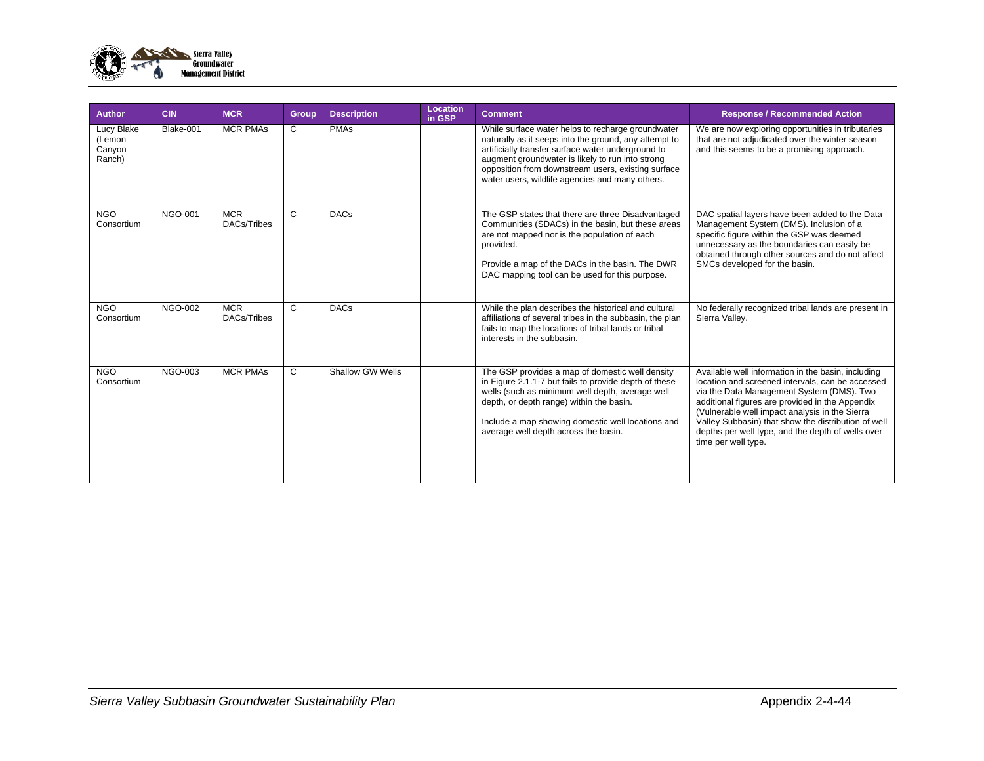

| <b>Author</b>                            | <b>CIN</b>     | <b>MCR</b>                | Group | <b>Description</b> | Location<br>in GSP | <b>Comment</b>                                                                                                                                                                                                                                                                                                                | <b>Response / Recommended Action</b>                                                                                                                                                                                                                                                                                                                                                        |
|------------------------------------------|----------------|---------------------------|-------|--------------------|--------------------|-------------------------------------------------------------------------------------------------------------------------------------------------------------------------------------------------------------------------------------------------------------------------------------------------------------------------------|---------------------------------------------------------------------------------------------------------------------------------------------------------------------------------------------------------------------------------------------------------------------------------------------------------------------------------------------------------------------------------------------|
| Lucy Blake<br>(Lemon<br>Canyon<br>Ranch) | Blake-001      | <b>MCR PMAs</b>           | C     | <b>PMAs</b>        |                    | While surface water helps to recharge groundwater<br>naturally as it seeps into the ground, any attempt to<br>artificially transfer surface water underground to<br>augment groundwater is likely to run into strong<br>opposition from downstream users, existing surface<br>water users, wildlife agencies and many others. | We are now exploring opportunities in tributaries<br>that are not adjudicated over the winter season<br>and this seems to be a promising approach.                                                                                                                                                                                                                                          |
| <b>NGO</b><br>Consortium                 | NGO-001        | <b>MCR</b><br>DACs/Tribes | C     | <b>DACs</b>        |                    | The GSP states that there are three Disadvantaged<br>Communities (SDACs) in the basin, but these areas<br>are not mapped nor is the population of each<br>provided.<br>Provide a map of the DACs in the basin. The DWR<br>DAC mapping tool can be used for this purpose.                                                      | DAC spatial layers have been added to the Data<br>Management System (DMS). Inclusion of a<br>specific figure within the GSP was deemed<br>unnecessary as the boundaries can easily be<br>obtained through other sources and do not affect<br>SMCs developed for the basin.                                                                                                                  |
| N <sub>G</sub> O<br>Consortium           | <b>NGO-002</b> | <b>MCR</b><br>DACs/Tribes | C     | <b>DACs</b>        |                    | While the plan describes the historical and cultural<br>affiliations of several tribes in the subbasin, the plan<br>fails to map the locations of tribal lands or tribal<br>interests in the subbasin.                                                                                                                        | No federally recognized tribal lands are present in<br>Sierra Valley.                                                                                                                                                                                                                                                                                                                       |
| <b>NGO</b><br>Consortium                 | <b>NGO-003</b> | <b>MCR PMAs</b>           | C     | Shallow GW Wells   |                    | The GSP provides a map of domestic well density<br>in Figure 2.1.1-7 but fails to provide depth of these<br>wells (such as minimum well depth, average well<br>depth, or depth range) within the basin.<br>Include a map showing domestic well locations and<br>average well depth across the basin.                          | Available well information in the basin, including<br>location and screened intervals, can be accessed<br>via the Data Management System (DMS). Two<br>additional figures are provided in the Appendix<br>(Vulnerable well impact analysis in the Sierra<br>Valley Subbasin) that show the distribution of well<br>depths per well type, and the depth of wells over<br>time per well type. |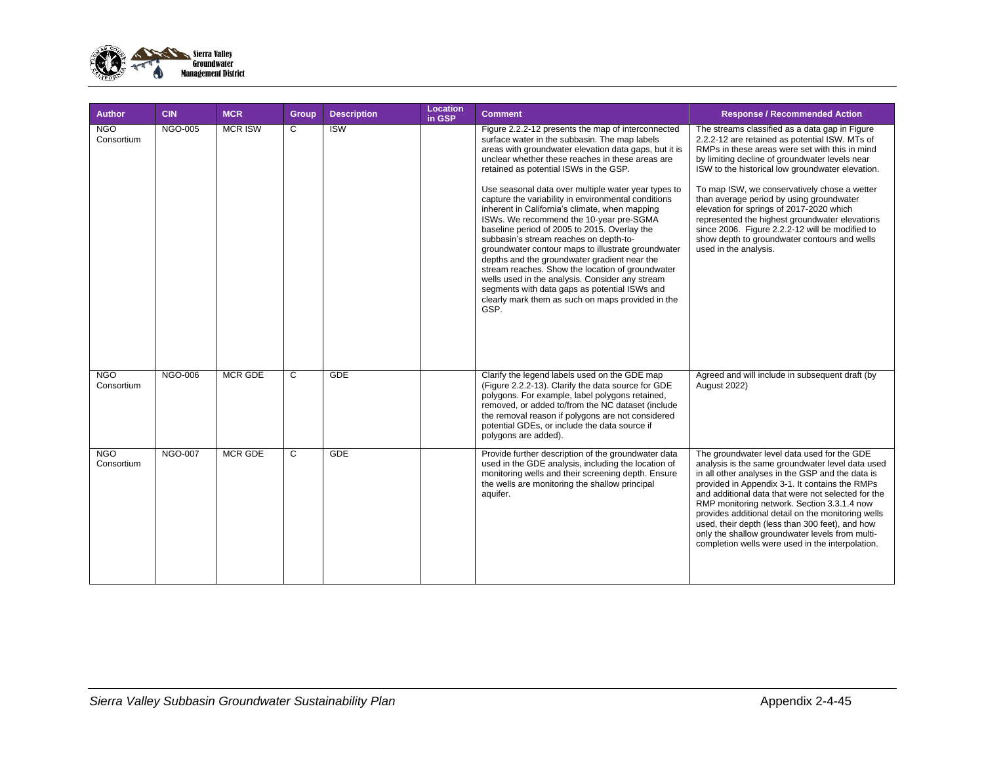

| <b>Author</b>            | <b>CIN</b>     | <b>MCR</b>     | <b>Group</b> | <b>Description</b> | Location<br>in GSP | <b>Comment</b>                                                                                                                                                                                                                                                                                                                                                                                                                                                                                                                                                                                                                                                                                                                                                                                                                                                                             | <b>Response / Recommended Action</b>                                                                                                                                                                                                                                                                                                                                                                                                                                                                                                                                           |
|--------------------------|----------------|----------------|--------------|--------------------|--------------------|--------------------------------------------------------------------------------------------------------------------------------------------------------------------------------------------------------------------------------------------------------------------------------------------------------------------------------------------------------------------------------------------------------------------------------------------------------------------------------------------------------------------------------------------------------------------------------------------------------------------------------------------------------------------------------------------------------------------------------------------------------------------------------------------------------------------------------------------------------------------------------------------|--------------------------------------------------------------------------------------------------------------------------------------------------------------------------------------------------------------------------------------------------------------------------------------------------------------------------------------------------------------------------------------------------------------------------------------------------------------------------------------------------------------------------------------------------------------------------------|
| <b>NGO</b><br>Consortium | <b>NGO-005</b> | <b>MCR ISW</b> | C            | <b>ISW</b>         |                    | Figure 2.2.2-12 presents the map of interconnected<br>surface water in the subbasin. The map labels<br>areas with groundwater elevation data gaps, but it is<br>unclear whether these reaches in these areas are<br>retained as potential ISWs in the GSP.<br>Use seasonal data over multiple water year types to<br>capture the variability in environmental conditions<br>inherent in California's climate, when mapping<br>ISWs. We recommend the 10-year pre-SGMA<br>baseline period of 2005 to 2015. Overlay the<br>subbasin's stream reaches on depth-to-<br>groundwater contour maps to illustrate groundwater<br>depths and the groundwater gradient near the<br>stream reaches. Show the location of groundwater<br>wells used in the analysis. Consider any stream<br>segments with data gaps as potential ISWs and<br>clearly mark them as such on maps provided in the<br>GSP. | The streams classified as a data gap in Figure<br>2.2.2-12 are retained as potential ISW. MTs of<br>RMPs in these areas were set with this in mind<br>by limiting decline of groundwater levels near<br>ISW to the historical low groundwater elevation.<br>To map ISW, we conservatively chose a wetter<br>than average period by using groundwater<br>elevation for springs of 2017-2020 which<br>represented the highest groundwater elevations<br>since 2006. Figure 2.2.2-12 will be modified to<br>show depth to groundwater contours and wells<br>used in the analysis. |
| <b>NGO</b><br>Consortium | <b>NGO-006</b> | <b>MCR GDE</b> | C            | <b>GDE</b>         |                    | Clarify the legend labels used on the GDE map<br>(Figure 2.2.2-13). Clarify the data source for GDE<br>polygons. For example, label polygons retained,<br>removed, or added to/from the NC dataset (include<br>the removal reason if polygons are not considered<br>potential GDEs, or include the data source if<br>polygons are added).                                                                                                                                                                                                                                                                                                                                                                                                                                                                                                                                                  | Agreed and will include in subsequent draft (by<br><b>August 2022)</b>                                                                                                                                                                                                                                                                                                                                                                                                                                                                                                         |
| <b>NGO</b><br>Consortium | <b>NGO-007</b> | <b>MCR GDE</b> | C            | <b>GDE</b>         |                    | Provide further description of the groundwater data<br>used in the GDE analysis, including the location of<br>monitoring wells and their screening depth. Ensure<br>the wells are monitoring the shallow principal<br>aquifer.                                                                                                                                                                                                                                                                                                                                                                                                                                                                                                                                                                                                                                                             | The groundwater level data used for the GDE<br>analysis is the same groundwater level data used<br>in all other analyses in the GSP and the data is<br>provided in Appendix 3-1. It contains the RMPs<br>and additional data that were not selected for the<br>RMP monitoring network. Section 3.3.1.4 now<br>provides additional detail on the monitoring wells<br>used, their depth (less than 300 feet), and how<br>only the shallow groundwater levels from multi-<br>completion wells were used in the interpolation.                                                     |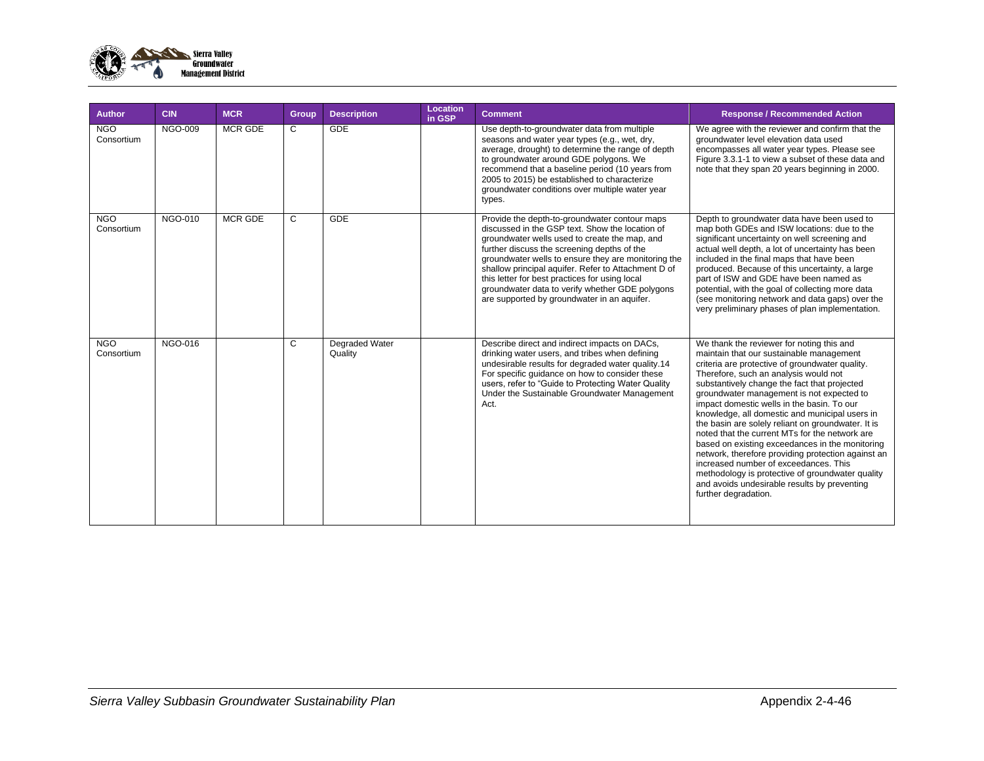

| <b>Author</b>            | <b>CIN</b>     | <b>MCR</b>     | Group | <b>Description</b>               | Location<br>in GSP | <b>Comment</b>                                                                                                                                                                                                                                                                                                                                                                                                                                                     | <b>Response / Recommended Action</b>                                                                                                                                                                                                                                                                                                                                                                                                                                                                                                                                                                                                                                                                                                                                 |
|--------------------------|----------------|----------------|-------|----------------------------------|--------------------|--------------------------------------------------------------------------------------------------------------------------------------------------------------------------------------------------------------------------------------------------------------------------------------------------------------------------------------------------------------------------------------------------------------------------------------------------------------------|----------------------------------------------------------------------------------------------------------------------------------------------------------------------------------------------------------------------------------------------------------------------------------------------------------------------------------------------------------------------------------------------------------------------------------------------------------------------------------------------------------------------------------------------------------------------------------------------------------------------------------------------------------------------------------------------------------------------------------------------------------------------|
| <b>NGO</b><br>Consortium | <b>NGO-009</b> | MCR GDE        | C     | <b>GDE</b>                       |                    | Use depth-to-groundwater data from multiple<br>seasons and water year types (e.g., wet, dry,<br>average, drought) to determine the range of depth<br>to groundwater around GDE polygons. We<br>recommend that a baseline period (10 years from<br>2005 to 2015) be established to characterize<br>groundwater conditions over multiple water year<br>types.                                                                                                        | We agree with the reviewer and confirm that the<br>groundwater level elevation data used<br>encompasses all water year types. Please see<br>Figure 3.3.1-1 to view a subset of these data and<br>note that they span 20 years beginning in 2000.                                                                                                                                                                                                                                                                                                                                                                                                                                                                                                                     |
| <b>NGO</b><br>Consortium | <b>NGO-010</b> | <b>MCR GDE</b> | C     | <b>GDE</b>                       |                    | Provide the depth-to-groundwater contour maps<br>discussed in the GSP text. Show the location of<br>groundwater wells used to create the map, and<br>further discuss the screening depths of the<br>groundwater wells to ensure they are monitoring the<br>shallow principal aquifer. Refer to Attachment D of<br>this letter for best practices for using local<br>groundwater data to verify whether GDE polygons<br>are supported by groundwater in an aquifer. | Depth to groundwater data have been used to<br>map both GDEs and ISW locations: due to the<br>significant uncertainty on well screening and<br>actual well depth, a lot of uncertainty has been<br>included in the final maps that have been<br>produced. Because of this uncertainty, a large<br>part of ISW and GDE have been named as<br>potential, with the goal of collecting more data<br>(see monitoring network and data gaps) over the<br>very preliminary phases of plan implementation.                                                                                                                                                                                                                                                                   |
| <b>NGO</b><br>Consortium | <b>NGO-016</b> |                | C     | <b>Degraded Water</b><br>Quality |                    | Describe direct and indirect impacts on DACs,<br>drinking water users, and tribes when defining<br>undesirable results for degraded water quality.14<br>For specific quidance on how to consider these<br>users, refer to "Guide to Protecting Water Quality<br>Under the Sustainable Groundwater Management<br>Act.                                                                                                                                               | We thank the reviewer for noting this and<br>maintain that our sustainable management<br>criteria are protective of groundwater quality.<br>Therefore, such an analysis would not<br>substantively change the fact that projected<br>groundwater management is not expected to<br>impact domestic wells in the basin. To our<br>knowledge, all domestic and municipal users in<br>the basin are solely reliant on groundwater. It is<br>noted that the current MTs for the network are<br>based on existing exceedances in the monitoring<br>network, therefore providing protection against an<br>increased number of exceedances. This<br>methodology is protective of groundwater quality<br>and avoids undesirable results by preventing<br>further degradation. |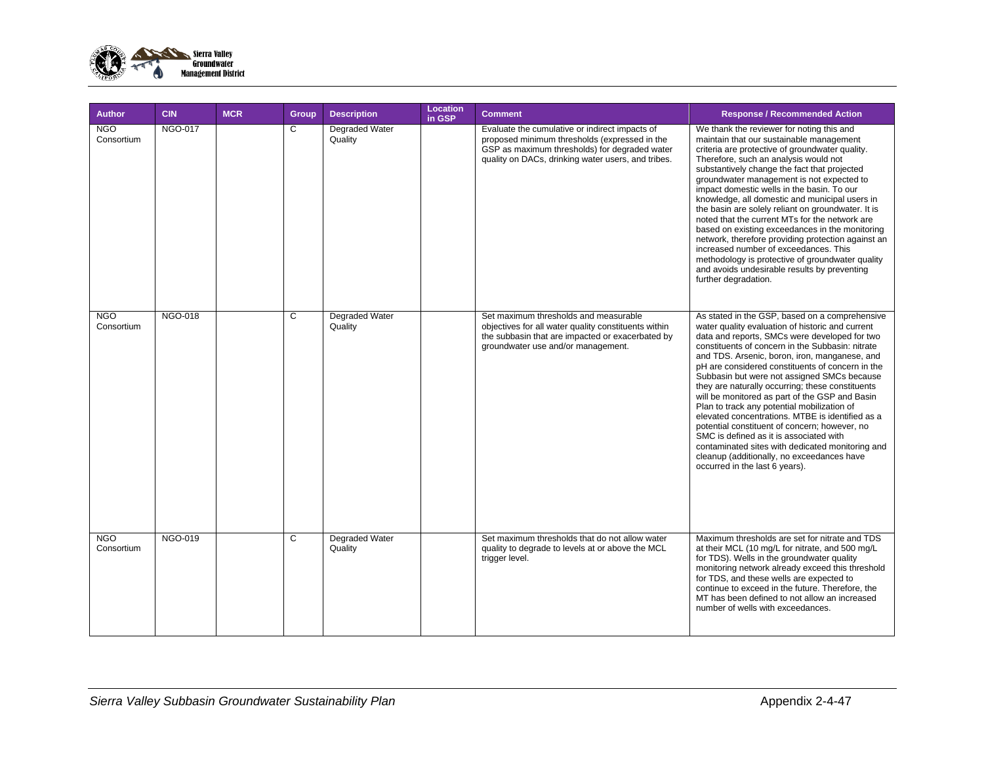

| <b>Author</b>            | <b>CIN</b>     | <b>MCR</b> | <b>Group</b> | <b>Description</b>               | Location<br>in GSP | <b>Comment</b>                                                                                                                                                                                         | <b>Response / Recommended Action</b>                                                                                                                                                                                                                                                                                                                                                                                                                                                                                                                                                                                                                                                                                                                                                                 |
|--------------------------|----------------|------------|--------------|----------------------------------|--------------------|--------------------------------------------------------------------------------------------------------------------------------------------------------------------------------------------------------|------------------------------------------------------------------------------------------------------------------------------------------------------------------------------------------------------------------------------------------------------------------------------------------------------------------------------------------------------------------------------------------------------------------------------------------------------------------------------------------------------------------------------------------------------------------------------------------------------------------------------------------------------------------------------------------------------------------------------------------------------------------------------------------------------|
| <b>NGO</b><br>Consortium | <b>NGO-017</b> |            | C            | Degraded Water<br>Quality        |                    | Evaluate the cumulative or indirect impacts of<br>proposed minimum thresholds (expressed in the<br>GSP as maximum thresholds) for degraded water<br>quality on DACs, drinking water users, and tribes. | We thank the reviewer for noting this and<br>maintain that our sustainable management<br>criteria are protective of groundwater quality.<br>Therefore, such an analysis would not<br>substantively change the fact that projected<br>groundwater management is not expected to<br>impact domestic wells in the basin. To our<br>knowledge, all domestic and municipal users in<br>the basin are solely reliant on groundwater. It is<br>noted that the current MTs for the network are<br>based on existing exceedances in the monitoring<br>network, therefore providing protection against an<br>increased number of exceedances. This<br>methodology is protective of groundwater quality<br>and avoids undesirable results by preventing<br>further degradation.                                 |
| <b>NGO</b><br>Consortium | <b>NGO-018</b> |            | C            | Degraded Water<br>Quality        |                    | Set maximum thresholds and measurable<br>objectives for all water quality constituents within<br>the subbasin that are impacted or exacerbated by<br>groundwater use and/or management.                | As stated in the GSP, based on a comprehensive<br>water quality evaluation of historic and current<br>data and reports, SMCs were developed for two<br>constituents of concern in the Subbasin: nitrate<br>and TDS. Arsenic, boron, iron, manganese, and<br>pH are considered constituents of concern in the<br>Subbasin but were not assigned SMCs because<br>they are naturally occurring; these constituents<br>will be monitored as part of the GSP and Basin<br>Plan to track any potential mobilization of<br>elevated concentrations. MTBE is identified as a<br>potential constituent of concern; however, no<br>SMC is defined as it is associated with<br>contaminated sites with dedicated monitoring and<br>cleanup (additionally, no exceedances have<br>occurred in the last 6 years). |
| <b>NGO</b><br>Consortium | <b>NGO-019</b> |            | C            | <b>Degraded Water</b><br>Quality |                    | Set maximum thresholds that do not allow water<br>quality to degrade to levels at or above the MCL<br>trigger level.                                                                                   | Maximum thresholds are set for nitrate and TDS<br>at their MCL (10 mg/L for nitrate, and 500 mg/L<br>for TDS). Wells in the groundwater quality<br>monitoring network already exceed this threshold<br>for TDS, and these wells are expected to<br>continue to exceed in the future. Therefore, the<br>MT has been defined to not allow an increased<br>number of wells with exceedances.                                                                                                                                                                                                                                                                                                                                                                                                            |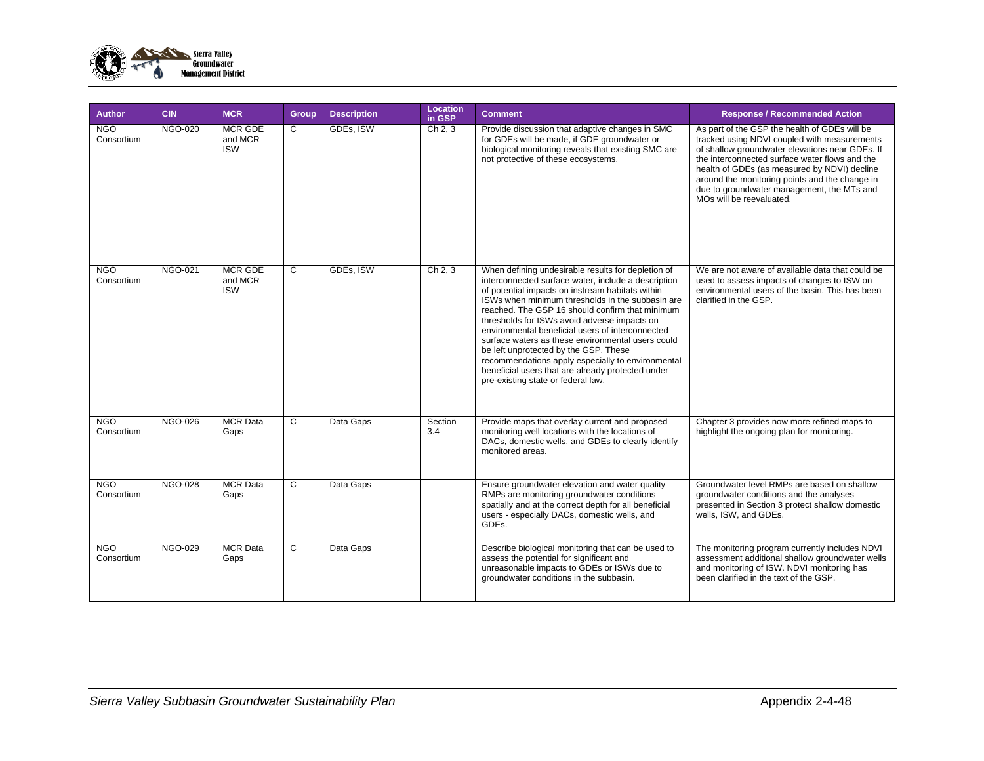

| <b>Author</b>            | <b>CIN</b>     | <b>MCR</b>                              | Group | <b>Description</b> | Location<br>in GSP | <b>Comment</b>                                                                                                                                                                                                                                                                                                                                                                                                                                                                                                                                                                                                         | <b>Response / Recommended Action</b>                                                                                                                                                                                                                                                                                                                                           |
|--------------------------|----------------|-----------------------------------------|-------|--------------------|--------------------|------------------------------------------------------------------------------------------------------------------------------------------------------------------------------------------------------------------------------------------------------------------------------------------------------------------------------------------------------------------------------------------------------------------------------------------------------------------------------------------------------------------------------------------------------------------------------------------------------------------------|--------------------------------------------------------------------------------------------------------------------------------------------------------------------------------------------------------------------------------------------------------------------------------------------------------------------------------------------------------------------------------|
| <b>NGO</b><br>Consortium | <b>NGO-020</b> | <b>MCR GDE</b><br>and MCR<br><b>ISW</b> | C     | GDEs, ISW          | Ch 2, 3            | Provide discussion that adaptive changes in SMC<br>for GDEs will be made, if GDE groundwater or<br>biological monitoring reveals that existing SMC are<br>not protective of these ecosystems.                                                                                                                                                                                                                                                                                                                                                                                                                          | As part of the GSP the health of GDEs will be<br>tracked using NDVI coupled with measurements<br>of shallow groundwater elevations near GDEs. If<br>the interconnected surface water flows and the<br>health of GDEs (as measured by NDVI) decline<br>around the monitoring points and the change in<br>due to groundwater management, the MTs and<br>MOs will be reevaluated. |
| <b>NGO</b><br>Consortium | <b>NGO-021</b> | <b>MCR GDE</b><br>and MCR<br><b>ISW</b> | C     | GDEs, ISW          | Ch 2, 3            | When defining undesirable results for depletion of<br>interconnected surface water, include a description<br>of potential impacts on instream habitats within<br>ISWs when minimum thresholds in the subbasin are<br>reached. The GSP 16 should confirm that minimum<br>thresholds for ISWs avoid adverse impacts on<br>environmental beneficial users of interconnected<br>surface waters as these environmental users could<br>be left unprotected by the GSP. These<br>recommendations apply especially to environmental<br>beneficial users that are already protected under<br>pre-existing state or federal law. | We are not aware of available data that could be<br>used to assess impacts of changes to ISW on<br>environmental users of the basin. This has been<br>clarified in the GSP.                                                                                                                                                                                                    |
| <b>NGO</b><br>Consortium | <b>NGO-026</b> | <b>MCR</b> Data<br>Gaps                 | C     | Data Gaps          | Section<br>3.4     | Provide maps that overlay current and proposed<br>monitoring well locations with the locations of<br>DACs, domestic wells, and GDEs to clearly identify<br>monitored areas.                                                                                                                                                                                                                                                                                                                                                                                                                                            | Chapter 3 provides now more refined maps to<br>highlight the ongoing plan for monitoring.                                                                                                                                                                                                                                                                                      |
| <b>NGO</b><br>Consortium | <b>NGO-028</b> | <b>MCR</b> Data<br>Gaps                 | C     | Data Gaps          |                    | Ensure groundwater elevation and water quality<br>RMPs are monitoring groundwater conditions<br>spatially and at the correct depth for all beneficial<br>users - especially DACs, domestic wells, and<br>GDEs.                                                                                                                                                                                                                                                                                                                                                                                                         | Groundwater level RMPs are based on shallow<br>groundwater conditions and the analyses<br>presented in Section 3 protect shallow domestic<br>wells, ISW, and GDEs.                                                                                                                                                                                                             |
| <b>NGO</b><br>Consortium | <b>NGO-029</b> | <b>MCR</b> Data<br>Gaps                 | C     | Data Gaps          |                    | Describe biological monitoring that can be used to<br>assess the potential for significant and<br>unreasonable impacts to GDEs or ISWs due to<br>groundwater conditions in the subbasin.                                                                                                                                                                                                                                                                                                                                                                                                                               | The monitoring program currently includes NDVI<br>assessment additional shallow groundwater wells<br>and monitoring of ISW. NDVI monitoring has<br>been clarified in the text of the GSP.                                                                                                                                                                                      |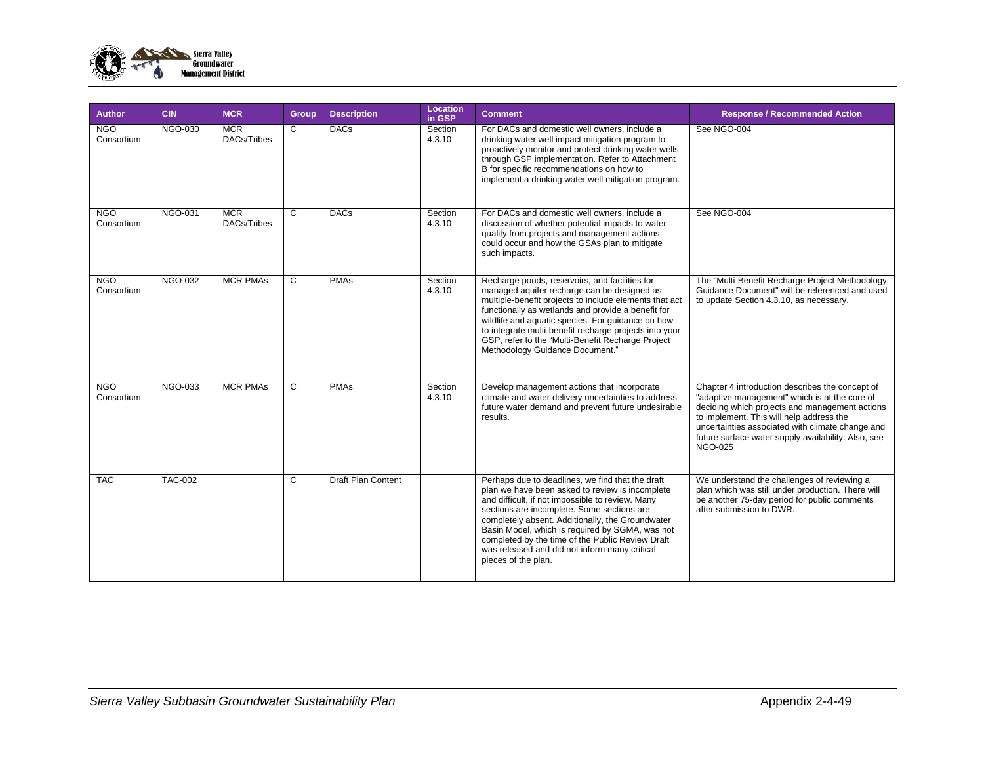

| <b>Author</b>            | <b>CIN</b>     | <b>MCR</b>                | Group | <b>Description</b> | Location<br>in GSP | <b>Comment</b>                                                                                                                                                                                                                                                                                                                                                                                                                           | <b>Response / Recommended Action</b>                                                                                                                                                                                                                                                                                        |
|--------------------------|----------------|---------------------------|-------|--------------------|--------------------|------------------------------------------------------------------------------------------------------------------------------------------------------------------------------------------------------------------------------------------------------------------------------------------------------------------------------------------------------------------------------------------------------------------------------------------|-----------------------------------------------------------------------------------------------------------------------------------------------------------------------------------------------------------------------------------------------------------------------------------------------------------------------------|
| <b>NGO</b><br>Consortium | NGO-030        | <b>MCR</b><br>DACs/Tribes | C.    | <b>DACs</b>        | Section<br>4.3.10  | For DACs and domestic well owners, include a<br>drinking water well impact mitigation program to<br>proactively monitor and protect drinking water wells<br>through GSP implementation. Refer to Attachment<br>B for specific recommendations on how to<br>implement a drinking water well mitigation program.                                                                                                                           | See NGO-004                                                                                                                                                                                                                                                                                                                 |
| <b>NGO</b><br>Consortium | <b>NGO-031</b> | <b>MCR</b><br>DACs/Tribes | C     | <b>DACs</b>        | Section<br>4.3.10  | For DACs and domestic well owners, include a<br>discussion of whether potential impacts to water<br>quality from projects and management actions<br>could occur and how the GSAs plan to mitigate<br>such impacts.                                                                                                                                                                                                                       | See NGO-004                                                                                                                                                                                                                                                                                                                 |
| <b>NGO</b><br>Consortium | <b>NGO-032</b> | <b>MCR PMAs</b>           | C     | <b>PMAs</b>        | Section<br>4.3.10  | Recharge ponds, reservoirs, and facilities for<br>managed aquifer recharge can be designed as<br>multiple-benefit projects to include elements that act<br>functionally as wetlands and provide a benefit for<br>wildlife and aquatic species. For guidance on how<br>to integrate multi-benefit recharge projects into your<br>GSP, refer to the "Multi-Benefit Recharge Project<br>Methodology Guidance Document."                     | The "Multi-Benefit Recharge Project Methodology<br>Guidance Document" will be referenced and used<br>to update Section 4.3.10, as necessary.                                                                                                                                                                                |
| <b>NGO</b><br>Consortium | <b>NGO-033</b> | <b>MCR PMAs</b>           | C     | <b>PMAs</b>        | Section<br>4.3.10  | Develop management actions that incorporate<br>climate and water delivery uncertainties to address<br>future water demand and prevent future undesirable<br>results.                                                                                                                                                                                                                                                                     | Chapter 4 introduction describes the concept of<br>"adaptive management" which is at the core of<br>deciding which projects and management actions<br>to implement. This will help address the<br>uncertainties associated with climate change and<br>future surface water supply availability. Also, see<br><b>NGO-025</b> |
| <b>TAC</b>               | <b>TAC-002</b> |                           | C     | Draft Plan Content |                    | Perhaps due to deadlines, we find that the draft<br>plan we have been asked to review is incomplete<br>and difficult, if not impossible to review. Many<br>sections are incomplete. Some sections are<br>completely absent. Additionally, the Groundwater<br>Basin Model, which is required by SGMA, was not<br>completed by the time of the Public Review Draft<br>was released and did not inform many critical<br>pieces of the plan. | We understand the challenges of reviewing a<br>plan which was still under production. There will<br>be another 75-day period for public comments<br>after submission to DWR.                                                                                                                                                |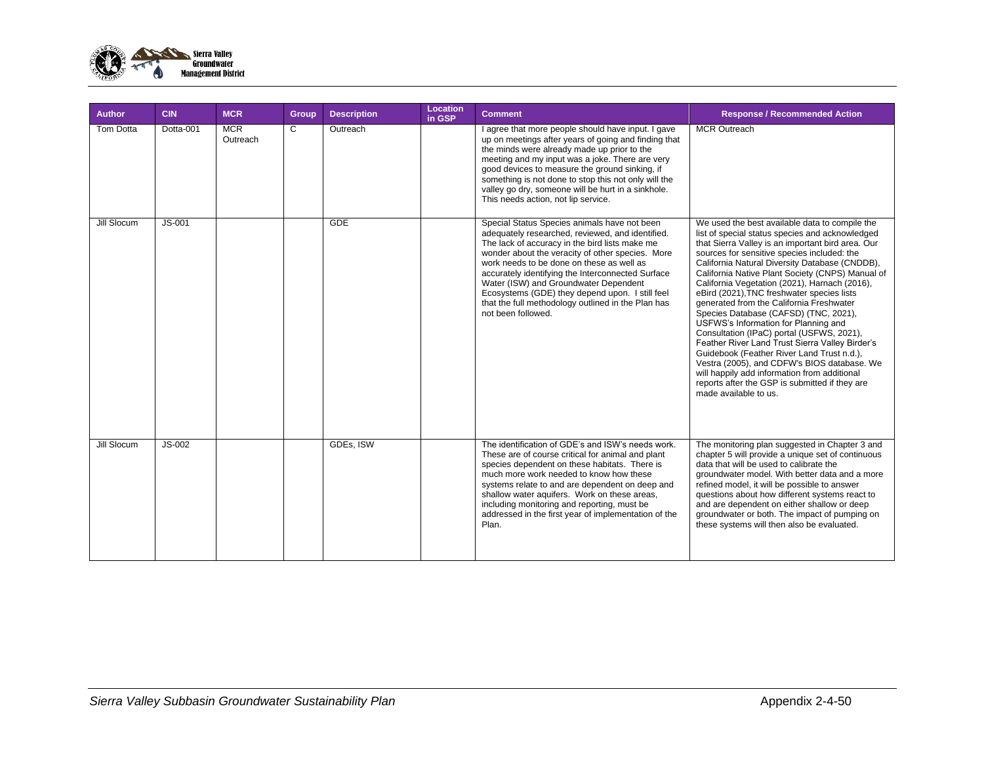

| <b>Author</b> | <b>CIN</b> | <b>MCR</b>             | Group        | <b>Description</b> | Location<br>in GSP | <b>Comment</b>                                                                                                                                                                                                                                                                                                                                                                                                                                                                   | <b>Response / Recommended Action</b>                                                                                                                                                                                                                                                                                                                                                                                                                                                                                                                                                                                                                                                                                                                                                                                                                            |
|---------------|------------|------------------------|--------------|--------------------|--------------------|----------------------------------------------------------------------------------------------------------------------------------------------------------------------------------------------------------------------------------------------------------------------------------------------------------------------------------------------------------------------------------------------------------------------------------------------------------------------------------|-----------------------------------------------------------------------------------------------------------------------------------------------------------------------------------------------------------------------------------------------------------------------------------------------------------------------------------------------------------------------------------------------------------------------------------------------------------------------------------------------------------------------------------------------------------------------------------------------------------------------------------------------------------------------------------------------------------------------------------------------------------------------------------------------------------------------------------------------------------------|
| Tom Dotta     | Dotta-001  | <b>MCR</b><br>Outreach | $\mathsf{C}$ | Outreach           |                    | I agree that more people should have input. I gave<br>up on meetings after years of going and finding that<br>the minds were already made up prior to the<br>meeting and my input was a joke. There are very<br>good devices to measure the ground sinking, if<br>something is not done to stop this not only will the<br>valley go dry, someone will be hurt in a sinkhole.<br>This needs action, not lip service.                                                              | <b>MCR Outreach</b>                                                                                                                                                                                                                                                                                                                                                                                                                                                                                                                                                                                                                                                                                                                                                                                                                                             |
| Jill Slocum   | $JS-001$   |                        |              | <b>GDE</b>         |                    | Special Status Species animals have not been<br>adequately researched, reviewed, and identified.<br>The lack of accuracy in the bird lists make me<br>wonder about the veracity of other species. More<br>work needs to be done on these as well as<br>accurately identifying the Interconnected Surface<br>Water (ISW) and Groundwater Dependent<br>Ecosystems (GDE) they depend upon. I still feel<br>that the full methodology outlined in the Plan has<br>not been followed. | We used the best available data to compile the<br>list of special status species and acknowledged<br>that Sierra Valley is an important bird area. Our<br>sources for sensitive species included: the<br>California Natural Diversity Database (CNDDB),<br>California Native Plant Society (CNPS) Manual of<br>California Vegetation (2021), Harnach (2016),<br>eBird (2021), TNC freshwater species lists<br>generated from the California Freshwater<br>Species Database (CAFSD) (TNC, 2021),<br>USFWS's Information for Planning and<br>Consultation (IPaC) portal (USFWS, 2021),<br>Feather River Land Trust Sierra Valley Birder's<br>Guidebook (Feather River Land Trust n.d.),<br>Vestra (2005), and CDFW's BIOS database. We<br>will happily add information from additional<br>reports after the GSP is submitted if they are<br>made available to us. |
| Jill Slocum   | $JS-002$   |                        |              | GDEs, ISW          |                    | The identification of GDE's and ISW's needs work.<br>These are of course critical for animal and plant<br>species dependent on these habitats. There is<br>much more work needed to know how these<br>systems relate to and are dependent on deep and<br>shallow water aquifers. Work on these areas,<br>including monitoring and reporting, must be<br>addressed in the first year of implementation of the<br>Plan.                                                            | The monitoring plan suggested in Chapter 3 and<br>chapter 5 will provide a unique set of continuous<br>data that will be used to calibrate the<br>groundwater model. With better data and a more<br>refined model, it will be possible to answer<br>questions about how different systems react to<br>and are dependent on either shallow or deep<br>groundwater or both. The impact of pumping on<br>these systems will then also be evaluated.                                                                                                                                                                                                                                                                                                                                                                                                                |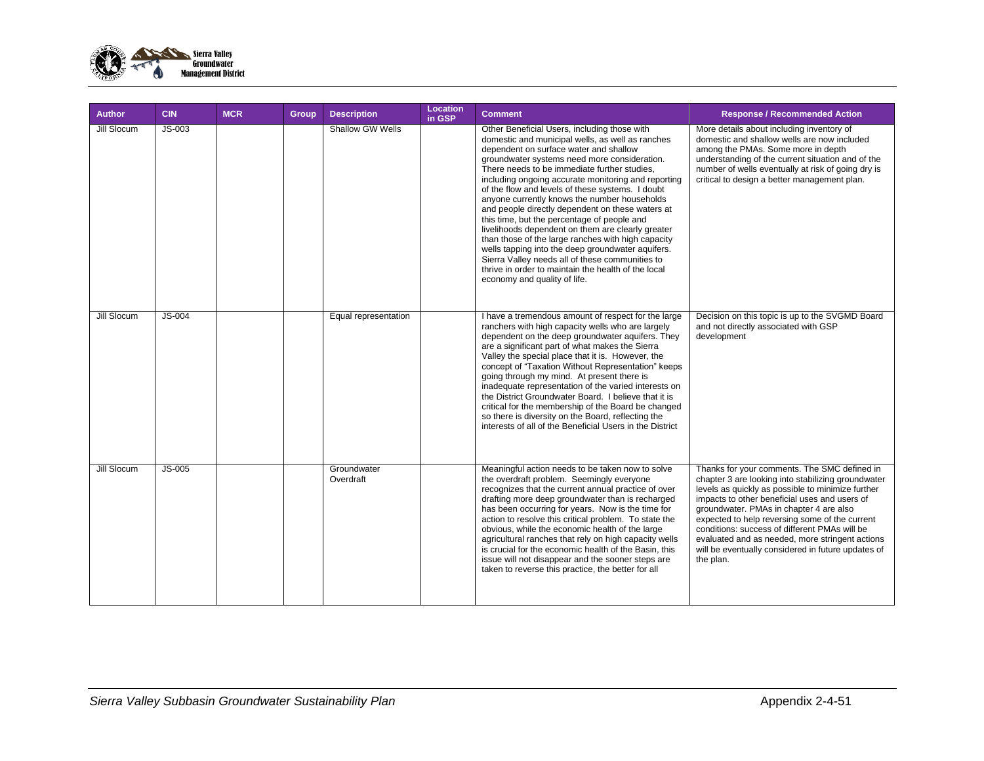

| <b>Author</b> | <b>CIN</b> | <b>MCR</b> | Group | <b>Description</b>       | Location<br>in GSP | <b>Comment</b>                                                                                                                                                                                                                                                                                                                                                                                                                                                                                                                                                                                                                                                                                                                                                                                                     | <b>Response / Recommended Action</b>                                                                                                                                                                                                                                                                                                                                                                                                                                         |
|---------------|------------|------------|-------|--------------------------|--------------------|--------------------------------------------------------------------------------------------------------------------------------------------------------------------------------------------------------------------------------------------------------------------------------------------------------------------------------------------------------------------------------------------------------------------------------------------------------------------------------------------------------------------------------------------------------------------------------------------------------------------------------------------------------------------------------------------------------------------------------------------------------------------------------------------------------------------|------------------------------------------------------------------------------------------------------------------------------------------------------------------------------------------------------------------------------------------------------------------------------------------------------------------------------------------------------------------------------------------------------------------------------------------------------------------------------|
| Jill Slocum   | $JS-003$   |            |       | Shallow GW Wells         |                    | Other Beneficial Users, including those with<br>domestic and municipal wells, as well as ranches<br>dependent on surface water and shallow<br>groundwater systems need more consideration.<br>There needs to be immediate further studies,<br>including ongoing accurate monitoring and reporting<br>of the flow and levels of these systems. I doubt<br>anyone currently knows the number households<br>and people directly dependent on these waters at<br>this time, but the percentage of people and<br>livelihoods dependent on them are clearly greater<br>than those of the large ranches with high capacity<br>wells tapping into the deep groundwater aquifers.<br>Sierra Valley needs all of these communities to<br>thrive in order to maintain the health of the local<br>economy and quality of life. | More details about including inventory of<br>domestic and shallow wells are now included<br>among the PMAs. Some more in depth<br>understanding of the current situation and of the<br>number of wells eventually at risk of going dry is<br>critical to design a better management plan.                                                                                                                                                                                    |
| Jill Slocum   | $JS-004$   |            |       | Equal representation     |                    | I have a tremendous amount of respect for the large<br>ranchers with high capacity wells who are largely<br>dependent on the deep groundwater aquifers. They<br>are a significant part of what makes the Sierra<br>Valley the special place that it is. However, the<br>concept of "Taxation Without Representation" keeps<br>going through my mind. At present there is<br>inadequate representation of the varied interests on<br>the District Groundwater Board. I believe that it is<br>critical for the membership of the Board be changed<br>so there is diversity on the Board, reflecting the<br>interests of all of the Beneficial Users in the District                                                                                                                                                  | Decision on this topic is up to the SVGMD Board<br>and not directly associated with GSP<br>development                                                                                                                                                                                                                                                                                                                                                                       |
| Jill Slocum   | $JS-005$   |            |       | Groundwater<br>Overdraft |                    | Meaningful action needs to be taken now to solve<br>the overdraft problem. Seemingly everyone<br>recognizes that the current annual practice of over<br>drafting more deep groundwater than is recharged<br>has been occurring for years. Now is the time for<br>action to resolve this critical problem. To state the<br>obvious, while the economic health of the large<br>agricultural ranches that rely on high capacity wells<br>is crucial for the economic health of the Basin, this<br>issue will not disappear and the sooner steps are<br>taken to reverse this practice, the better for all                                                                                                                                                                                                             | Thanks for your comments. The SMC defined in<br>chapter 3 are looking into stabilizing groundwater<br>levels as quickly as possible to minimize further<br>impacts to other beneficial uses and users of<br>groundwater. PMAs in chapter 4 are also<br>expected to help reversing some of the current<br>conditions: success of different PMAs will be<br>evaluated and as needed, more stringent actions<br>will be eventually considered in future updates of<br>the plan. |